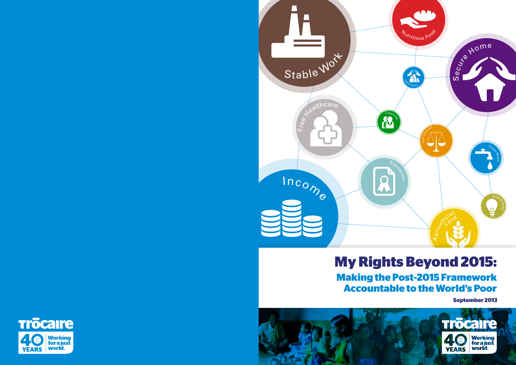# **My Rights Beyond 2015: Making the Post-2015 Framework Accountable to the World's Poor**









**September 2013**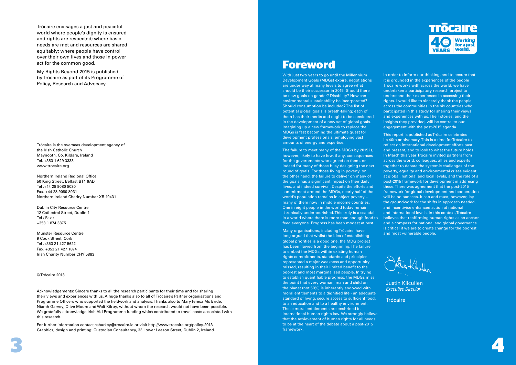

Trócaire envisages a just and peaceful world where people's dignity is ensured and rights are respected; where basic needs are met and resources are shared equitably; where people have control over their own lives and those in power act for the common good.

My Rights Beyond 2015 is published by Trócaire as part of its Programme of Policy, Research and Advocacy.

Trócaire is the overseas development agency of the Irish Catholic Church Maynooth, Co. Kildare, Ireland Tel. +353 1 629 3333 www.trocaire.org

Northern Ireland Regional Office 50 King Street, Belfast BT1 6AD Tel .+44 28 9080 8030 Fax. +44 28 9080 8031 Northern Ireland Charity Number XR 10431

Dublin City Resource Centre 12 Cathedral Street, Dublin 1 Tel / Fax : +353 1 874 3875

Munster Resource Centre 9 Cook Street, Cork Tel .+353 21 427 5622 Fax. +353 21 427 1874 Irish Charity Number CHY 5883

© Trócaire 2013

Acknowledgements: Sincere thanks to all the research participants for their time and for sharing their views and experiences with us. A huge thanks also to all of Trócaire's Partner organisations and Programme Officers who supported the fieldwork and analysis. Thanks also to Mary Teresa Mc Bride, Niamh Garvey, Olive Moore and Walt Kilroy, without whom the research would not have been possible. We gratefully acknowledge Irish Aid Programme funding which contributed to travel costs associated with this research.

For further information contact csharkey@trocaire.ie or visit http://www.trocaire.org/policy-2013 Graphics, design and printing: Custodian Consultancy, 33 Lower Leeson Street, Dublin 2, Ireland.

# **Foreword**

With just two years to go until the Millennium Development Goals (MDGs) expire, negotiations are under way at many levels to agree what should be their successor in 2015. Should there be new goals on gender? Disability? How can environmental sustainability be incorporated? Should consumption be included? The list of potential global goals is breath-taking; each of them has their merits and ought to be considered in the development of a new set of global goals. Imagining up a new framework to replace the MDGs is fast becoming the ultimate quest for development professionals, employing vast amounts of energy and expertise.

The failure to meet many of the MDGs by 2015 is, however, likely to have few, if any, consequences for the governments who agreed on them, or indeed for many of those busy designing the next round of goals. For those living in poverty, on the other hand, the failure to deliver on many of the goals has a significant impact on their daily lives, and indeed survival. Despite the efforts and commitment around the MDGs, nearly half of the world's population remains in abject poverty – many of them now in middle income countries. One in eight people in the world today remain chronically undernourished. This truly is a scandal in a world where there is more than enough food to feed everyone. Progress has been modest at best.

Many organisations, including Trócaire, have long argued that whilst the idea of establishing global priorities is a good one, the MDG project has been flawed from the beginning. The failure to embed the MDGs within existing human rights commitments, standards and principles represented a major weakness and opportunity missed, resulting in their limited benefit to the poorest and most marginalised people. In trying to establish quantifiable progress, the MDGs miss the point that every woman, man and child on the planet (not 50%) is inherently endowed with moral entitlements to a dignified life - an adequate standard of living, secure access to sufficient food, to an education and to a healthy environment. These moral entitlements are enshrined in international human rights law. We strongly believe that the achievement of human rights for all needs to be at the heart of the debate about a post-2015 framework.



In order to inform our thinking, and to ensure that it is grounded in the experiences of the people Trócaire works with across the world, we have undertaken a participatory research project to understand their experiences in accessing their rights. I would like to sincerely thank the people across the communities in the six countries who participated in this study for sharing their views and experiences with us. Their stories, and the insights they provided, will be central to our engagement with the post-2015 agenda.

This report is published as Trócaire celebrates its 40th anniversary. This is a time for Trócaire to reflect on international development efforts past and present, and to look to what the future holds. In March this year Trócaire invited partners from across the world, colleagues, allies and experts together to debate the systemic challenges of the poverty, equality and environmental crises evident at global, national and local levels, and the role of a post-2015 framework for development in addresing these. There was agreement that the post-2015 framework for global development and cooperation will be no panacea. It can and must, however, lay the groundwork for the shifts in approach needed, and incentivise enhanced action at national and international levels. In this context, Trócaire believes that reaffirming human rights as an anchor and a compass for national and global governance is critical if we are to create change for the poorest and most vulnerable people.

Justin Kilcullen Executive Director

**Trócaire**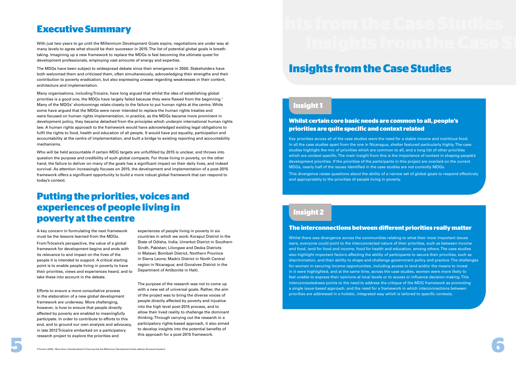# **Executive Summary**

# **Insights from the Case Studies**

With just two years to go until the Millennium Development Goals expire, negotiations are under way at many levels to agree what should be their successor in 2015. The list of potential global goals is breathtaking. Imagining up a new framework to replace the MDGs is fast becoming the ultimate quest for development professionals, employing vast amounts of energy and expertise.

The MDGs have been subject to widespread debate since their emergence in 2000. Stakeholders have both welcomed them and criticised them, often simultaneously, acknowledging their strengths and their contribution to poverty eradication, but also expressing unease regarding weaknesses in their content, architecture and implementation.

Many organisations, including Trócaire, have long argued that whilst the idea of establishing global priorities is a good one, the MDGs have largely failed because they were flawed from the beginning.<sup>1</sup> Many of the MDGs' shortcomings relate closely to the failure to put human rights at the centre. While some have argued that the MDGs were never intended to replace the human rights treaties and were focused on human rights implementation, in practice, as the MDGs became more prominent in development policy, they became detached from the principles which underpin international human rights law. A human rights approach to the framework would have acknowledged existing legal obligations to fulfil the rights to food, health and education of all people. It would have put equality, participation and accountability at the centre of implementation, and built a bridge to existing reporting and accountability mechanisms.

Who will be held accountable if certain MDG targets are unfulfilled by 2015 is unclear, and throws into question the purpose and credibility of such global compacts. For those living in poverty, on the other hand, the failure to deliver on many of the goals has a significant impact on their daily lives, and indeed survival. As attention increasingly focuses on 2015, the development and implementation of a post-2015 framework offers a significant opportunity to build a more robust global framework that can respond to today's context.

A key concern in formulating the next framework must be the lessons learned from the MDGs.

From Trócaire's perspective, the value of a global framework for development begins and ends with its relevance to and impact on the lives of the people it is intended to support. A critical starting point is to enable people living in poverty to have their priorities, views and experiences heard, and to take these into account in the debate.

Efforts to ensure a more consultative process in the elaboration of a new global development framework are underway. More challenging, however, is how to ensure that people directly affected by poverty are enabled to meaningfully participate. In order to contribute to efforts to this end, and to ground our own analysis and advocacy, in late 2012 Trócaire embarked on a participatory research project to explore the priorities and



experiences of people living in poverty in six countries in which we work: Koraput District in the State of Odisha, India; Umerkot District in Southern Sindh, Pakistan; Lilongwe and Dedza Districts in Malawi; Bombali District, Northern Province in Sierra Leone; Madriz District in North Central region in Nicaragua; and Gonaïves District in the Department of Artibonite in Haiti.

The purpose of the research was not to come up with a new set of universal goals. Rather, the aim of the project was to bring the diverse voices of people directly affected by poverty and injustice into the high level post-2015 process, and to allow their lived reality to challenge the dominant thinking. Through carrying out the research in a participatory rights-based approach, it also aimed to develop insights into the potential benefits of this approach for a post-2015 framework.

# **Whilst certain core basic needs are common to all, people's priorities are quite specific and context related**

Key priorities across all of the case studies were the need for a stable income and nutritious food. In all the case studies apart from the one in Nicaragua, shelter featured particularly highly. The case studies highlight the mix of priorities which are common to all, and a long list of other priorities which are context specific. The main insight from this is the importance of context in shaping people's development priorities. If the priorities of the participants in this project are overlaid on the current MDGs, nearly half of the issues identified in the case studies are not currently MDGs.

This divergence raises questions about the ability of a narrow set of global goals to respond effectively and appropriately to the priorities of people living in poverty.

## **The interconnections between diferent priorities really matter**

Whilst there was divergence across the communities relating to what their most important issues were, everyone could point to the interconnected nature of their priorities, such as between income and food, land for food and income, food for health and education, among others. The case studies also highlight important factors affecting the ability of participants to secure their priorities, such as discrimination, and their ability to shape and challenge government policy and practice. The challenges for women in securing income opportunities, including access to land and/or the means to invest in it were highlighted, and at the same time, across the case studies, women were more likely to feel unable to express their opinions at local levels or to access or influence decision-making. This interconnectedness points to the need to address the critique of the MDG framework as promoting a single issue-based approach, and the need for a framework in which interconnections between priorities are addressed in a holistic, integrated way which is tailored to specific contexts.

# **Putting the priorities, voices and experiences of people living in poverty at the centre**

# **Insight 1**

# **Insight 2**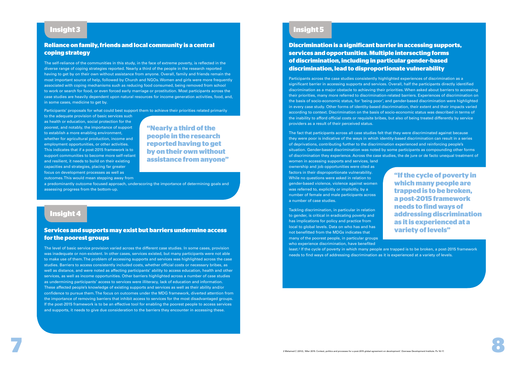## **Reliance on family, friends and local community is a central coping strategy**

The self-reliance of the communities in this study, in the face of extreme poverty, is reflected in the diverse range of coping strategies reported. Nearly a third of the people in the research reported having to get by on their own without assistance from anyone. Overall, family and friends remain the most important source of help, followed by Church and NGOs. Women and girls were more frequently associated with coping mechanisms such as reducing food consumed, being removed from school to work or search for food, or even forced early marriage or prostitution. Most participants across the case studies are heavily dependent upon natural resources for income generation activities, food, and, in some cases, medicine to get by.

Participants' proposals for what could best support them to achieve their priorities related primarily

to the adequate provision of basic services such as health or education, social protection for the poorest, and notably, the importance of support to establish a more enabling environment, whether for agricultural production, income and employment opportunities, or other activities. This indicates that if a post-2015 framework is to support communities to become more self-reliant and resilient, it needs to build on their existing capacities and strategies, placing far greater focus on development processes as well as outcomes. This would mean stepping away from

a predominantly outcome focused approach, underscoring the importance of determining goals and assessing progress from the bottom-up.

# **Insight 3**

**"Nearly a third of the people in the research reported having to get by on their own without assistance from anyone"**

## **Services and supports may exist but barriers undermine access for the poorest groups**

The level of basic service provision varied across the different case studies. In some cases, provision was inadequate or non-existent. In other cases, services existed, but many participants were not able to make use of them. The problem of accessing supports and services was highlighted across the case studies. Barriers to access consistently included costs, whether official costs or necessary bribes, as well as distance, and were noted as affecting participants' ability to access education, health and other services, as well as income opportunities. Other barriers highlighted across a number of case studies as undermining participants' access to services were illiteracy, lack of education and information. These affected people's knowledge of existing supports and services as well as their ability and/or confidence to pursue them. The focus on outcomes under the MDG framework, diverted attention from the importance of removing barriers that inhibit access to services for the most disadvantaged groups. If the post-2015 framework is to be an effective tool for enabling the poorest people to access services and supports, it needs to give due consideration to the barriers they encounter in accessing these.



# **Insight 4**

# **Discrimination is a significant barrier in accessing supports, services and opportunities. Multiple intersecting forms of discrimination, including in particular gender-based discrimination, lead to disproportionate vulnerability**

Participants across the case studies consistently highlighted experiences of discrimination as a significant barrier in accessing supports and services. Overall, half the participants directly identified discrimination as a major obstacle to achieving their priorities. When asked about barriers to accessing their priorities, many more referred to discrimination-related barriers. Experiences of discrimination on the basis of socio-economic status, for 'being poor', and gender-based discrimination were highlighted in every case study. Other forms of identity-based discrimination, their extent and their impacts varied according to context. Discrimination on the basis of socio-economic status was described in terms of the inability to afford official costs or requisite bribes, but also of being treated differently by service providers as a result of their perceived status.

The fact that participants across all case studies felt that they were discriminated against because they were poor is indicative of the ways in which identity-based discrimination can result in a series of deprivations, contributing further to the discrimination experienced and reinforcing people's situation. Gender-based discrimination was noted by some participants as compounding other forms of discrimination they experience. Across the case studies, the de jure or de facto unequal treatment of women in accessing supports and services, land ownership and job opportunities were cited as factors in their disproportionate vulnerability. While no questions were asked in relation to gender-based violence, violence against women was referred to, explicitly or implicitly, by a number of female and male participants across a number of case studies. Tackling discrimination, in particular in relation to gender, is critical in eradicating poverty and has implications for policy and practice from local to global levels. Data on who has and has **"If the cycle of poverty in which many people are trapped is to be broken, a post-2015 framework needs to find ways of addressing discrimination as it is experienced at a variety of levels"**

not benefitted from the MDGs indicates that many of the poorest people, in particular groups who experience discrimination, have benefited least.<sup>2</sup> If the cycle of poverty in which many people are trapped is to be broken, a post-2015 framework needs to find ways of addressing discrimination as it is experienced at a variety of levels.

# **Insight 5**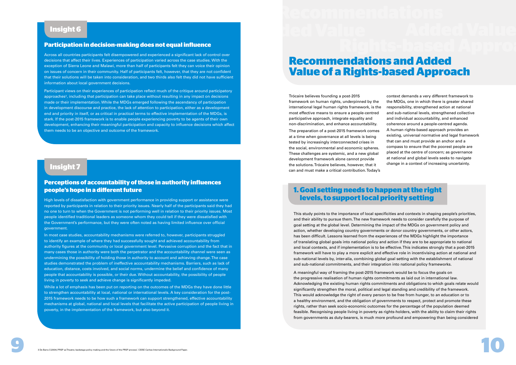### **Participation in decision-making does not equal influence**

Across all countries participants felt disempowered and experienced a significant lack of control over decisions that affect their lives. Experiences of participation varied across the case studies. With the exception of Sierra Leone and Malawi, more than half of participants felt they can voice their opinion on issues of concern in their community. Half of participants felt, however, that they are not confident that their solutions will be taken into consideration, and two thirds also felt they did not have sufficient information about local government decisions.

Participant views on their experiences of participation reflect much of the critique around participatory approaches<sup>3</sup> , including that participation can take place without resulting in any impact on decisions made or their implementation. While the MDGs emerged following the ascendancy of participation in development discourse and practice, the lack of attention to participation, either as a development end and priority in itself, or as critical in practical terms to effective implementation of the MDGs, is stark. If the post-2015 framework is to enable people experiencing poverty to be agents of their own development, enhancing their meaningful participation and capacity to influence decisions which affect them needs to be an objective and outcome of the framework.

## **Perceptions of accountability of those in authority influences people's hope in a diferent future**

High levels of dissatisfaction with government performance in providing support or assistance were reported by participants in relation to their priority issues. Nearly half of the participants said they had no one to turn to when the Government is not performing well in relation to their priority issues. Most people identified traditional leaders as someone whom they could tell if they were dissatisfied with the Government's performance, but they were often noted as having limited influence over official government.

In most case studies, accountability mechanisms were referred to, however, participants struggled to identify an example of where they had successfully sought and achieved accountability from authority figures at the community or local government level. Pervasive corruption and the fact that in many cases those in authority were both the perpetrator and the accountability channel were seen as undermining the possibility of holding those in authority to account and achieving change. The case studies demonstrated the problem of ineffective accountability mechanisms. Barriers, such as lack of education, distance, costs involved, and social norms, undermine the belief and confidence of many people that accountability is possible, or their due. Without accountability, the possibility of people living in poverty to seek and achieve change is significantly impeded.

While a lot of emphasis has been put on reporting on the outcomes of the MDGs they have done little to strengthen accountability at local, national or international levels. A key consideration for the post-2015 framework needs to be how such a framework can support strengthened, effective accountability mechanisms at global, national and local levels that facilitate the active participation of people living in poverty, in the implementation of the framework, but also beyond it.

# **Insight 6**

**1. Goal setting needs to happen at the right levels, to support local priority setting** 

# **Insight 7**

# **Recommendations and Added Value of a Rights-based Approach**

Trócaire believes founding a post-2015 framework on human rights, underpinned by the international legal human rights framework, is the most effective means to ensure a people-centred participative approach, integrate equality and non-discrimination, and enhance accountability.

The preparation of a post-2015 framework comes at a time when governance at all levels is being tested by increasingly interconnected crises in the social, environmental and economic spheres. These challenges are systemic, and a new global development framework alone cannot provide the solutions. Trócaire believes, however, that it can and must make a critical contribution. Today's

context demands a very different framework to the MDGs, one in which there is greater shared responsibility, strengthened action at national and sub-national levels, strengthened collective and individual accountability, and enhanced coherence around a people-centred agenda. A human rights-based approach provides an existing, universal normative and legal framework that can and must provide an anchor and a compass to ensure that the poorest people are placed at the centre of concern; as governance at national and global levels seeks to navigate change in a context of increasing uncertainty.



This study points to the importance of local specificities and contexts in shaping people's priorities, and their ability to pursue them. The new framework needs to consider carefully the purpose of goal setting at the global level. Determining the impact of the MDGs on government policy and action, whether developing country governments or donor country governments, or other actors, has been difficult. Lessons learned from the experiences of the MDGs highlight the importance of translating global goals into national policy and action if they are to be appropriate to national and local contexts, and if implementation is to be effective. This indicates strongly that a post-2015 framework will have to play a more explicit and effective role in incentivising action at national and sub-national levels by, inter-alia, combining global goal setting with the establishment of national and sub-national commitments, and their integration into national policy frameworks.

A meaningful way of framing the post-2015 framework would be to focus the goals on the progressive realisation of human rights commitments as laid out in international law. Acknowledging the existing human rights commitments and obligations to which goals relate would significantly strengthen the moral, political and legal standing and credibility of the framework. This would acknowledge the right of every person to be free from hunger, to an education or to a healthy environment, and the obligation of governments to respect, protect and promote these rights, rather than seek socio-economic outcomes for the percentage of the population deemed feasible. Recognising people living in poverty as rights-holders, with the ability to claim their rights from governments as duty-bearers, is much more profound and empowering than being considered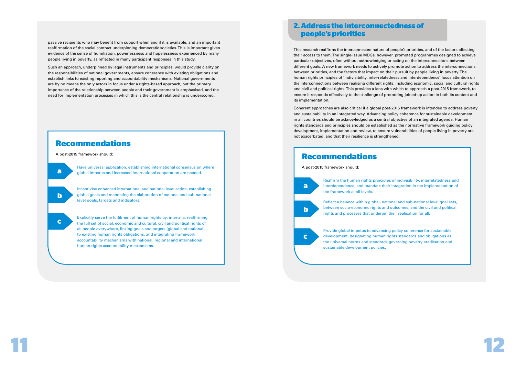

passive recipients who may benefit from support when and if it is available, and an important reaffirmation of the social contract underpinning democratic societies. This is important given evidence of the sense of humiliation, powerlessness and hopelessness experienced by many people living in poverty, as reflected in many participant responses in this study.

Such an approach, underpinned by legal instruments and principles, would provide clarity on the responsibilities of national governments, ensure coherence with existing obligations and establish links to existing reporting and accountability mechanisms. National governments are by no means the only actors in focus under a rights-based approach, but the primary importance of the relationship between people and their government is emphasised, and the need for implementation processes in which this is the central relationship is underscored.

# **Recommendations**

A post-2015 framework should:

Have universal application, establishing international consensus on where global impetus and increased international cooperation are needed.

Incentivise enhanced international and national level action, establishing global goals and mandating the elaboration of national and sub-national level goals, targets and indicators.

Explicitly serve the fulfilment of human rights by, inter-alia, reaffirming the full set of social, economic and cultural, civil and political rights of all people everywhere, linking goals and targets (global and national) to existing human rights obligations, and integrating framework accountability mechanisms with national, regional and international human rights accountability mechanisms.

**a**

**b**

**c**

# **2. Address the interconnectedness of people's priorities**

This research reaffirms the interconnected nature of people's priorities, and of the factors affecting their access to them. The single-issue MDGs, however, promoted programmes designed to achieve particular objectives, often without acknowledging or acting on the interconnections between different goals. A new framework needs to actively promote action to address the interconnections between priorities, and the factors that impact on their pursuit by people living in poverty. The human rights principles of 'indivisibility, inter-relatedness and interdependence' focus attention on the interconnections between realising different rights, including economic, social and cultural rights and civil and political rights. This provides a lens with which to approach a post-2015 framework, to ensure it responds effectively to the challenge of promoting joined-up action in both its content and its implementation.

Coherent approaches are also critical if a global post-2015 framework is intended to address poverty and sustainability in an integrated way. Advancing policy coherence for sustainable development in all countries should be acknowledged as a central objective of an integrated agenda. Human rights standards and principles should be established as the normative framework guiding policy development, implementation and review, to ensure vulnerabilities of people living in poverty are not exacerbated, and that their resilience is strengthened.

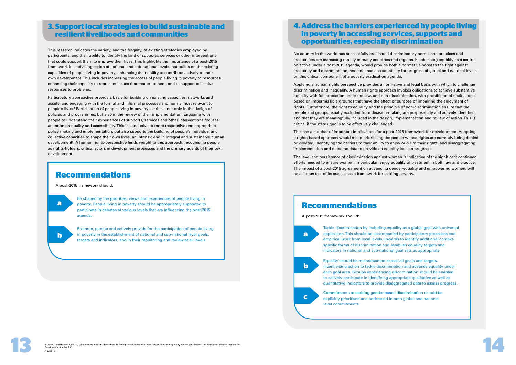# **3. Support local strategies to build sustainable and resilient livelihoods and communities**

This research indicates the variety, and the fragility, of existing strategies employed by participants, and their ability to identify the kind of supports, services or other interventions that could support them to improve their lives. This highlights the importance of a post-2015 framework incentivising action at national and sub-national levels that builds on the existing capacities of people living in poverty, enhancing their ability to contribute actively to their own development. This includes increasing the access of people living in poverty to resources, enhancing their capacity to represent issues that matter to them, and to support collective responses to problems.

Participatory approaches provide a basis for building on existing capacities, networks and assets, and engaging with the formal and informal processes and norms most relevant to people's lives.<sup>4</sup> Participation of people living in poverty is critical not only in the design of policies and programmes, but also in the review of their implementation. Engaging with people to understand their experiences of supports, services and other interventions focuses attention on quality and accessibility. This is conducive to more responsive and appropriate policy making and implementation, but also supports the building of people's individual and collective capacities to shape their own lives, an intrinsic end in integral and sustainable human development<sup>5</sup>. A human rights-perspective lends weight to this approach, recognising people as rights-holders, critical actors in development processes and the primary agents of their own development.

# **Recommendations**

A post-2015 framework should:

Be shaped by the priorities, views and experiences of people living in poverty. People living in poverty should be appropriately supported to participate in debates at various levels that are influencing the post-2015 agenda.

Promote, pursue and actively provide for the participation of people living in poverty in the establishment of national and sub-national level goals, targets and indicators, and in their monitoring and review at all levels.

**a**

**b**

# **4. Address the barriers experienced by people living in poverty in accessing services, supports and opportunities, especially discrimination**

No country in the world has successfully eradicated discriminatory norms and practices and inequalities are increasing rapidly in many countries and regions. Establishing equality as a central objective under a post-2015 agenda, would provide both a normative boost to the fight against inequality and discrimination, and enhance accountability for progress at global and national levels on this critical component of a poverty eradication agenda.



Applying a human rights perspective provides a normative and legal basis with which to challenge discrimination and inequality. A human rights approach invokes obligations to achieve substantive equality with full protection under the law, and non-discrimination, with prohibition of distinctions based on impermissible grounds that have the effect or purpose of impairing the enjoyment of rights. Furthermore, the right to equality and the principle of non-discrimination ensure that the people and groups usually excluded from decision-making are purposefully and actively identified, and that they are meaningfully included in the design, implementation and review of action. This is critical if the status quo is to be effectively challenged.

This has a number of important implications for a post-2015 framework for development. Adopting a rights-based approach would mean prioritising the people whose rights are currently being denied or violated, identifying the barriers to their ability to enjoy or claim their rights, and disaggregating implementation and outcome data to provide an equality lens on progress.

The level and persistence of discrimination against women is indicative of the significant continued efforts needed to ensure women, in particular, enjoy equality of treatment in both law and practice. The impact of a post-2015 agreement on advancing gender-equality and empowering women, will be a litmus test of its success as a framework for tackling poverty.

# **Recommendations**

A post-2015 framework should:

Tackle discrimination by including equality as a global goal with universal application. This should be accompanied by participatory processes and empirical work from local levels upwards to identify additional contextspecific forms of discrimination and establish equality targets and indicators in national and sub-national goal sets as appropriate. Equality should be mainstreamed across all goals and targets, incentivising action to tackle discrimination and advance equality under each goal area. Groups experiencing discrimination should be enabled to actively participate in identifying appropriate qualitative as well as quantitative indicators to provide disaggregated data to assess progress. Commitments to tackling gender-based discrimination should be explicitly prioritised and addressed in both global and national

**a**

**b**

**c**

level commitments.

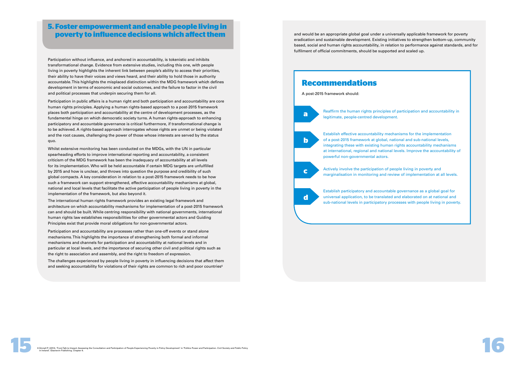Participation without influence, and anchored in accountability, is tokenistic and inhibits transformational change. Evidence from extensive studies, including this one, with people living in poverty highlights the inherent link between people's ability to access their priorities, their ability to have their voices and views heard, and their ability to hold those in authority accountable. This highlights the misplaced distinction within the MDG framework which defines development in terms of economic and social outcomes, and the failure to factor in the civil and political processes that underpin securing them for all.

# **5. Foster empowerment and enable people living in poverty to influence decisions which afect them**

Participation in public affairs is a human right and both participation and accountability are core human rights principles. Applying a human rights-based approach to a post-2015 framework places both participation and accountability at the centre of development processes, as the fundamental hinge on which democratic society turns. A human rights-approach to enhancing participatory and accountable governance is critical furthermore, if transformational change is to be achieved. A rights-based approach interrogates whose rights are unmet or being violated and the root causes, challenging the power of those whose interests are served by the status quo.

The challenges experienced by people living in poverty in influencing decisions that affect them and seeking accountability for violations of their rights are common to rich and poor countries<sup>6</sup>

Whilst extensive monitoring has been conducted on the MDGs, with the UN in particular spearheading efforts to improve international reporting and accountability, a consistent criticism of the MDG framework has been the inadequacy of accountability at all levels for its implementation. Who will be held accountable if certain MDG targets are unfulfilled by 2015 and how is unclear, and throws into question the purpose and credibility of such global compacts. A key consideration in relation to a post-2015 framework needs to be how such a framework can support strengthened, effective accountability mechanisms at global, national and local levels that facilitate the active participation of people living in poverty in the implementation of the framework, but also beyond it.

The international human rights framework provides an existing legal framework and architecture on which accountability mechanisms for implementation of a post-2015 framework can and should be built. While centring responsibility with national governments, international human rights law establishes responsibilities for other governmental actors and Guiding Principles exist that provide moral obligations for non-governmental actors.

Participation and accountability are processes rather than one-off events or stand alone mechanisms. This highlights the importance of strengthening both formal and informal mechanisms and channels for participation and accountability at national levels and in particular at local levels, and the importance of securing other civil and political rights such as the right to association and assembly, and the right to freedom of expression.

Reaffirm the human rights principles of participation and accountability in

at international, regional and national levels. Improve the accountability of



marginalisation in monitoring and review of implementation at all levels.

sub-national levels in participatory processes with people living in poverty.



and would be an appropriate global goal under a universally applicable framework for poverty eradication and sustainable development. Existing initiatives to strengthen bottom-up, community based, social and human rights accountability, in relation to performance against standards, and for fulfilment of official commitments, should be supported and scaled up.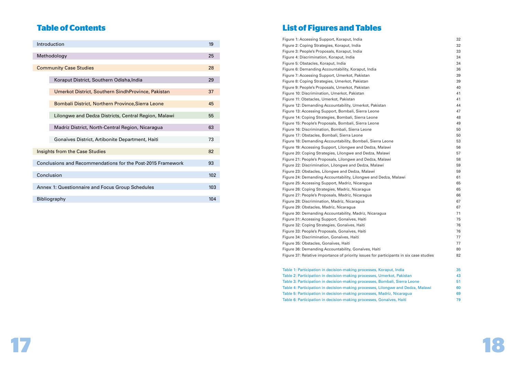

Figure 1: Accessing Support, Koraput, India 32 Figure 2: Coping Strategies, Koraput, India 32 Figure 3: People's Proposals, Koraput, India Figure 4: Discrimination, Koraput, India 34 Figure 5: Obstacles, Koraput, India 34 Figure 6: Demanding Accountability, Koraput, India 36 Figure 7: Accessing Support, Umerkot, Pakistan Figure 8: Coping Strategies, Umerkot, Pakistan Figure 9: People's Proposals, Umerkot, Pakistan Figure 10: Discrimination, Umerkot, Pakistan Figure 11: Obstacles, Umerkot, Pakistan Figure 12: Demanding Accountability, Umerkot, Pakistan 44 Figure 13: Accessing Support, Bombali, Sierra Leone Figure 14: Coping Strategies, Bombali, Sierra Leone Figure 15: People's Proposals, Bombali, Sierra Leone Figure 16: Discrimination, Bombali, Sierra Leone Figure 17: Obstacles, Bombali, Sierra Leone Figure 18: Demanding Accountability, Bombali, Sierra Leon Figure 19: Accessing Support, Lilongwe and Dedza, Malawi Figure 20: Coping Strategies, Lilongwe and Dedza, Malawi Figure 21: People's Proposals, Lilongwe and Dedza, Malawi Figure 22: Discrimination, Lilongwe and Dedza, Malawi Figure 23: Obstacles, Lilongwe and Dedza, Malawi Figure 24: Demanding Accountability, Lilongwe and Dedza, Figure 25: Accessing Support, Madriz, Nicaragua Figure 26: Coping Strategies, Madriz, Nicaragua Figure 27: People's Proposals, Madriz, Nicaragua Figure 28: Discrimination, Madriz, Nicaragua 67 Figure 29: Obstacles, Madriz, Nicaragua 67 Figure 30: Demanding Accountability, Madriz, Nicaragua 71 Figure 31: Accessing Support, Gonaïves, Haiti Figure 32: Coping Strategies, Gonaïves, Haiti 76 Figure 33: People's Proposals, Gonaïves, Haiti Figure 34: Discrimination, Gonaïves, Haiti Figure 35: Obstacles, Gonaïves, Haiti 77 Figure 36: Demanding Accountability, Gonaïves, Haiti Figure 37: Relative importance of priority issues for participal

Table 1: Participation in decision-making processes, Koraput, India Table 2: Participation in decision-making processes, Umerk Table 3: Participation in decision-making processes, Bomba Table 4: Participation in decision-making processes, Lilongy Table 5: Participation in decision-making processes, Madriz Table 6: Participation in decision-making processes, Gonaïv

| Introduction                                                | 19  |
|-------------------------------------------------------------|-----|
| Methodology                                                 | 25  |
| <b>Community Case Studies</b>                               | 28  |
| Koraput District, Southern Odisha, India                    | 29  |
| Umerkot District, Southern SindhProvince, Pakistan          | 37  |
| Bombali District, Northern Province, Sierra Leone           | 45  |
| Lilongwe and Dedza Districts, Central Region, Malawi        | 55  |
| Madriz District, North-Central Region, Nicaragua            | 63  |
| Gonaïves District, Artibonite Department, Haiti             | 73  |
| <b>Insights from the Case Studies</b>                       | 82  |
| Conclusions and Recommendations for the Post-2015 Framework | 93  |
| Conclusion                                                  | 102 |
| Annex 1: Questionnaire and Focus Group Schedules            | 103 |
| Bibliography                                                | 104 |

|                           | ےت |
|---------------------------|----|
|                           | 33 |
|                           | 34 |
|                           | 34 |
|                           | 36 |
|                           | 39 |
|                           | 39 |
|                           | 40 |
|                           | 41 |
|                           | 41 |
|                           | 44 |
|                           | 47 |
|                           | 48 |
|                           | 49 |
|                           | 50 |
|                           | 50 |
| ١e                        | 53 |
| i                         | 56 |
|                           | 57 |
| i                         | 58 |
|                           | 59 |
|                           | 59 |
| , Malawi                  | 61 |
|                           | 65 |
|                           | 65 |
|                           | 66 |
|                           | 67 |
|                           | 67 |
|                           | 71 |
|                           | 75 |
|                           | 76 |
|                           | 76 |
|                           | 77 |
|                           | 77 |
|                           | 80 |
| pants in six case studies | 82 |
|                           |    |
| ut, India                 | 35 |
| ot, Pakistan              | 43 |
| ali, Sierra Leone         | 51 |
| we and Dedza, Malawi      | 60 |
| , Nicaragua               | 69 |
| ves, Haiti                | 79 |
|                           |    |

# **Table of Contents List of Figures and Tables**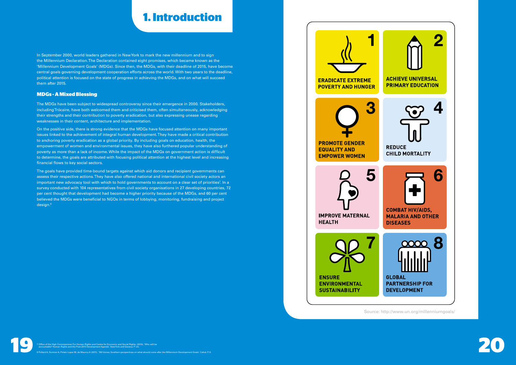# **1. Introduction**

In September 2000, world leaders gathered in New York to mark the new millennium and to sign the Millennium Declaration. The Declaration contained eight promises, which became known as the 'Millennium Development Goals' (MDGs). Since then, the MDGs, with their deadline of 2015, have become central goals governing development cooperation efforts across the world. With two years to the deadline, political attention is focused on the state of progress in achieving the MDGs, and on what will succeed them after 2015.

### **MDGs - A Mixed Blessing**

The MDGs have been subject to widespread controversy since their emergence in 2000. Stakeholders, including Trócaire, have both welcomed them and criticised them, often simultaneously, acknowledging their strengths and their contribution to poverty eradication, but also expressing unease regarding weaknesses in their content, architecture and implementation.

On the positive side, there is strong evidence that the MDGs have focused attention on many important issues linked to the achievement of integral human development. They have made a critical contribution to anchoring poverty eradication as a global priority. By including goals on education, health, the empowerment of women and environmental issues, they have also furthered popular understanding of poverty as more than a lack of income. While the impact of the MDGs on government action is difficult to determine, the goals are attributed with focusing political attention at the highest level and increasing financial flows to key social sectors.



The goals have provided time-bound targets against which aid donors and recipient governments can assess their respective actions. They have also offered national and international civil society actors an important new advocacy tool with which to hold governments to account on a clear set of priorities<sup>7</sup>. In a survey conducted with 104 representatives from civil society organisations in 27 developing countries, 72 per cent thought that development had become a higher priority because of the MDGs, and 60 per cent believed the MDGs were beneficial to NGOs in terms of lobbying, monitoring, fundraising and project design.<sup>8</sup>

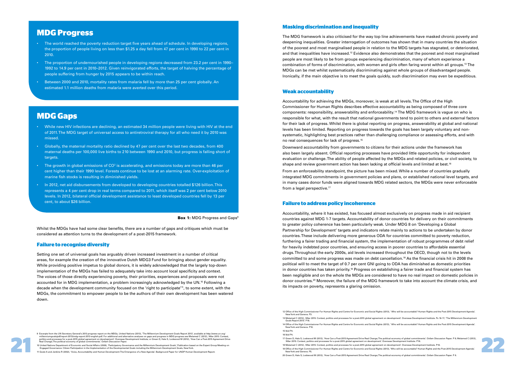# **MDG Progress**

- The world reached the poverty reduction target five years ahead of schedule. In developing regions, the proportion of people living on less than \$1.25 a day fell from 47 per cent in 1990 to 22 per cent in 2010.
- The proportion of undernourished people in developing regions decreased from 23.2 per cent in 1990– 1992 to 14.9 per cent in 2010–2012. Given reinvigorated efforts, the target of halving the percentage of people suffering from hunger by 2015 appears to be within reach.
- Between 2000 and 2010, mortality rates from malaria fell by more than 25 per cent globally. An estimated 1.1 million deaths from malaria were averted over this period.

# **MDG Gaps**

- While new HIV infections are declining, an estimated 34 million people were living with HIV at the end of 2011. The MDG target of universal access to antiretroviral therapy for all who need it by 2010 was missed.
- Globally, the maternal mortality ratio declined by 47 per cent over the last two decades, from 400 maternal deaths per 100,000 live births to 210 between 1990 and 2010, but progress is falling short of targets.
- The growth in global emissions of CO<sup>2</sup> is accelerating, and emissions today are more than 46 per cent higher than their 1990 level. Forests continue to be lost at an alarming rate. Over-exploitation of marine fish stocks is resulting in diminished yields.
- In 2012, net aid disbursements from developed to developing countries totalled \$126 billion. This represents a 4 per cent drop in real terms compared to 2011, which itself was 2 per cent below 2010 levels. In 2012, bilateral official development assistance to least developed countries fell by 13 per cent, to about \$26 billion.

#### **Box 1: MDG Progress and Gaps<sup>9</sup>**

### **Failure to recognise diversity**

Downward accountability from governments to citizens for their actions under the framework has also been largely absent. Official reporting processes have provided little opportunity for independent evaluation or challenge. The ability of people affected by the MDGs and related policies, or civil society, to shape and review government action has been lacking at official levels and limited at best.16  $\,$ From an enforceability standpoint, the picture has been mixed. While a number of countries gradually integrated MDG commitments in government policies and plans, or established national level targets, and in many cases donor funds were aligned towards MDG related sectors, the MDGs were never enforceable from a legal perspective.<sup>17</sup>

Setting one set of universal goals has arguably driven increased investment in a number of critical areas, for example the creation of the innovative Dutch MDG3 Fund for bringing about gender equality. While providing positive impetus to global donors, it is widely acknowledged that the largely top-down implementation of the MDGs has failed to adequately take into account local specificity and context. The voices of those directly experiencing poverty, their priorities, experiences and proposals were not accounted for in MDG implementation, a problem increasingly acknowledged by the UN.<sup>10</sup> Following a decade when the development community focused on the 'right to participate'<sup>11</sup>, to some extent, with the MDGs, the commitment to empower people to be the authors of their own development has been watered down.

9 Excepts form the UN Secretary General State of one of the Millen Resident of the Millen and Internative and internative and properse and properse and properse and properse and properse and properses are Millen and a Mill

10 United Nations Department of Economic and Social Affairs (2006), 'Participatory Governance and the Millennium Development Goals', Publication based on the Expert Group Meeting on<br>Engaged Governance: Citizen Participatio

#### **Masking discrimination and inequality**

The MDG framework is also criticised for the way top line achievements have masked chronic poverty and deepening inequalities. Greater interrogation of outcomes has shown that in many countries the situation of the poorest and most marginalised people in relation to the MDG targets has stagnated, or deteriorated, and that inequalities have increased.<sup>12</sup> Evidence also demonstrates that the poorest and most marginalised people are most likely to be from groups experiencing discrimination, many of whom experience a combination of forms of discrimination, with women and girls often faring worst within all groups.<sup>13</sup> The MDGs can be met whilst systematically discriminating against whole groups of disadvantaged people. Ironically, if the main objective is to meet the goals quickly, such discrimination may even be expeditious.

#### **Weak accountability**

Accountability for achieving the MDGs, moreover, is weak at all levels. The Office of the High Commissioner for Human Rights describes effective accountability as being composed of three core components: responsibility, answerability and enforceability.<sup>14</sup>The MDG framework is vague on who is responsible for what, with the result that national governments tend to point to others and external factors for their lack of progress. Whilst there is global reporting on progress, answerability at global and national levels has been limited. Reporting on progress towards the goals has been largely voluntary and nonsystematic, highlighting best practices rather than challenging compliance or assessing efforts, and with no real consequences for lack of progress.<sup>15</sup>

### **Failure to address policy incoherence**

Accountability, where it has existed, has focused almost exclusively on progress made in aid recipient countries against MDG 1-7 targets. Accountability of donor countries for delivery on their commitments to greater policy coherence has been particularly weak. Under MDG 8 on 'Developing a Global Partnership for Development' targets and indicators relate mainly to actions to be undertaken by donor countries. These include delivering more generous ODA for countries committed to poverty reduction, furthering a fairer trading and financial system, the implementation of robust programmes of debt relief for heavily indebted poor countries, and ensuring access in poorer countries to affordable essential drugs. Throughout the early 2000s, aid levels increased throughout the OECD, though not to the levels committed to and some progress was made on debt cancellation.<sup>18</sup> As the financial crisis hit in 2008 the political will to meet the target of 0.7 per cent GNI going to ODA has diminished as domestic priorities in donor countries has taken priority.<sup>19</sup> Progress on establishing a fairer trade and financial system has been negligible and on the whole the MDGs are considered to have no real impact on domestic policies in donor countries.<sup>20</sup> Moreover, the failure of the MDG framework to take into account the climate crisis, and its impacts on poverty, represents a glaring omission.

11 Goetz A and Jenkins R (2002), 'Voice, Accountability and Human Development: The Emergence of a New Agenda'. Background Paper for UNDP Human Development Report.

13 Melamed C (2012), 'After 2015: Context, politics and processes for a post-2015 global agreement on development'. Overseas Development Institute. Ps 16-17; 'The Millennium Development



Whilst the MDGs have had some clear benefits, there are a number of gaps and critiques which must be considered as attention turns to the development of a post-2015 framework.

<sup>17</sup> Green D, Hale S, Lockwood M (2012), 'How Can a Post-2015 Agreement Drive Real Change;The political economy of global commitments'. Oxfam Discussion Paper. P 9; Melamed C (2012),<br>'After 2015: Context, politics and proces 18 Melamed C (2012), 'After 2015: Context, politics and processes for a post-2015 global agreement on development'. Overseas Development Institute. P18.

<sup>12</sup> Office of the High Commissioner For Human Rights and Centre for Economic and Social Rights (2013), ' Who will be accountable? Human Rights and the Post-2015 Development Agenda'. New York and Geneva. P3.

Goals Report 2013'. P16.

<sup>14</sup> Office of the High Commissioner For Human Rights and Centre for Economic and Social Rights (2013), ' Who will be accountable? Human Rights and the Post-2015 Development Agenda'. New York and Geneva. P10.

<sup>15</sup> Ibid P4.

<sup>16</sup> Ibid P4.

<sup>19</sup> Office of the High Commissioner For Human Rights and Centre for Economic and Social Rights (2013), 'Who will be accountable? Human Rights and the Post-2015 Development Agenda'. New York and Geneva. P5.

<sup>20</sup> Green D, Hale S, Lockwood M (2012), 'How Can a Post-2015 Agreement Drive Real Change; The political economy of global commitments'. Oxfam Discussion Paper. P 8.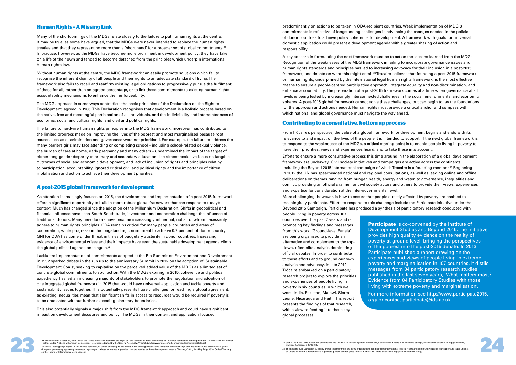#### **Human Rights – A Missing Link**

Many of the shortcomings of the MDGs relate closely to the failure to put human rights at the centre. It may be true, as some have argued, that the MDGs were never intended to replace the human rights treaties and that they represent no more than a 'short hand' for a broader set of global commitments.<sup>21</sup> In practice, however, as the MDGs have become more prominent in development policy, they have taken on a life of their own and tended to become detached from the principles which underpin international human rights law.

 Without human rights at the centre, the MDG framework can easily promote solutions which fail to recognise the inherent dignity of all people and their rights to an adequate standard of living. The framework also fails to recall and reaffirm existing legal obligations to progressively pursue the fulfilment of these for all, rather than an agreed percentage, or to link these commitments to existing human rights accountability mechanisms to enhance their enforceability.

As attention increasingly focuses on 2015, the development and implementation of a post-2015 framework offers a significant opportunity to build a more robust global framework that can respond to today's context. Much has changed since the adoption of the Millennium Declaration. Shifts in geopolitical and financial influence have seen South-South trade, investment and cooperation challenge the influence of traditional donors. Many new donors have become increasingly influential, not all of whom necessarily adhere to human rights principles. ODA remains critical for many people, countries and areas of cooperation, while progress on the longstanding commitment to achieve 0.7 per cent of donor country GNI for ODA has come under threat in times of budgetary austerity in donor countries. Increasing evidence of environmental crises and their impacts have seen the sustainable development agenda climb the global political agenda once again.<sup>22</sup>

The MDG approach in some ways contradicts the basic principles of the Declaration on the Right to Development, agreed in 1986. This Declaration recognises that development is a holistic process based on the active, free and meaningful participation of all individuals, and the indivisibility and interrelatedness of economic, social and cultural rights, and civil and political rights.

The failure to hardwire human rights principles into the MDG framework, moreover, has contributed to the limited progress made on improving the lives of the poorest and most marginalised because root causes such as discrimination and governance were not prioritised. For example, the failure to address the many barriers girls may face attending or completing school – including school-related sexual violence, the burden of care at home, early pregnancy and many others – undermined the impact of the target of eliminating gender disparity in primary and secondary education. The almost exclusive focus on tangible outcomes of social and economic development, and lack of inclusion of rights and principles relating to participation, accountability, ignored critical civil and political rights and the importance of citizen mobilisation and action to achieve their development priorities.

#### **A post-2015 global framework for development**

23 Global Thematic Consultation on Governance and The Post-2015 Development Framework, Consultation Report. P26. Available at http://www.worldwewant2015.org/governance, finalreport. Accessed 28/8/2013.

,24 The Beyond 2015 Campaign currently brings together more than 800 organisations ranging from international to local NGOs and community-based organisations, to trade unions, and unions, to trade unions, to trade unions,



Lacklustre implementation of commitments adopted at the Rio Summit on Environment and Development in 1992 sparked debate in the run up to the anniversary Summit in 2012 on the adoption of 'Sustainable Development Goals', seeking to capitalise on the perceived added value of the MDGs as a limited set of concrete global commitments to spur action. With the MDGs expiring in 2015, coherence and political expediency has led an increasing majority of stakeholders to promote the negotiation and adoption of one integrated global framework in 2015 that would have universal application and tackle poverty and sustainability issues together. This potentially presents huge challenges for reaching a global agreement, as existing inequalities mean that significant shifts in access to resources would be required if poverty is to be eradicated without further exceeding planetary boundaries.

This also potentially signals a major shift from the MDG framework approach and could have significant impact on development discourse and policy. The MDGs in their content and application focused

### **Contributing to a consultative, bottom up process**

From Trócaire's perspective, the value of a global framework for development begins and ends with its relevance to and impact on the lives of the people it is intended to support. If the next global framework is to respond to the weaknesses of the MDGs, a critical starting point is to enable people living in poverty to have their priorities, views and experiences heard, and to take these into account.

> **Participate** is co-convened by the Institute of Development Studies and Beyond 2015. The initiative provides high quality evidence on the reality of poverty at ground level, bringing the perspectives of the poorest into the post-2015 debate. In 2013 Participate published a report drawing on the experiences and views of people living in extreme poverty and marginalisation in 107 countries. It distils messages from 84 participatory research studies published in the last seven years, 'What matters most? Evidence from 84 Participatory Studies with those living with extreme poverty and marginalisation'.

Efforts to ensure a more consultative process this time around in the elaboration of a global development framework are underway. Civil society initiatives and campaigns are active across the continents, including the Beyond 2015 international campaign of which Trócaire is a founding member.<sup>24</sup> Beginning in 2012 the UN has spearheaded national and regional consultations, as well as leading online and offline deliberations on themes ranging from hunger, health, energy and water, to governance, inequalities and conflict, providing an official channel for civil society actors and others to provide their views, experiences and expertise for consideration at the inter-governmental level.

More challenging, however, is how to ensure that people directly affected by poverty are enabled to meaningfully participate. Efforts to respond to this challenge include the Participate initiative under the Beyond 2015 Campaign. Participate has produced a synthesis of participatory research conducted with

people living in poverty across 107 countries over the past 7 years and is promoting key findings and messages from this work. 'Ground-level Panels' are being organised to provide an alternative and complement to the topdown, often elite analysis dominating official debates. In order to contribute to these efforts and to ground our own analysis and advocacy, in late 2012 Trócaire embarked on a participatory research project to explore the priorities and experiences of people living in poverty in six countries in which we work: India, Pakistan, Malawi, Sierra Leone, Nicaragua and Haiti. This report presents the findings of that research, with a view to feeding into these key global processes.

predominantly on actions to be taken in ODA-recipient countries. Weak implementation of MDG 8 commitments is reflective of longstanding challenges in advancing the changes needed in the policies of donor countries to achieve policy coherence for development. A framework with goals for universal domestic application could present a development agenda with a greater sharing of action and responsibility.

A key concern in formulating the next framework must be to act on the lessons learned from the MDGs. Recognition of the weaknesses of the MDG framework in failing to incorporate governance issues and human rights standards and principles has led to increasing advocacy for their inclusion in a post-2015 framework, and debate on what this might entail.<sup>23</sup> Trócaire believes that founding a post-2015 framework on human rights, underpinned by the international legal human rights framework, is the most effective means to ensure a people-centred participative approach, integrate equality and non-discrimination, and enhance accountability. The preparation of a post-2015 framework comes at a time when governance at all levels is being tested by increasingly interconnected challenges in the social, environmental and economic spheres. A post-2015 global framework cannot solve these challenges, but can begin to lay the foundations for the approach and actions needed. Human rights must provide a critical anchor and compass with which national and global governance must navigate the way ahead.

> For more information see http://www.participate2015. org/ or contact participate@ids.ac.uk.

The Millennium Declaration, from which the MDGs are drawn, reaffirms the Right to Development and recalls the body of international treaties deriving from the UN Declaration of Human<br>Rights. United Nations Millennium Decla

21 The Millennium Declaration, from which the MDGs are drawn, reaffirms the Right to Development and recalls the body of international tractios deriving from the UN Declaration of Human<br>Rights. United Nations Millennium De 22 Trócaire's Leading Edge report in 2011 looked at the major trends affecting development in the coming decades and identified climate change and natural resource pressures as 'game<br>changers' generating a growing comes in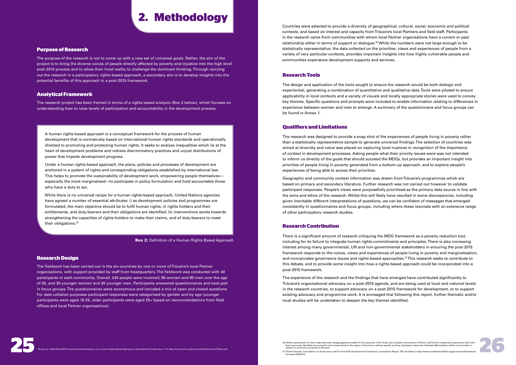#### **Research Tools**

The design and application of the tools sought to ensure the research would be both dialogic and experiential, generating a combination of quantitative and qualitative data. Tools were piloted to ensure applicability in local contexts and a variety of visuals and locally appropriate stories were used to convey key themes. Specific questions and prompts were included to enable information relating to differences in experience between women and men to emerge. A summary of the questionnaire and focus groups can be found in Annex 1.

#### **Qualifiers and Limitations**

The research was designed to provide a snap shot of the experiences of people living in poverty rather than a statistically representative sample to generate universal findings. The selection of countries was aimed at diversity and value was placed on capturing local nuances in recognition of the importance of context in development processes. Asking people what their priority issues were was not intended to inform us directly of the goals that should succeed the MDGs, but provides an important insight into priorities of people living in poverty generated from a bottom-up approach, and to explore people's experiences of being able to access their priorities.

There is a significant amount of research critiquing the MDG framework as a poverty reduction tool, including for its failure to integrate human rights commitments and principles. There is also increasing interest among many governmental, UN and non-governmental stakeholders in ensuring the post-2015 framework responds to the voices, views and experiences of people living in poverty and marginalisation, and incorporates governance issues and rights-based approaches.<sup>27</sup> This research seeks to contribute to this debate, and to provide some insight into how a rights-based approach could be incorporated into a post-2015 framework.

Geographic and community context information was drawn from Trócaire's programmes which are based on primary and secondary literature. Further research was not carried out however to validate participant responses. People's views were purposefully prioritised as the primary data source in line with the aims and ethos of the research. Whilst this will likely have resulted in some discrepancies, including given inevitable different interpretations of questions, we can be confident of messages that emerged consistently in questionnaires and focus groups, including where these resonate with an extensive range of other participatory research studies.

### **Research Contribution**

The experience of the research and the findings that have emerged have contributed significantly to Trócaire's organisational advocacy on a post-2015 agenda, and are being used at local and national levels in the research countries, to support advocacy on a post-2015 framework for development, or to support existing advocacy and programme work. It is envisaged that following this report, further thematic and/or local studies will be undertaken to deepen the key themes identified.

# **2. Methodology**

### **Purpose of Research**

The purpose of the research is not to come up with a new set of universal goals. Rather, the aim of the project is to bring the diverse voices of people directly affected by poverty and injustice into the high level post-2015 process and to allow their lived reality to challenge the dominant thinking. Through carrying out the research in a participatory rights-based approach, a secondary aim is to develop insights into the potential benefits of this approach in a post-2015 framework.

### **Analytical Framework**

27 Global Thematic Consultation on Governance and The Post-2015 Development Framework, Consultation Report. P26. Available at http://www.worldwewant2015.org/go Accessed 28/8/2013.

extion. P. 15 http://www.ohchr.org/Documents/Publications/FAQen.pd<br>.





The research project has been framed in terms of a rights based analysis (Box 2 below), which focuses on understanding how to raise levels of participation and accountability in the development process.

#### **Research Design**

The fieldwork has been carried out in the six countries by one or more of Trócaire's local Partner organisations, with support provided by staff from headquarters. The fieldwork was conducted with 40 participants in each community. Overall, 240 people were involved; 90 women and 90 men over the age of 30, and 30 younger women and 30 younger men. Participants answered questionnaires and took part in focus groups. The questionnaires were anonymous and included a mix of open and closed questions. For data collation purposes participant responses were categorised by gender and by age (younger participants were aged 18-25, older participants were aged 25+ based on recommendations from field offices and local Partner organisations).

A human rights-based approach is a conceptual framework for the process of human development that is normatively based on international human rights standards and operationally directed to promoting and protecting human rights. It seeks to analyse inequalities which lie at the heart of development problems and redress discriminatory practices and unjust distributions of power that impede development progress.

Under a human rights-based approach, the plans, policies and processes of development are anchored in a system of rights and corresponding obligations established by international law. This helps to promote the sustainability of development work, empowering people themselves especially the most marginalised—to participate in policy formulation and hold accountable those who have a duty to act.

While there is no universal recipe for a human rights-based approach, United Nations agencies have agreed a number of essential attributes: i) as development policies and programmes are formulated, the main objective should be to fulfil human rights; ii) rights holders and their entitlements, and duty-bearers and their obligations are identified; iii) interventions works towards strengthening the capacities of rights-holders to make their claims, and of duty-bearers to meet their obligations.<sup>25</sup>

**Box 2:** Definition of a Human Rights Based Approach

Countries were selected to provide a diversity of geographical, cultural, social, economic and political contexts, and based on interest and capacity from Trócaire's local Partners and field staff. Participants in the research came from communities with whom local Partner organisations have a current or past relationship either in terms of support or dialogue.<sup>26</sup> While the numbers were not large enough to be statistically representative, the data collected on the priorities, views and experiences of people from a variety of very particular contexts, provides important insights into how highly vulnerable people and communities experience development supports and services.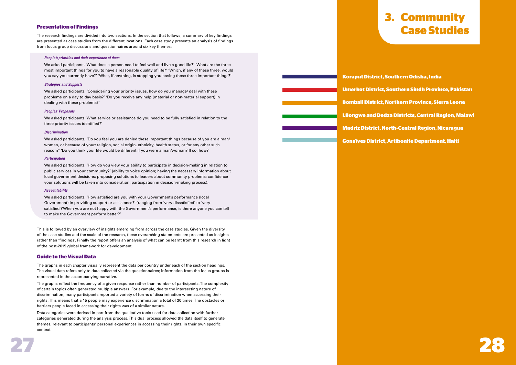

### **Presentation of Findings**

The research findings are divided into two sections. In the section that follows, a summary of key findings are presented as case studies from the different locations. Each case study presents an analysis of findings from focus group discussions and questionnaires around six key themes:

#### **People's priorities and their experience of them**

We asked participants 'What does a person need to feel well and live a good life?' 'What are the three most important things for you to have a reasonable quality of life?' 'Which, if any of these three, would you say you currently have?' 'What, if anything, is stopping you having these three important things?'

#### **Strategies and Supports**

We asked participants, 'Considering your priority issues, how do you manage/ deal with these problems on a day to day basis?' 'Do you receive any help (material or non-material support) in dealing with these problems?'

#### **Peoples' Proposals**

We asked participants 'What service or assistance do you need to be fully satisfied in relation to the three priority issues identified?'

#### **Discrimination**

We asked participants, 'Do you feel you are denied these important things because of you are a man/ woman, or because of your; religion, social origin, ethnicity, health status, or for any other such reason?' 'Do you think your life would be different if you were a man/woman? If so, how?'

#### **Participation**

We asked participants, 'How do you view your ability to participate in decision-making in relation to public services in your community?' (ability to voice opinion; having the necessary information about local government decisions; proposing solutions to leaders about community problems; confidence your solutions will be taken into consideration; participation in decision-making process).

#### **Accountability**

We asked participants, 'How satisfied are you with your Government's performance (local Government) in providing support or assistance?' (ranging from 'very dissatisfied' to 'very satisfied')'When you are not happy with the Government's performance, is there anyone you can tell to make the Government perform better?'

This is followed by an overview of insights emerging from across the case studies. Given the diversity of the case studies and the scale of the research, these overarching statements are presented as insights rather than 'findings'. Finally the report offers an analysis of what can be learnt from this research in light of the post-2015 global framework for development.

#### **Guide to the Visual Data**

The graphs in each chapter visually represent the data per country under each of the section headings. The visual data refers only to data collected via the questionnaires; information from the focus groups is represented in the accompanying narrative.

The graphs reflect the frequency of a given response rather than number of participants. The complexity of certain topics often generated multiple answers. For example, due to the intersecting nature of discrimination, many participants reported a variety of forms of discrimination when accessing their rights. This means that a 15 people may experience discrimination a total of 30 times. The obstacles or barriers people faced in accessing their rights was of a similar nature.

Data categories were derived in part from the qualitative tools used for data collection with further categories generated during the analysis process. This dual process allowed the data itself to generate themes, relevant to participants' personal experiences in accessing their rights, in their own specific context.



# **3. Community Case Studies**

**Koraput District, Southern Odisha, India Umerkot District, Southern Sindh Province, Pakistan Bombali District, Northern Province, Sierra Leone Lilongwe and Dedza Districts, Central Region, Malawi Madriz District, North-Central Region, Nicaragua Gonaïves District, Artibonite Department, Haiti**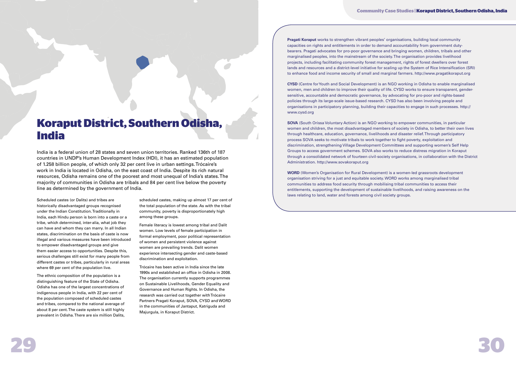

# **Koraput District, Southern Odisha, India**

India is a federal union of 28 states and seven union territories. Ranked 136th of 187 countries in UNDP's Human Development Index (HDI), it has an estimated population of 1.258 billion people, of which only 32 per cent live in urban settings. Trócaire's work in India is located in Odisha, on the east coast of India. Despite its rich natural resources, Odisha remains one of the poorest and most unequal of India's states. The majority of communities in Odisha are tribals and 84 per cent live below the poverty line as determined by the government of India.

Scheduled castes (or Dalits) and tribes are historically disadvantaged groups recognised under the Indian Constitution. Traditionally in India, each Hindu person is born into a caste or a tribe, which determined, inter-alia, what job they can have and whom they can marry. In all Indian states, discrimination on the basis of caste is now illegal and various measures have been introduced to empower disadvantaged groups and give them easier access to opportunities. Despite this, serious challenges still exist for many people from different castes or tribes, particularly in rural areas where 69 per cent of the population live.

The ethnic composition of the population is a distinguishing feature of the State of Odisha. Odisha has one of the largest concentrations of indigenous people in India, with 22 per cent of the population composed of scheduled castes and tribes, compared to the national average of about 8 per cent. The caste system is still highly prevalent in Odisha. There are six million Dalits,

scheduled castes, making up almost 17 per cent of the total population of the state. As with the tribal community, poverty is disproportionately high among these groups.

Female literacy is lowest among tribal and Dalit women. Low levels of female participation in formal employment, poor political representation of women and persistent violence against women are prevailing trends. Dalit women experience intersecting gender and caste-based discrimination and exploitation.

Trócaire has been active in India since the late 1990s and established an office in Odisha in 2008. The organisation currently supports programmes on Sustainable Livelihoods, Gender Equality and Governance and Human Rights. In Odisha, the research was carried out together with Trócaire Partners Pragati Koraput, SOVA, CYSD and WORD in the communities of Jantaput, Katriguda and Majurgula, in Koraput District.

**Pragati Koraput** works to strengthen vibrant peoples' organisations, building local community capacities on rights and entitlements in order to demand accountability from government dutybearers. Pragati advocates for pro-poor governance and bringing women, children, tribals and other marginalised peoples, into the mainstream of the society. The organisation provides livelihood projects, including facilitating community forest management, rights of forest dwellers over forest lands and resources and a district-level initiative for scaling up the System of Rice Intensification (SRI) to enhance food and income security of small and marginal farmers. http://www.pragatikoraput.org

**CYSD** (Centre for Youth and Social Development) is an NGO working in Odisha to enable marginalised women, men and children to improve their quality of life. CYSD works to ensure transparent, gendersensitive, accountable and democratic governance, by advocating for pro-poor and rights-based policies through its large-scale issue-based research. CYSD has also been involving people and organisations in participatory planning, building their capacities to engage in such processes. http:// www.cysd.org

**SOVA** (South Orissa Voluntary Action) is an NGO working to empower communities, in particular women and children, the most disadvantaged members of society in Odisha, to better their own lives through healthcare, education, governance, livelihoods and disaster relief. Through participatory process SOVA seeks to motivate tribals to work together to fight poverty, exploitation and discrimination, strengthening Village Development Committees and supporting women's Self Help Groups to access government schemes. SOVA also works to reduce distress migration in Koraput through a consolidated network of fourteen civil-society organisations, in collaboration with the District Administration. http://www.sovakoraput.org

**WORD** (Women's Organisation for Rural Development) is a women-led grassroots development organisation striving for a just and equitable society. WORD works among marginalised tribal communities to address food security through mobilising tribal communities to access their entitlements, supporting the development of sustainable livelihoods, and raising awareness on the laws relating to land, water and forests among civil society groups.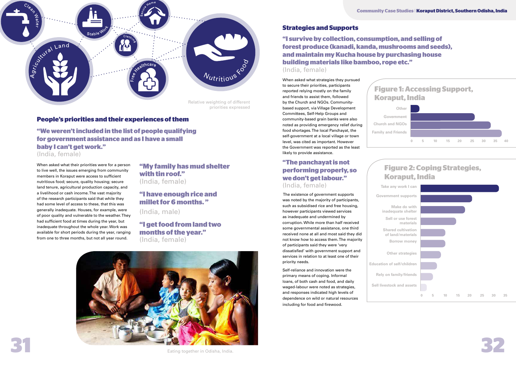

When asked what their priorities were for a person to live well, the issues emerging from community members in Koraput were access to sufficient nutritious food; secure, quality housing; secure land tenure, agricultural production capacity, and a livelihood or cash income. The vast majority of the research participants said that while they had some level of access to these, that this was generally inadequate. Houses, for example, were of poor quality and vulnerable to the weather. They had sufficient food at times during the year, but inadequate throughout the whole year. Work was available for short periods during the year, ranging from one to three months, but not all year round.

# **Figure 1: Accessing Support, Koraput, India**



When asked what strategies they pursued to secure their priorities, participants reported relying mostly on the family and friends to assist them, followed by the Church and NGOs. Communitybased support, via Village Development Committees, Self-Help Groups and community-based grain banks were also noted as providing emergency relief during food shortages. The local Panchayat, the self-government at a local village or town level, was cited as important. However the Government was reported as the least likely to provide assistance.

# **"The panchayat is not performing properly, so we don't get labour."** (India, female)

 The existence of government supports was noted by the majority of participants, such as subsidised rice and free housing, however participants viewed services as inadequate and undermined by corruption. While more than half received some governmental assistance, one third received none at all and most said they did not know how to access them. The majority of participants said they were 'very dissatisfied' with government support and services in relation to at least one of their priority needs.

Self-reliance and innovation were the primary means of coping. Informal loans, of both cash and food, and daily waged-labour were noted as strategies, and responses indicated high levels of dependence on wild or natural resources including for food and firewood.

**"I survive by collection, consumption, and selling of forest produce (kanadi, kanda, mushrooms and seeds), and maintain my Kucha house by purchasing house building materials like bamboo, rope etc."** (India, female)

**"My family has mud shelter with tin roof."**  (India, female)

# **"I have enough rice and millet for 6 months. "**

(India, male)

**"I get food from land two months of the year."**  (India, female)

**Take any work I can**

# **Figure 2: Coping Strategies, Koraput, India**

**Make do with inadequate shelter**

**Government supports**

**Sell or use forest materials**





**Shared cultivation of land/materials Borrow money**

**Other strategies**

**Education of self/children**

**Rely on family/friends**

**Sell livestock and assets**

**"We weren't included in the list of people qualifying for government assistance and as I have a small baby I can't get work."**

(India, female)

## **Strategies and Supports**

# **People's priorities and their experiences of them**

Eating together in Odisha, India.

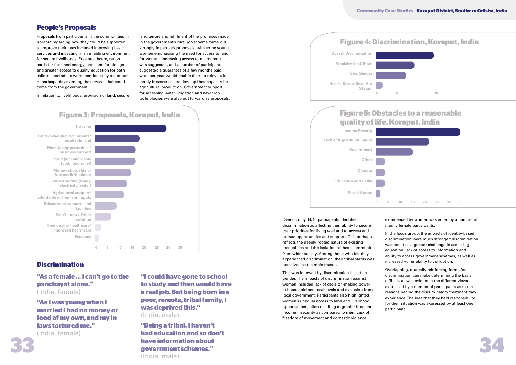**Community Case Studies** | **Koraput District, Southern Odisha, India** 

# **People's Proposals**

# **Discrimination**

Proposals from participants in the communities in Koraput regarding how they could be supported to improve their lives included improving basic services and investing in an enabling environment for secure livelihoods. Free healthcare, ration cards for food and energy, pensions for old age and greater access to quality education for both children and adults were mentioned by a number of participants as among the services that could come from the government.

In relation to livelihoods, provision of land, secure

land tenure and fulfilment of the promises made in the government's rural job scheme came out strongly in people's proposals, with some young women emphasising the need for access to land for women. Increasing access to microcredit was suggested, and a number of participants suggested a guarantee of a few months paid work per year would enable them to reinvest in family businesses and develop their capacity for agricultural production. Government support for accessing water, irrigation and new crop technologies were also put forward as proposals.

> Overall, only 14/40 participants identified discrimination as affecting their ability to secure their priorities for living well and to access and pursue opportunities and supports. This perhaps reflects the deeply rooted nature of existing inequalities and the isolation of these communities from wider society. Among those who felt they experienced discrimination, their tribal status was perceived as the main reason.

**33 34 "Being a tribal, I haven't had education and so don't have information about government schemes."** (India, male)

This was followed by discrimination based on gender. The impacts of discrimination against women included lack of decision-making power at household and local levels and exclusion from local government. Participants also highlighted women's unequal access to land and livelihood opportunities, often resulting in greater food and income insecurity as compared to men. Lack of freedom of movement and domestic violence

experienced by women was noted by a number of mainly female participants.

In the focus group, the impacts of identity-based discrimination were much stronger; discrimination was noted as a greater challenge in accessing education, lack of access to information and ability to access government schemes, as well as increased vulnerability to corruption.

Overlapping, mutually reinforcing forms for discrimination can make determining the basis difficult, as was evident in the different views expressed by a number of participants as to the reasons behind the discriminatory treatment they experience. The idea that they held responsibility for their situation was expressed by at least one participant.



**"I could have gone to school to study and then would have a real job. But being born in a poor, remote, tribal family, I was deprived this."** (India, male)

**"As a female … I can't go to the panchayat alone."**  (India, female)

**"As I was young when I married I had no money or food of my own, and my in laws tortured me."**  (India, female)





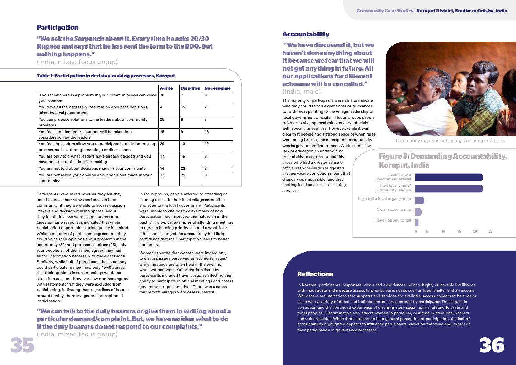

# **Participation**

## **Accountability**

### **Table 1: Participation in decision-making processes, Koraput**

Participants were asked whether they felt they could express their views and ideas in their community, if they were able to access decision makers and decision-making spaces, and if they felt their views were taken into account. Questionnaire responses indicated that while participation opportunities exist, quality is limited. While a majority of participants agreed that they could voice their opinions about problems in the community (30) and propose solutions (25), only four people, all of them men, agreed they had all the information necessary to make decisions. Similarly, while half of participants believed they could participate in meetings, only 15/40 agreed that their opinions in such meetings would be taken into account. However, low numbers agreed with statements that they were excluded from participating; indicating that, regardless of issues around quality, there is a general perception of participation.

In focus groups, people referred to attending or sending issues to their local village committee and even to the local government. Participants were unable to cite positive examples of how participation had improved their situation in the past, citing typical examples of attending meetings to agree a housing priority list, and a week later it has been changed. As a result they had little confidence that their participation leads to better outcomes.

Women reported that women were invited only to discuss issues perceived as 'women's issues', while meetings are often held in the evening, when women work. Other barriers listed by participants included travel costs, as affecting their ability to participate in official meetings and access government representatives. There was a sense that remote villages were of less interest.

# **"We ask the Sarpanch about it. Every time he asks 20/30 Rupees and says that he has sent the form to the BDO. But nothing happens."**

(India, mixed focus group)

lack of education as undermining their ability to seek accountability, those who had a greater sense of official responsibilities suggested change was impossible, and that seeking it risked access to existing services.



**"We can talk to the duty bearers or give them in writing about a particular demand/complaint. But, we have no idea what to do if the duty bearers do not respond to our complaints."**

(India, mixed focus group)

|                                                                            | <b>Agree</b> | <b>Disagree</b> | <b>No response</b> | schemes will be cancelled."                                                                            |
|----------------------------------------------------------------------------|--------------|-----------------|--------------------|--------------------------------------------------------------------------------------------------------|
| If you think there is a problem in your community you can voice $\vert$ 30 |              |                 |                    | (India, male)                                                                                          |
| your opinion                                                               |              |                 |                    | The majority of participants were able to indicate                                                     |
| You have all the necessary information about the decisions                 |              | 15              | 21                 | who they could report experiences or grievances                                                        |
| taken by local government                                                  |              |                 |                    | to, with most pointing to the village leadership or                                                    |
| You can propose solutions to the leaders about community                   | 25           | 8               |                    | local government officials. In focus groups people                                                     |
| problems                                                                   |              |                 |                    | referred to visiting local ministers and officials                                                     |
| You feel confident your solutions will be taken into                       | 15           | 9               | 16                 | with specific grievances. However, while it was                                                        |
| consideration by the leaders                                               |              |                 |                    | clear that people had a strong sense of when rules<br>were being broken, the concept of accountability |
| You feel the leaders allow you to participate in decision-making           | 20           | 10              | 10                 | Commu<br>was largely unfamiliar to them. While some saw                                                |
| process, such as through meetings or discussions.                          |              |                 |                    | lack of education as undermining                                                                       |
| You are only told what leaders have already decided and you                | 17           | 15              | 8                  | <b>Figure 5:</b><br>their ability to seek accountability,                                              |
| have no input to the decision-making                                       |              |                 |                    | those who had a greater sense of                                                                       |
| You are not told about decisions made in your community                    | 14           | 23              |                    | Koraput,<br>official responsibilities suggested                                                        |
| You are not asked your opinion about decisions made in your                | 12           | 25              |                    | that pervasive corruption meant that<br>l can go to a                                                  |
| community                                                                  |              |                 |                    | change was impossible, and that<br>government official                                                 |
|                                                                            |              |                 |                    | seeking it risked access to existing<br>I tall local chiefe/                                           |

# **Figure 5: Demanding Accountability, Koraput, India**

**I can tell a local organisation**



 **"We have discussed it, but we haven't done anything about it because we fear that we will not get anything in future. All our applications for diferent schemes will be cancelled."**  (India, male)

# **Reflections**

In Koraput, participants' responses, views and experiences indicate highly vulnerable livelihoods with inadequate and insecure access to priority basic needs such as food, shelter and an income. While there are indications that supports and services are available, access appears to be a major issue with a variety of direct and indirect barriers encountered by participants. These include corruption and the continued experience of discriminatory social norms relating to caste and tribal peoples. Discrimination also affects women in particular, resulting in additional barriers and vulnerabilities. While there appears to be a general perception of participation, the lack of accountability highlighted appears to influence participants' views on the value and impact of their participation in governance processes.



Community members attending a meeting in Odisha.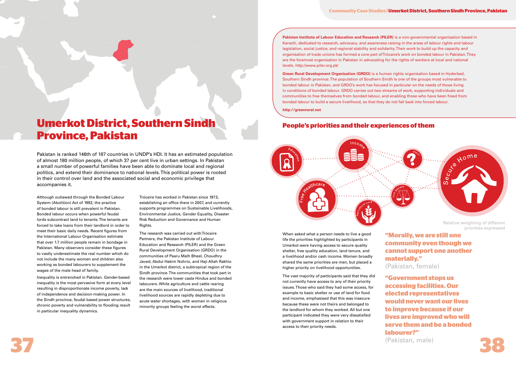### **Community Case Studies | Umerkot District, Southern Sindh Province, Pakistan**

# **Umerkot District, Southern Sindh Province, Pakistan**

Pakistan is ranked 146th of 187 countries in UNDP's HDI. It has an estimated population of almost 180 million people, of which 37 per cent live in urban settings. In Pakistan a small number of powerful families have been able to dominate local and regional politics, and extend their dominance to national levels. This political power is rooted in their control over land and the associated social and economic privilege that accompanies it.

Although outlawed through the Bonded Labour System (Abolition) Act of 1992, the practice of bonded labour is still prevalent in Pakistan. Bonded labour occurs when powerful feudal lords subcontract land to tenants. The tenants are forced to take loans from their landlord in order to meet their basic daily needs. Recent figures from the International Labour Organisation estimate that over 1.7 million people remain in bondage in Pakistan. Many observers consider these figures to vastly underestimate the real number which do not include the many women and children also working as bonded labourers to supplement the wages of the male head of family.

Inequality is entrenched in Pakistan. Gender-based inequality is the most pervasive form at every level resulting in disproportionate income poverty, lack of independence and decision-making power. In the Sindh province, feudal based power structures, chronic poverty and vulnerability to flooding result in particular inequality dynamics.

**Pakistan Institute of Labour Education and Research (PILER)** is a non-governmental organisation based in Karachi, dedicated to research, advocacy, and awareness raising in the areas of labour rights and labour legislation, social justice, and regional stability and solidarity. Their work to build up the capacity and organisation of trade unions has formed a core part of Trócaire's work on bonded labour in Pakistan. They are the foremost organisation in Pakistan in advocating for the rights of workers at local and national levels. http://www.piler.org.pk/

Trócaire has worked in Pakistan since 1973, establishing an office there in 2007, and currently supports programmes on Sustainable Livelihoods, Environmental Justice, Gender Equality, Disaster Risk Reduction and Governance and Human Rights.

The research was carried out with Trócaire Partners, the Pakistan Institute of Labour Education and Research (PILER) and the Green Rural Development Organisation (GRDO) in the communities of Paaru Malh Bheel, Choudhry Javed, Abdul Hakim Nohrio, and Haji Allah Rakhio in the Umerkot district, a subtropical region of the Sindh province. The communities that took part in the research were lower caste Hindus and bonded labourers. While agriculture and cattle rearing are the main sources of livelihood, traditional livelihood sources are rapidly depleting due to acute water shortages, with women in religious minority groups feeling the worst effects.

**37 38 "Government stops us accessing facilities. Our elected representatives would never want our lives to improve because if our lives are improved who will serve them and be a bonded labourer?"** (Pakistan, male)



**Green Rural Development Organisation (GRDO)** is a human rights organisation based in Hyderbad, Southern Sindh province. The population of Southern Sindh is one of the groups most vulnerable to bonded labour in Pakistan, and GRDO's work has focused in particular on the needs of those living in conditions of bonded labour. GRDO carries out two streams of work, supporting individuals and communities to free themselves from bonded labour, and enabling those who have been freed from bonded labour to build a secure livelihood, so that they do not fall back into forced labour.

**http://greenrural.net**

When asked what a person needs to live a good life the priorities highlighted by participants in Umerkot were having access to secure quality shelter, free quality education, land tenure, and a livelihood and/or cash income. Women broadly shared the same priorities are men, but placed a higher priority on livelihood opportunities.

The vast majority of participants said that they did not currently have access to any of their priority issues. Those who said they had some access, for example to basic shelter or use of land for food and income, emphasised that this was insecure because these were not theirs and belonged to the landlord for whom they worked. All but one participant indicated they were very dissatisfied with government support in relation to their access to their priority needs.

**"Morally, we are still one community even though we cannot support one another materially."**  (Pakistan, female)

# **People's priorities and their experiences of them**



priorities expressed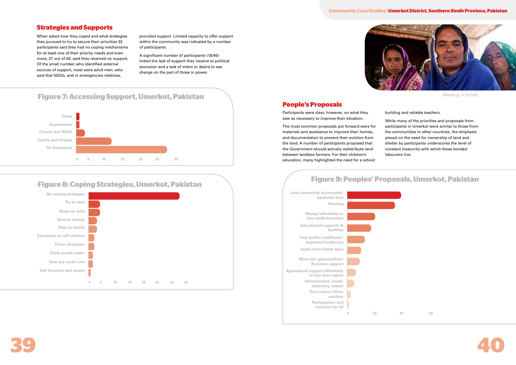

When asked how they coped and what strategies they pursued to try to secure their priorities 33 participants said they had no coping mechanisms for at least one of their priority needs and even more, 27 out of 40, said they received no support. Of the small number who identified external sources of support, most were adult men, who said that NGOs, and in emergencies relatives,

provided support. Limited capacity to offer support within the community was indicated by a number of participants.

A significant number of participants (18/40) linked the lack of support they receive to political exclusion and a lack of intent or desire to see change on the part of those in power.





# **Figure 9: Peoples' Proposals, Umerkot, Pakistan**







# **Figure 8: Coping Strategies, Umerkot, Pakistan**



# **Strategies and Supports**

# **People's Proposals**

Participants were clear, however, on what they saw as necessary to improve their situation.

The most common proposals put forward were for materials and assistance to improve their homes, and documentation to prevent their eviction from the land. A number of participants proposed that the Government should actively redistribute land between landless farmers. For their children's education, many highlighted the need for a school

building and reliable teachers.

While many of the priorities and proposals from participants in Umerkot were similar to those from the communities in other countries, the emphasis placed on the need for ownership of land and shelter by participants underscores the level of constant insecurity with which these bonded labourers live.

### **Community Case Studies | Umerkot District, Southern Sindh Province, Pakistan**

Meeting in Sindh.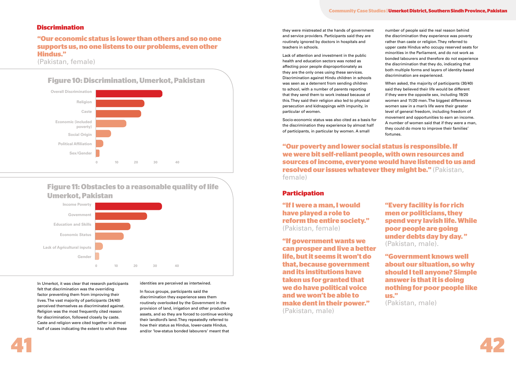

## **Discrimination**

In Umerkot, it was clear that research participants felt that discrimination was the overriding factor preventing them from improving their lives. The vast majority of participants (34/40) perceived themselves as discriminated against. Religion was the most frequently cited reason for discrimination, followed closely by caste. Caste and religion were cited together in almost half of cases indicating the extent to which these

identities are perceived as intertwined.

In focus groups, participants said the discrimination they experience sees them routinely overlooked by the Government in the provision of land, irrigation and other productive assets, and so they are forced to continue working their landlord's land. They repeatedly referred to how their status as Hindus, lower-caste Hindus, and/or 'low-status bonded labourers' meant that

they were mistreated at the hands of government and service providers. Participants said they are routinely ignored by doctors in hospitals and teachers in schools.

Lack of attention and investment in the public health and education sectors was noted as affecting poor people disproportionately as they are the only ones using these services. Discrimination against Hindu children in schools was seen as a deterrent from sending children to school, with a number of parents reporting that they send them to work instead because of this. They said their religion also led to physical persecution and kidnappings with impunity, in particular of women.

Socio-economic status was also cited as a basis for the discrimination they experience by almost half of participants, in particular by women. A small

number of people said the real reason behind the discrimination they experience was poverty rather than caste or religion. They referred to upper caste Hindus who occupy reserved seats for minorities in the Parliament, and do not work as bonded labourers and therefore do not experience the discrimination that they do, indicating that both multiple forms and layers of identity-based discrimination are experienced.

When asked, the majority of participants (30/40) said they believed their life would be different if they were the opposite sex, including 19/20 women and 11/20 men. The biggest differences women saw in a man's life were their greater level of general freedom, including freedom of movement and opportunities to earn an income. A number of women said that if they were a man, they could do more to improve their families' fortunes.

**"Our poverty and lower social status is responsible. If we were bit self-reliant people, with own resources and sources of income, everyone would have listened to us and resolved our issues whatever they might be."** (Pakistan, female)



# **Figure 11: Obstacles to a reasonable quality of life Umerkot, Pakistan**



# **"Our economic status is lower than others and so no one supports us, no one listens to our problems, even other Hindus."**

(Pakistan, female)

# **Participation**

**"If I were a man, I would have played a role to reform the entire society."**  (Pakistan, female)

**"If government wants we can prosper and live a better life, but it seems it won't do that, because government and its institutions have taken us for granted that we do have political voice and we won't be able to make dent in their power."** (Pakistan, male)

**"Every facility is for rich men or politicians, they spend very lavish life. While poor people are going under debts day by day. "**  (Pakistan, male). **"Government knows well about our situation, so why** 

**should I tell anyone? Simple answer is that it is doing nothing for poor people like us."** 

(Pakistan, male)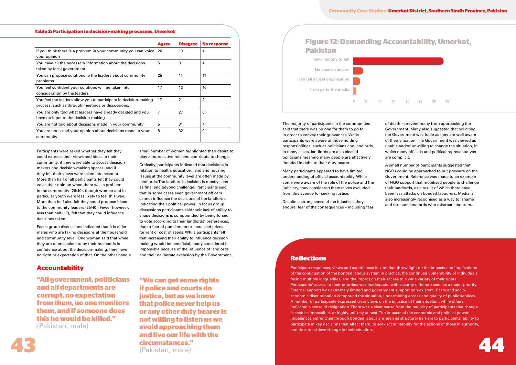# **Accountability**

Participants were asked whether they felt they could express their views and ideas in their community, if they were able to access decision makers and decision-making spaces, and if they felt their views were taken into account. More than half of all participants felt they could voice their opinion when there was a problem in the community (26/40), though women and in particular youth were less likely to feel this way. More than half also felt they could propose ideas to the community leaders (25/40). Fewer however, less than half (17), felt that they could influence decisions taken.

Focus group discussions indicated that it is elder males who are taking decisions at the household and community level. One woman said that while they are often spoken to by their husbands in confidence about the decision-making, they have no right or expectation of that. On the other hand a small number of women highlighted their desire to play a more active role and contribute to change.

Critically, participants indicated that decisions in relation to health, education, land and housing issues at the community level are often made by landlords. The landlord's decision is mostly seen as final and beyond challenge. Participants said that in some cases even government officers cannot influence the decisions of the landlords, indicating their political power. In focus group discussions participants said their lack of ability to shape decisions is compounded by being forced to vote according to their landlords' preferences, due to fear of punishment or increased prices for rent or cost of seeds. While participants felt that increasing their ability to influence decision making would be beneficial, many considered it impossible because of the influence of landlords and their deliberate exclusion by the Government.

**43 44 "We can get some rights if police and courts do justice, but as we know that police never help us or any other duty bearer is not willing to listen us we avoid approaching them and live our life with the circumstances."** (Pakistan, male)

The majority of participants in the communities said that there was no one for them to go to in order to convey their grievances. While participants were aware of those holding responsibilities, such as politicians and landlords, in many cases, landlords are also elected politicians meaning many people are effectively 'bonded in debt' to their duty-bearer.

Many participants appeared to have limited understanding of official accountability. While some were aware of the role of the police and the judiciary, they considered themselves excluded from this avenue for seeking justice.

Despite a strong sense of the injustices they endure, fear of the consequences – including fear

of death – prevent many from approaching the Government. Many also suggested that soliciting the Government was futile as they are well aware of their situation. The Government was viewed as unable and/or unwilling to change the situation, in which many officials and political representatives are complicit.

A small number of participants suggested that NGOs could be approached to put pressure on the Government. Reference was made to an example of NGO support that mobilised people to challenge their landlords, as a result of which there have been less attacks on bonded labourers. Media is also increasingly recognised as a way to 'shame' and threaten landlords who mistreat labourers.



**"All government, politicians and all departments are corrupt, no expectation from them, no one monitors them, and if someone does this he would be killed."**  (Pakistan, male)

### **Community Case Studies | Umerkot District, Southern Sindh Province, Pakistan**

# **Reflections**

Participant responses, views and experiences in Umerkot throw light on the impacts and implications of the continuation of the bonded labour system in practice, the continued vulnerability of individuals facing multiple inequalities, and the impact on their access to a wide variety of their rights. Participants' access to their priorities was inadequate, with security of tenure seen as a major priority. External support was extremely limited and government support non-existent. Caste and socioeconomic discrimination compound the situation, undermining access and quality of public services. A number of participants expressed clear views on the injustice of their situation, while others indicated a sense of resignation. There was a clear sense from the majority of participants that change is seen as impossible, or highly unlikely at best. The impacts of the economic and political power imbalances entrenched through bonded labour are seen as structural barriers to participants' ability to participate in key decisions that affect them, to seek accountability for the actions of those in authority, and thus to achieve change in their situation.





### **Table 2: Participation in decision-making processes, Umerkot**

|                                                                                                                       | <b>Agree</b> | <b>Disagree</b> | <b>No response</b> |
|-----------------------------------------------------------------------------------------------------------------------|--------------|-----------------|--------------------|
| If you think there is a problem in your community you can voice<br>your opinion                                       | 26           | 10              | 4                  |
| You have all the necessary information about the decisions<br>taken by local government                               | 5            | 31              | 4                  |
| You can propose solutions to the leaders about community<br>problems                                                  | 25           | 14              | 11                 |
| You feel confident your solutions will be taken into<br>consideration by the leaders                                  | 17           | 13              | 10                 |
| You feel the leaders allow you to participate in decision-making<br>process, such as through meetings or discussions. | 17           | 21              | $\mathbf{2}$       |
| You are only told what leaders have already decided and you<br>have no input to the decision-making                   | 7            | 27              | 6                  |
| You are not told about decisions made in your community                                                               | 5            | 31              | 4                  |
| You are not asked your opinion about decisions made in your<br>community                                              | 8            | 32              | 0                  |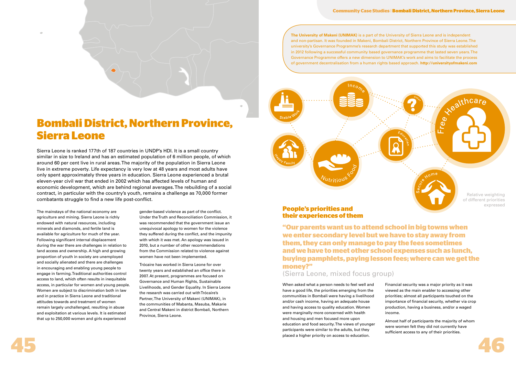

# **Bombali District, Northern Province, Sierra Leone**

Sierra Leone is ranked 177th of 187 countries in UNDP's HDI. It is a small country similar in size to Ireland and has an estimated population of 6 million people, of which around 60 per cent live in rural areas. The majority of the population in Sierra Leone live in extreme poverty. Life expectancy is very low at 48 years and most adults have only spent approximately three years in education. Sierra Leone experienced a brutal eleven-year civil war that ended in 2002 which has affected levels of human and economic development, which are behind regional averages. The rebuilding of a social contract, in particular with the country's youth, remains a challenge as 70,000 former combatants struggle to find a new life post-conflict.

The mainstays of the national economy are agriculture and mining. Sierra Leone is richly endowed with natural resources, including minerals and diamonds, and fertile land is available for agriculture for much of the year. Following significant internal displacement during the war there are challenges in relation to land access and ownership. A high and growing proportion of youth in society are unemployed and socially alienated and there are challenges in encouraging and enabling young people to engage in farming. Traditional authorities control access to land, which often results in inequitable access, in particular for women and young people. Women are subject to discrimination both in law and in practice in Sierra Leone and traditional attitudes towards and treatment of women remain largely unchallenged, resulting in abuse and exploitation at various levels. It is estimated that up to 250,000 women and girls experienced

gender-based violence as part of the conflict. Under the Truth and Reconciliation Commission, it was recommended that the government issue an unequivocal apology to women for the violence they suffered during the conflict, and the impunity with which it was met. An apology was issued in 2010, but a number of other recommendations from the Commission related to violence against women have not been implemented.

Trócaire has worked in Sierra Leone for over twenty years and established an office there in 2007. At present, programmes are focused on Governance and Human Rights, Sustainable Livelihoods, and Gender Equality. In Sierra Leone the research was carried out with Trócaire's Partner, The University of Makeni (UNIMAK), in the communities of Mabanta, Masuba, Makarie and Central Makeni in district Bombali, Northern Province, Sierra Leone.

**The University of Makeni (UNIMAK)** is a part of the University of Sierra Leone and is independent and non-partisan. It was founded in Makeni, Bombali District, Northern Province of Sierra Leone. The university's Governance Programme's research department that supported this study was established in 2012 following a successful community based governance programme that lasted seven years. The Governance Programme offers a new dimension to UNIMAK's work and aims to facilitate the process of government decentralisation from a human rights based approach. **http://universityofmakeni.com**

### **Community Case Studies** | **Bombali District, Northern Province, Sierra Leone**



Free

When asked what a person needs to feel well and have a good life, the priorities emerging from the communities in Bombali were having a livelihood and/or cash income, having an adequate house and having access to quality education. Women were marginally more concerned with health and housing and men focused more upon education and food security. The views of younger participants were similar to the adults, but they placed a higher priority on access to education.

Financial security was a major priority as it was viewed as the main enabler to accessing other priorities; almost all participants touched on the importance of financial security, whether via crop production, having a business, and/or a waged income.

Almost half of participants the majority of whom were women felt they did not currently have sufficient access to any of their priorities.

# **People's priorities and their experiences of them**

**"Our parents want us to attend school in big towns when we enter secondary level but we have to stay away from them, they can only manage to pay the fees sometimes and we have to meet other school expenses such as lunch, buying pamphlets, paying lesson fees; where can we get the money?"**

# (Sierra Leone, mixed focus group)



Relative weighting of different priorities expressed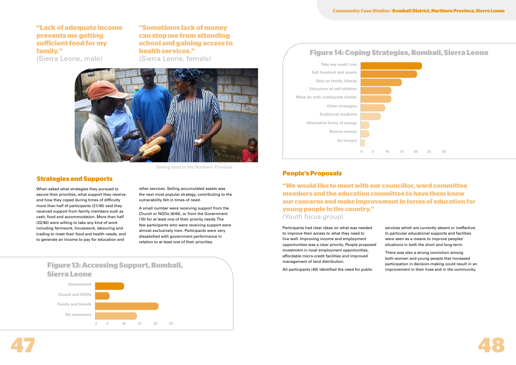

When asked what strategies they pursued to secure their priorities, what support they receive and how they coped during times of difficulty more than half of participants (21/40) said they received support from family members such as cash, food and accommodation. More than half (22/40) were willing to take any kind of work including farmwork, housework, labouring and trading to meet their food and health needs, and to generate an income to pay for education and

other services. Selling accumulated assets was the next most popular strategy, contributing to the vulnerability felt in times of need.

A small number were receiving support from the Church or NGOs (6/40), or from the Government (10) for at least one of their priority needs. The few participants who were receiving support were almost exclusively men. Participants were very dissatisfied with government performance in relation to at least one of their priorities.





## **Strategies and Supports**



**"We would like to meet with our councillor, ward committee members and the education committee to have them know our concerns and make improvement in terms of education for young people in the country."** (Youth focus group)

# **"Lack of adequate income prevents me getting suficient food for my family."**

(Sierra Leone, male)

**"Sometimes lack of money can stop me from attending school and gaining access to health services."**  (Sierra Leone, female)

# **People's Proposals**

Participants had clear ideas on what was needed to improve their access to what they need to live well. Improving income and employment opportunities was a clear priority. People proposed investment in local employment opportunities, affordable micro-credit facilities and improved management of land distribution.

All participants (40) identified the need for public

services which are currently absent or ineffective. In particular educational supports and facilities were seen as a means to improve peoples' situations in both the short and long-term.

There was also a strong conviction among both women and young people that increased participation in decision-making could result in an improvement in their lives and in the community.



Selling food in the Northern Province.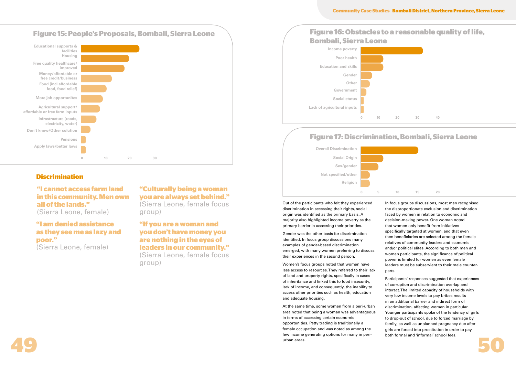# **Discrimination**

Out of the participants who felt they experienced discrimination in accessing their rights, social origin was identified as the primary basis. A majority also highlighted income poverty as the primary barrier in accessing their priorities.

Gender was the other basis for discrimination identified. In focus group discussions many examples of gender-based discrimination emerged, with many women preferring to discuss their experiences in the second person.

**49 50** At the same time, some women from a peri-urban area noted that being a woman was advantageous in terms of accessing certain economic opportunities. Petty trading is traditionally a female occupation and was noted as among the few income generating options for many in periurban areas.



Women's focus groups noted that women have less access to resources. They referred to their lack of land and property rights, specifically in cases of inheritance and linked this to food insecurity, lack of income, and consequently, the inability to access other priorities such as health, education and adequate housing.

In focus groups discussions, most men recognised the disproportionate exclusion and discrimination faced by women in relation to economic and decision-making power. One woman noted that women only benefit from initiatives specifically targeted at women, and that even then beneficiaries are selected among the female relatives of community leaders and economic and/or political elites. According to both men and women participants, the significance of political power is limited for women as even female leaders must be subservient to their male counterparts.

Participants' responses suggested that experiences of corruption and discrimination overlap and interact. The limited capacity of households with very low income levels to pay bribes results in an additional barrier and indirect form of discrimination, affecting women in particular. Younger participants spoke of the tendency of girls to drop-out of school, due to forced marriage by family, as well as unplanned pregnancy due after girls are forced into prostitution in order to pay both formal and 'informal' school fees.



# **"I am denied assistance as they see me as lazy and**

# **poor."** (Sierra Leone, female)

# **"Culturally being a woman you are always set behind."**

(Sierra Leone, female focus group)

**"If you are a woman and you don't have money you are nothing in the eyes of leaders in our community."**  (Sierra Leone, female focus group)

# **"I cannot access farm land in this community. Men own all of the lands."** (Sierra Leone, female)







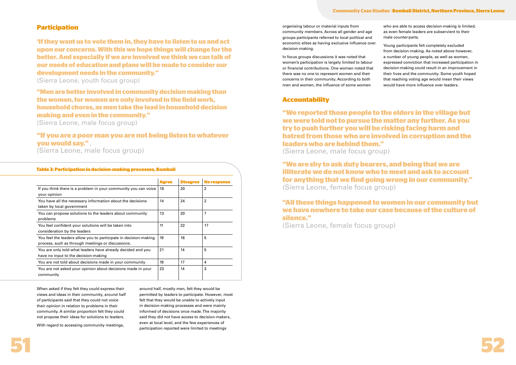

# **Participation**

**Accountability** 

When asked if they felt they could express their views and ideas in their community, around half of participants said that they could not voice their opinion in relation to problems in their community. A similar proportion felt they could not propose their ideas for solutions to leaders.

With regard to accessing community meetings,

around half, mostly men, felt they would be permitted by leaders to participate. However, most felt that they would be unable to actively input in decision-making processes and were mainly informed of decisions once made. The majority said they did not have access to decision-makers, even at local level, and the few experiences of participation reported were limited to meetings

# **"If you are a poor man you are not being listen to whatever you would say."** .

(Sierra Leone, male focus group)

**"Men are better involved in community decision making than the women, for women are only involved in the field work, household chores, as men take the lead in household decision making and even in the community."**

(Sierra Leone, male focus group)

**'If they want us to vote them in, they have to listen to us and act upon our concerns. With this we hope things will change for the better. And especially if we are involved we think we can talk of our needs of education and plans will be made to consider our development needs in the community."** (Sierra Leone, youth focus group)

| Table 3: Participation in decision-making processes, Bombali                                                          |              |                 |                    |  |
|-----------------------------------------------------------------------------------------------------------------------|--------------|-----------------|--------------------|--|
|                                                                                                                       | <b>Agree</b> | <b>Disagree</b> | <b>No response</b> |  |
| If you think there is a problem in your community you can voice<br>your opinion                                       | 18           | 20              | $\overline{2}$     |  |
| You have all the necessary information about the decisions<br>taken by local government                               | 14           | 24              | $\overline{2}$     |  |
| You can propose solutions to the leaders about community<br>problems                                                  | 13           | 20              | 7                  |  |
| You feel confident your solutions will be taken into<br>consideration by the leaders                                  | 11           | 22              | 17                 |  |
| You feel the leaders allow you to participate in decision-making<br>process, such as through meetings or discussions. | 19           | 16              | 5                  |  |
| You are only told what leaders have already decided and you<br>have no input to the decision-making                   | 21           | 14              | 5                  |  |
| You are not told about decisions made in your community                                                               | 19           | 17              | 4                  |  |
| You are not asked your opinion about decisions made in your<br>community                                              | 23           | 14              | 3                  |  |

organising labour or material inputs from community members. Across all gender and age groups participants referred to local political and economic elites as having exclusive influence over decision-making.

In focus groups discussions it was noted that women's participation is largely limited to labour or financial contributions. One woman noted that there was no one to represent women and their concerns in their community. According to both men and women, the influence of some women

who are able to access decision-making is limited,

as even female leaders are subservient to their male counter-parts. Young participants felt completely excluded from decision-making. As noted above however, a number of young people, as well as women, expressed conviction that increased participation in decision-making could result in an improvement in their lives and the community. Some youth hoped that reaching voting age would mean their views would have more influence over leaders.

**"We reported those people to the elders in the village but we were told not to pursue the matter any further. As you try to push further you will be risking facing harm and hatred from those who are involved in corruption and the leaders who are behind them."** (Sierra Leone, male focus group)

**"We are shy to ask duty bearers, and being that we are illiterate we do not know who to meet and ask to account for anything that we find going wrong in our community."**  (Sierra Leone, female focus group)

# **"All these things happened to women in our community but we have nowhere to take our case because of the culture of silence."**

(Sierra Leone, female focus group)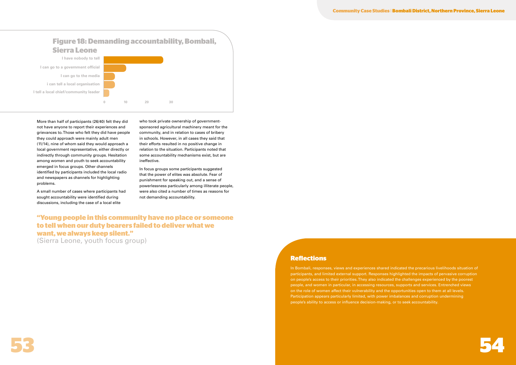

**Community Case Studies** | **Bombali District, Northern Province, Sierra Leone** 

In Bombali, responses, views and experiences shared indicated the precarious livelihoods situation of participants, and limited external support. Responses highlighted the impacts of pervasive corruption on people's access to their priorities. They also indicated the challenges experienced by the poorest people, and women in particular, in accessing resources, supports and services. Entrenched views on the role of women affect their vulnerability and the opportunities open to them at all levels. Participation appears particularly limited, with power imbalances and corruption undermining people's ability to access or influence decision-making, or to seek accountability.

## **Reflections**

More than half of participants (26/40) felt they did not have anyone to report their experiences and grievances to. Those who felt they did have people they could approach were mainly adult men (11/14), nine of whom said they would approach a local government representative, either directly or indirectly through community groups. Hesitation among women and youth to seek accountability emerged in focus groups. Other channels identified by participants included the local radio and newspapers as channels for highlighting problems.

A small number of cases where participants had sought accountability were identified during discussions, including the case of a local elite

who took private ownership of governmentsponsored agricultural machinery meant for the community, and in relation to cases of bribery in schools. However, in all cases they said that their efforts resulted in no positive change in relation to the situation. Participants noted that some accountability mechanisms exist, but are ineffective.

In focus groups some participants suggested that the power of elites was absolute. Fear of punishment for speaking out, and a sense of powerlessness particularly among illiterate people, were also cited a number of times as reasons for not demanding accountability.



# **"Young people in this community have no place or someone to tell when our duty bearers failed to deliver what we want, we always keep silent."**

(Sierra Leone, youth focus group)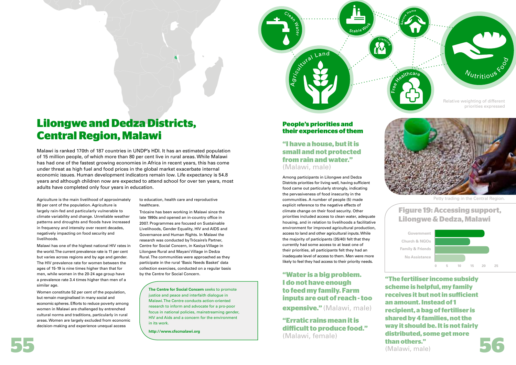# **Lilongwe and Dedza Districts, Central Region, Malawi**

Malawi is ranked 170th of 187 countries in UNDP's HDI. It has an estimated population of 15 million people, of which more than 80 per cent live in rural areas. While Malawi has had one of the fastest growing economies in Africa in recent years, this has come under threat as high fuel and food prices in the global market exacerbate internal economic issues. Human development indicators remain low. Life expectancy is 54.8 years and although children now are expected to attend school for over ten years, most adults have completed only four years in education.

Agriculture is the main livelihood of approximately 80 per cent of the population. Agriculture is largely rain-fed and particularly vulnerable to climate variability and change. Unreliable weather patterns and droughts and floods have increased in frequency and intensity over recent decades, negatively impacting on food security and livelihoods.

Malawi has one of the highest national HIV rates in the world. The current prevalence rate is 11 per cent but varies across regions and by age and gender. The HIV prevalence rate for women between the ages of 15-19 is nine times higher than that for men, while women in the 20-24 age group have a prevalence rate 3.4 times higher than men of a similar age.

Women constitute 52 per cent of the population, but remain marginalised in many social and economic spheres. Efforts to reduce poverty among women in Malawi are challenged by entrenched cultural norms and traditions, particularly in rural areas. Women are largely excluded from economic decision-making and experience unequal access

**55 56 "The fertiliser income subsidy scheme is helpful, my family receives it but not in suficient an amount. Instead of 1 recipient, a bag of fertiliser is shared by 4 families, not the way it should be. It is not fairly distributed, some get more than others."** (Malawi, male)

to education, health care and reproductive healthcare.

# **"Water is a big problem. I do not have enough to feed my family. Farm inputs are out of reach - too expensive."** (Malawi, male)

Trócaire has been working in Malawi since the late 1990s and opened an in-country office in 2007. Programmes are focused on Sustainable Livelihoods, Gender Equality, HIV and AIDS and Governance and Human Rights. In Malawi the research was conducted by Trócaire's Partner, Centre for Social Concern, in Kasiya Village in Lilongwe Rural and Mayani Village in Dedza Rural. The communities were approached as they participate in the rural 'Basic Needs Basket' data collection exercises, conducted on a regular basis by the Centre for Social Concern.

# **Figure 19: Accessing support, Lilongwe & Dedza, Malawi**

**Government Family & Friends Church & NGOs No Assistance**



**The Centre for Social Concern** seeks to promote justice and peace and interfaith dialogue in Malawi. The Centre conducts action-oriented research to inform and advocate for a pro-poor focus in national policies, mainstreaming gender, HIV and Aids and a concern for the environment in its work.

**http://www.cfscmalawi.org**

Petty trading in the Central Region.



# **People's priorities and their experiences of them**

Agricultural Land

Among participants in Lilongwe and Dedza Districts priorities for living well, having sufficient food came out particularly strongly, indicating the pervasiveness of food insecurity in the communities. A number of people (5) made explicit reference to the negative effects of climate change on their food security. Other priorities included access to clean water, adequate housing, and in relation to livelihoods a facilitative environment for improved agricultural production, access to land and other agricultural inputs. While the majority of participants (35/40) felt that they currently had some access to at least one of their priorities, all participants felt they had an inadequate level of access to them. Men were more likely to feel they had access to their priority needs.

**"Erratic rains mean it is dificult to produce food."** (Malawi, female)



# **"I have a house, but it is small and not protected from rain and water."** (Malawi, male)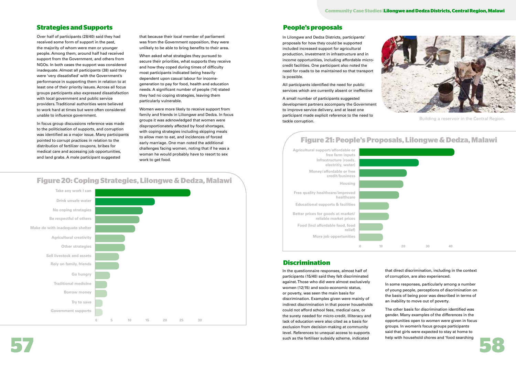# **Strategies and Supports People's proposals**

Over half of participants (28/40) said they had received some form of support in the past, the majority of whom were men or younger people. Among them, around half had received support from the Government, and others from NGOs. In both cases the support was considered inadequate. Almost all participants (38) said they were 'very dissatisfied' with the Government's performance in supporting them in relation to at least one of their priority issues. Across all focus groups participants also expressed dissatisfaction with local government and public service providers. Traditional authorities were believed to work hard at times but were often considered unable to influence government.

In focus group discussions reference was made to the politicisation of supports, and corruption was identified as a major issue. Many participants pointed to corrupt practices in relation to the distribution of fertilizer coupons, bribes for medical care and accessing job opportunities, and land grabs. A male participant suggested

that because their local member of parliament was from the Government opposition, they were unlikely to be able to bring benefits to their area.

When asked what strategies they pursued to secure their priorities, what supports they receive and how they coped during times of difficulty most participants indicated being heavily dependent upon casual labour for incomegeneration to pay for food, health and education needs. A significant number of people (14) stated they had no coping strategies, leaving them particularly vulnerable.

such as the fertiliser subsidy scheme, indicated help with household chores and 'food searching In the questionnaire responses, almost half of participants (15/40) said they felt discriminated against. Those who did were almost exclusively women (12/15) and socio-economic status, or poverty, was seen the main basis for discrimination. Examples given were mainly of indirect discrimination in that poorer households could not afford school fees, medical care, or the surety needed for micro-credit. Illiteracy and lack of education were also cited as a basis for exclusion from decision-making at community level. References to unequal access to supports such as the fertiliser subsidy scheme, indicated

Women were more likely to receive support from family and friends in Liliongwe and Dedza. In focus groups it was acknowledged that women were disproportionately affected by food shortages, with coping strategies including skipping meals to allow men to eat, and incidences of forced early marriage. One man noted the additional challenges facing women, noting that if he was a woman he would probably have to resort to sex work to get food.

In Lilongwe and Dedza Districts, participants' proposals for how they could be supported included increased support for agricultural production, investment in infrastructure and in income opportunities, including affordable microcredit facilities. One participant also noted the need for roads to be maintained so that transport is possible.

All participants identified the need for public services which are currently absent or ineffective

A small number of participants suggested development partners accompany the Government to improve service delivery, and at least one participant made explicit reference to the need to tackle corruption.

> that direct discrimination, including in the context of corruption, are also experienced.

In some responses, particularly among a number of young people, perceptions of discrimination on the basis of being poor was described in terms of an inability to move out of poverty.

The other basis for discrimination identified was gender. Many examples of the differences in the opportunities open to women were given in focus groups. In women's focus groups participants said that girls were expected to stay at home to help with household chores and 'food searching



# **Figure 20: Coping Strategies, Lilongwe & Dedza, Malawi**

# **Take any work I can No coping stratagies Drink unsafe water Be respectful of others Make do with inadequate shelter Agricultural creativity Other strategies Sell livestock and assets Rely on family, friends Go hungry Traditional medicine Borrow money Try to save Government supports 0 5 10 15 20 25 30**

# **Figure 21: People's Proposals, Lilongwe & Dedza, Malawi**



| $\overline{0}$ | $10\,$ | 20 | 30 | $40\,$ |  |
|----------------|--------|----|----|--------|--|

## **Discrimination**



Building a reservoir in the Central Region.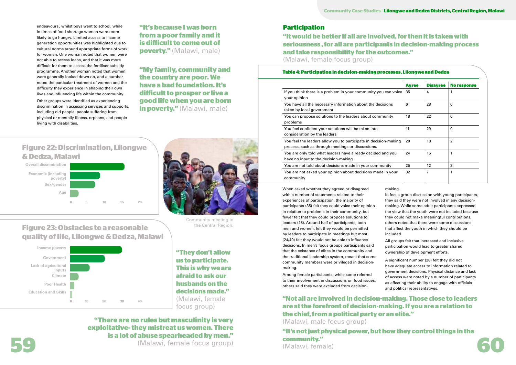**"It's because I was born from a poor family and it is dificult to come out of poverty."** (Malawi, male)

**"My family, community and the country are poor. We have a bad foundation. It's dificult to prosper or live a good life when you are born in poverty."** (Malawi, male)

> When asked whether they agreed or disagreed with a number of statements related to their experiences of participation, the majority of participants (35) felt they could voice their opinion in relation to problems in their community, but fewer felt that they could propose solutions to leaders (18). Around half of participants, both men and women, felt they would be permitted by leaders to participate in meetings but most (24/40) felt they would not be able to influence decisions. In men's focus groups participants said that the existence of elites in the community and the traditional leadership system, meant that some community members were privileged in decisionmaking.

Among female participants, while some referred to their involvement in discussions on food issues, others said they were excluded from decision-

#### making.



In focus group discussion with young participants, they said they were not involved in any decisionmaking. While some adult participants expressed the view that the youth were not included because they could not make meaningful contributions, others noted that there were some discussions that affect the youth in which they should be included. All groups felt that increased and inclusive participation would lead to greater shared ownership of development efforts. A significant number (28) felt they did not

**59 60 "It's not just physical power, but how they control things in the community."** 

have adequate access to information related to government decisions. Physical distance and lack of access were noted by a number of participants as affecting their ability to engage with officials and political representatives.

**"Not all are involved in decision-making. Those close to leaders are at the forefront of decision-making. If you are a relation to the chief, from a political party or an elite."**  (Malawi, male focus group)

endeavours', whilst boys went to school, while in times of food shortage women were more likely to go hungry. Limited access to income generation opportunities was highlighted due to cultural norms around appropriate forms of work for women. One woman noted that women were not able to access loans, and that it was more difficult for them to access the fertiliser subsidy programme. Another woman noted that women were generally looked down on, and a number noted the particular treatment of women and the difficulty they experience in shaping their own lives and influencing life within the community.

Other groups were identified as experiencing discrimination in accessing services and supports, including old people, people suffering from physical or mentally illness, orphans, and people living with disabilities.

# **Figure 22: Discrimination, Lilongwe & Dedza, Malawi**





**Figure 23: Obstacles to a reasonable quality of life, Lilongwe & Dedza, Malawi**



(Malawi, female)

**"There are no rules but masculinity is very exploitative- they mistreat us women. There is a lot of abuse spearheaded by men."** (Malawi, female focus group)

# **Participation**

### **Table 4: Participation in decision-making processes, Lilongwe and Dedza**

|                                                                                                                       | <b>Agree</b> | <b>Disagree</b> | <b>No response</b> |  |
|-----------------------------------------------------------------------------------------------------------------------|--------------|-----------------|--------------------|--|
| If you think there is a problem in your community you can voice<br>your opinion                                       | 35           | 4               | 1                  |  |
| You have all the necessary information about the decisions<br>taken by local government                               | 6            | 28              | 6                  |  |
| You can propose solutions to the leaders about community<br>problems                                                  | 18           | 22              | $\mathbf 0$        |  |
| You feel confident your solutions will be taken into<br>consideration by the leaders                                  | 11           | 29              | $\mathbf 0$        |  |
| You feel the leaders allow you to participate in decision-making<br>process, such as through meetings or discussions. | 20           | 18              | $\overline{2}$     |  |
| You are only told what leaders have already decided and you<br>have no input to the decision-making                   | 24           | 15              | 1                  |  |
| You are not told about decisions made in your community                                                               | 25           | 12              | 3                  |  |
| You are not asked your opinion about decisions made in your<br>community                                              | 32           | 7               | 1                  |  |

**"It would be better if all are involved, for then it is taken with seriousness , for all are participants in decision-making process and take responsibility for the outcomes."** (Malawi, female focus group)

**"They don't allow us to participate. This is why we are afraid to ask our husbands on the decisions made."**  (Malawi, female focus group)

Community meeting in the Central Region.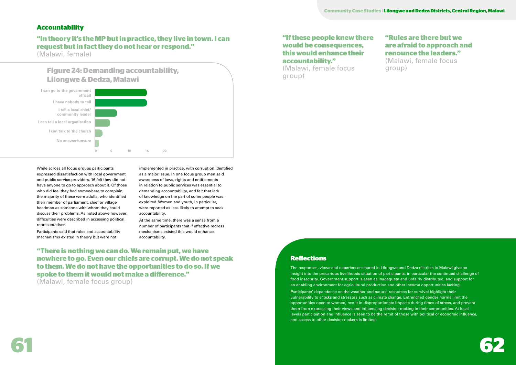

# **Accountability**

While across all focus groups participants expressed dissatisfaction with local government and public service providers, 16 felt they did not have anyone to go to approach about it. Of those who did feel they had somewhere to complain, the majority of these were adults, who identified their member of parliament, chief or village headman as someone with whom they could discuss their problems. As noted above however, difficulties were described in accessing political representatives.

Participants said that rules and accountability mechanisms existed in theory but were not

implemented in practice, with corruption identified as a major issue. In one focus group men said awareness of laws, rights and entitlements in relation to public services was essential to demanding accountability, and felt that lack of knowledge on the part of some people was exploited. Women and youth, in particular, were reported as less likely to attempt to seek accountability.

At the same time, there was a sense from a number of participants that if effective redress mechanisms existed this would enhance accountability.

# **"If these people knew there would be consequences, this would enhance their accountability."**  (Malawi, female focus

group)



**"There is nothing we can do. We remain put, we have nowhere to go. Even our chiefs are corrupt. We do not speak to them. We do not have the opportunities to do so. If we spoke to them it would not make a diference."** 

(Malawi, female focus group)

# **"In theory it's the MP but in practice, they live in town. I can request but in fact they do not hear or respond."**

(Malawi, female)

# **"Rules are there but we are afraid to approach and renounce the leaders."**

(Malawi, female focus group)

# **Reflections**

The responses, views and experiences shared in Lilongwe and Dedza districts in Malawi give an insight into the precarious livelihoods situation of participants, in particular the continued challenge of food insecurity. Government support is seen as inadequate and unfairly distributed, and support for an enabling environment for agricultural production and other income opportunities lacking. Participants' dependence on the weather and natural resources for survival highlight their vulnerability to shocks and stressors such as climate change. Entrenched gender norms limit the opportunities open to women, result in disproportionate impacts during times of stress, and prevent them from expressing their views and influencing decision-making in their communities. At local levels participation and influence is seen to be the remit of those with political or economic influence, and access to other decision-makers is limited.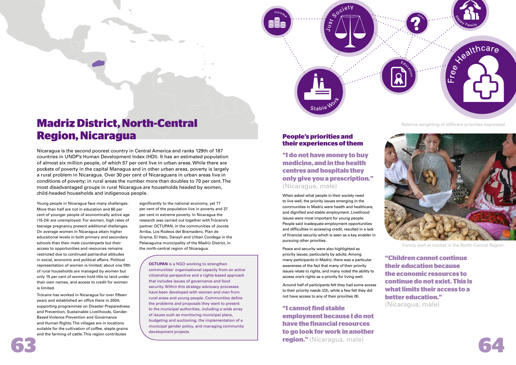

Socie

# **Madriz District, North-Central Region, Nicaragua**

Nicaragua is the second poorest country in Central America and ranks 129th of 187 countries in UNDP's Human Development Index (HDI). It has an estimated population of almost six million people, of which 57 per cent live in urban areas. While there are pockets of poverty in the capital Managua and in other urban areas, poverty is largely a rural problem in Nicaragua. Over 30 per cent of Nicaraguans in urban areas live in conditions of poverty; in rural areas the number more than doubles to 70 per cent. The most disadvantaged groups in rural Nicaragua are households headed by women, child-headed households and indigenous people.

Young people in Nicaragua face many challenges. More than half are not in education and 60 per cent of younger people of economically active age (15-24) are unemployed. For women, high rates of teenage pregnancy present additional challenges. On average women in Nicaragua attain higher educational levels in both primary and secondary schools than their male counterparts but their access to opportunities and resources remains restricted due to continued patriarchal attitudes in social, economic and political affairs. Political representation of women is limited; about one fifth of rural households are managed by women but only 15 per cent of women hold title to land under their own names, and access to credit for women is limited.

**63 64 "I cannot find stable employment because I do not have the financial resources to go look for work in another region."** (Nicaragua, male)



Trócaire has worked in Nicaragua for over fifteen years and established an office there in 2004; supporting programmes on Disaster Preparedness and Prevention, Sustainable Livelihoods, Gender-Based Violence Prevention and Governance and Human Rights. The villages are in locations suitable for the cultivation of coffee, staple grains and the farming of cattle. This region contributes

significantly to the national economy, yet 77 per cent of the population live in poverty and 37 per cent in extreme poverty. In Nicaragua the research was carried out together with Trócaire's partner OCTUPAN, in the communities of Jocote Arriba, Los Rodeos del Bramadero, Plan de Grama, El Hato, Daraylì and Urban Condega in the Palacaguina municipality of the Madriz District, in the north-central region of Nicaragua.

**OCTUPAN** is a NGO working to strengthen communities' organisational capacity from an active citizenship perspective and a rights-based approach that includes issues of governance and food security. Within this strategy advocacy processes have been developed with women and men from rural areas and young people. Communities define the problems and proposals they want to present to the municipal authorities, including a wide array of issues such as monitoring municipal plans, budgeting and auctioning, the implementation of a municipal gender policy, and managing community development projects.

Family stall at market in the North-Central Region.

Relative weighting of different priorities expressed



# **People's priorities and their experiences of them**

When asked what people in their society need to live well, the priority issues emerging in the communities in Madriz were health and healthcare, and dignified and stable employment. Livelihood issues were most important for young people. People said inadequate employment opportunities and difficulties in accessing credit, resulted in a lack of financial security which is seen as a key enabler in pursuing other priorities.

Peace and security were also highlighted as priority issues, particularly by adults. Among many participants in Madriz, there was a particular awareness of the fact that many of their priority issues relate to rights, and many noted the ability to access one's rights as a priority for living well.

Around half of participants felt they had some access to their priority needs (23), while a few felt they did not have access to any of their priorities (9).

**"Children cannot continue their education because the economic resources to continue do not exist. This is what limits their access to a better education."**  (Nicaragua, male)



**"I do not have money to buy medicine, and in the health centres and hospitals they only give you a prescription."**  (Nicaragua, male)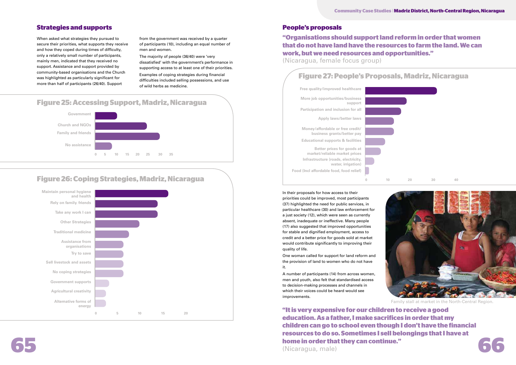# **Strategies and supports People's proposals**

When asked what strategies they pursued to secure their priorities, what supports they receive and how they coped during times of difficulty, only a relatively small number of participants, mainly men, indicated that they received no support. Assistance and support provided by community-based organisations and the Church was highlighted as particularly significant for more than half of participants (26/40). Support

from the government was received by a quarter of participants (10), including an equal number of men and women.

The majority of people (36/40) were 'very dissatisfied' with the government's performance in supporting access to at least one of their priorities.

Examples of coping strategies during financial difficulties included selling possessions, and use of wild herbs as medicine.

**form of that they can continue."**<br>(Nicaragua, male) **"It is very expensive for our children to receive a good education. As a father, I make sacrifices in order that my children can go to school even though I don't have the financial resources to do so. Sometimes I sell belongings that I have at home in order that they can continue."**  (Nicaragua, male)

In their proposals for how access to their priorities could be improved, most participants (37) highlighted the need for public services, in particular healthcare (30) and law enforcement for a just society (12), which were seen as currently absent, inadequate or ineffective. Many people (17) also suggested that improved opportunities for stable and dignified employment, access to credit and a better price for goods sold at market would contribute significantly to improving their quality of life.

One woman called for support for land reform and the provision of land to women who do not have it.

A number of participants (14) from across women, men and youth, also felt that standardised access to decision-making processes and channels in which their voices could be heard would see improvements.



# **Figure 26: Coping Strategies, Madriz, Nicaragua**



# **Figure 27: People's Proposals, Madriz, Nicaragua**







# **"Organisations should support land reform in order that women that do not have land have the resources to farm the land. We can work, but we need resources and opportunities."**

(Nicaragua, female focus group)

Family stall at market in the North-Central Region.

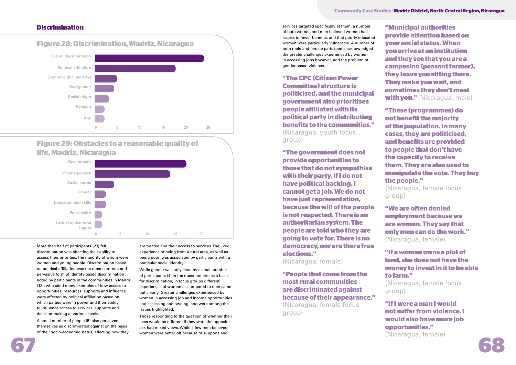

### **Community Case Studies** | **Madriz District, North-Central Region, Nicaragua**

More than half of participants (23) felt discrimination was affecting their ability to access their priorities, the majority of whom were women and young people. Discrimination based on political affiliation was the most common and pervasive form of identity-based discrimination noted by participants in the communities in Madriz (18); who cited many examples of how access to opportunities, resources, supports and influence were affected by political affiliation based on which parties were in power and their ability to influence access to services, supports and decision-making at various levels.

A small number of people (5) also perceived themselves as discriminated against on the basis of their socio-economic status, affecting how they

are treated and their access to services. The lived experience of being from a rural area, as well as being poor, was associated by participants with a particular social identity.

While gender was only cited by a small number of participants (4) in the questionnaire as a basis for discrimination, in focus groups different experiences of women as compared to men came out clearly. Greater challenges experienced by women in accessing job and income opportunities and accessing and owning land were among the issues highlighted.

Those responding to the question of whether their lives would be different if they were the opposite sex had mixed views. While a few men believed women were better off because of supports and

services targeted specifically at them, a number of both women and men believed women had access to fewer benefits, and that poorly educated women were particularly vulnerable. A number of both male and female participants acknowledged the greater challenges experienced by women in accessing jobs however, and the problem of gender-based violence.

**"The CPC (Citizen Power Committee) structure is politicised, and the municipal government also prioritises people afiliated with its political party in distributing benefits to the communities."**  (Nicaragua, youth focus group)

**"The government does not provide opportunities to those that do not sympathise with their party. If I do not have political backing, I cannot get a job. We do not have just representation, because the will of the people is not respected. There is an authoritarian system. The people are told who they are going to vote for. There is no democracy, nor are there free elections."**

(Nicaragua, female)

**"People that come from the most rural communities are discriminated against because of their appearance."** (Nicaragua, female focus group)

**"Municipal authorities provide attention based on your social status. When you arrive at an institution and they see that you are a campesino (peasant farmer), they leave you sitting there. They make you wait, and sometimes they don't meet with you."** (Nicaragua, male)

**"These (programmes) do not benefit the majority of the population. In many cases, they are politicised, and benefits are provided to people that don't have the capacity to receive them. They are also used to manipulate the vote. They buy the people."**  (Nicaragua, female focus group)

**"We are often denied employment because we are women. They say that only men can do the work."** (Nicaragua, female)

**"If a woman owns a plot of land, she does not have the money to invest in it to be able to farm."** (Nicaragua, female focus

group)

**"If I were a man I would not sufer from violence. I would also have more job opportunities."**  (Nicaragua, female)

# **Figure 29: Obstacles to a reasonable quality of life, Madriz, Nicaragua**





# **Discrimination**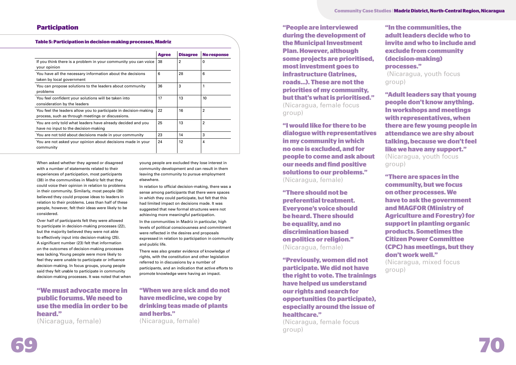

**Community Case Studies** | **Madriz District, North-Central Region, Nicaragua**

## **Participation**

When asked whether they agreed or disagreed with a number of statements related to their experiences of participation, most participants (38) in the communities in Madriz felt that they could voice their opinion in relation to problems in their community. Similarly, most people (36) believed they could propose ideas to leaders in relation to their problems. Less than half of these people, however, felt their ideas were likely to be considered.

Over half of participants felt they were allowed to participate in decision-making processes (22), but the majority believed they were not able to effectively input into decision-making (25). A significant number (23) felt that information on the outcomes of decision-making processes was lacking. Young people were more likely to feel they were unable to participate or influence decision-making. In focus groups, young people said they felt unable to participate in community decision-making processes. It was noted that when young people are excluded they lose interest in community development and can result in them leaving the community to pursue employment elsewhere.

In relation to official decision-making, there was a sense among participants that there were spaces in which they could participate, but felt that this had limited impact on decisions made. It was suggested that new formal structures were not achieving more meaningful participation.

In the communities in Madriz in particular, high levels of political consciousness and commitment were reflected in the desires and proposals expressed in relation to participation in community and public life.

There was also greater evidence of knowledge of rights, with the constitution and other legislation referred to in discussions by a number of participants, and an indication that active efforts to promote knowledge were having an impact.

**"In the communities, the adult leaders decide who to invite and who to include and exclude from community (decision-making) processes."**  (Nicaragua, youth focus group)

**"Adult leaders say that young people don't know anything. In workshops and meetings with representatives, when there are few young people in attendance we are shy about talking, because we don't feel** 

**like we have any support."**  (Nicaragua, youth focus group) **"There are spaces in the community, but we focus on other processes. We have to ask the government and MAGFOR (Ministry of Agriculture and Forestry) for support in planting organic products. Sometimes the Citizen Power Committee (CPC) has meetings, but they don't work well."**  (Nicaragua, mixed focus

group)

**"People are interviewed during the development of the Municipal Investment Plan. However, although some projects are prioritised, most investment goes to infrastructure (latrines, roads…). These are not the priorities of my community, but that's what is prioritised."**  (Nicaragua, female focus group)

**"I would like for there to be dialogue with representatives in my community in which no one is excluded, and for people to come and ask about our needs and find positive solutions to our problems."** (Nicaragua, female)

**"There should not be preferential treatment. Everyone's voice should be heard. There should be equality, and no discrimination based on politics or religion."** (Nicaragua, female)

**"Previously, women did not participate. We did not have the right to vote. The trainings have helped us understand our rights and search for opportunities (to participate), especially around the issue of healthcare."**

(Nicaragua, female focus group)

#### **Table 5: Participation in decision-making processes, Madriz**

|                                                                                                                       | <b>Agree</b> | <b>Disagree</b> | <b>No response</b> |
|-----------------------------------------------------------------------------------------------------------------------|--------------|-----------------|--------------------|
| If you think there is a problem in your community you can voice<br>your opinion                                       | 38           | $\overline{2}$  | 0                  |
| You have all the necessary information about the decisions<br>taken by local government                               | 6            | 28              | 6                  |
| You can propose solutions to the leaders about community<br>problems                                                  | 36           | 3               | 1                  |
| You feel confident your solutions will be taken into<br>consideration by the leaders                                  | 17           | 13              | 10                 |
| You feel the leaders allow you to participate in decision-making<br>process, such as through meetings or discussions. | 22           | 16              | $\mathbf{2}$       |
| You are only told what leaders have already decided and you<br>have no input to the decision-making                   | 25           | 13              | 2                  |
| You are not told about decisions made in your community                                                               | 23           | 14              | 3                  |
| You are not asked your opinion about decisions made in your<br>community                                              | 24           | 12              | 4                  |

# **"We must advocate more in public forums. We need to use the media in order to be heard."**  (Nicaragua, female)

# **"When we are sick and do not have medicine, we cope by drinking teas made of plants and herbs."**

(Nicaragua, female)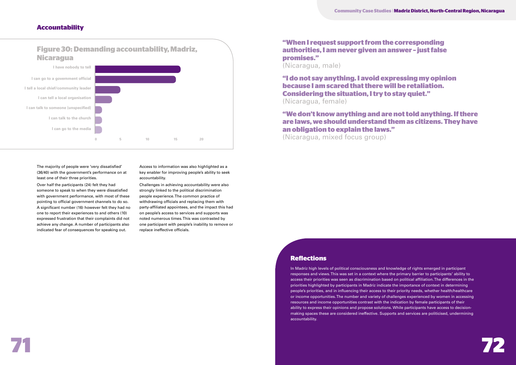

## **Accountability**

The majority of people were 'very dissatisfied' (36/40) with the government's performance on at least one of their three priorities.

Over half the participants (24) felt they had someone to speak to when they were dissatisfied with government performance, with most of these pointing to official government channels to do so. A significant number (16) however felt they had no one to report their experiences to and others (10) expressed frustration that their complaints did not achieve any change. A number of participants also indicated fear of consequences for speaking out.

Access to information was also highlighted as a key enabler for improving people's ability to seek accountability.

Challenges in achieving accountability were also strongly linked to the political discrimination people experience. The common practice of withdrawing officials and replacing them with party-affiliated appointees, and the impact this had on people's access to services and supports was noted numerous times. This was contrasted by one participant with people's inability to remove or replace ineffective officials.

# **"When I request support from the corresponding authorities, I am never given an answer – just false promises."**

(Nicaragua, male)

**"I do not say anything. I avoid expressing my opinion because I am scared that there will be retaliation. Considering the situation, I try to stay quiet."**  (Nicaragua, female)

**"We don't know anything and are not told anything. If there are laws, we should understand them as citizens. They have an obligation to explain the laws."** (Nicaragua, mixed focus group)

# **Figure 30: Demanding accountability, Madriz, Nicaragua**



## **Reflections**

In Madriz high levels of political consciousness and knowledge of rights emerged in participant responses and views. This was set in a context where the primary barrier to participants' ability to access their priorities was seen as discrimination based on political affiliation. The differences in the priorities highlighted by participants in Madriz indicate the importance of context in determining people's priorities, and in influencing their access to their priority needs, whether health/healthcare or income opportunities. The number and variety of challenges experienced by women in accessing resources and income opportunities contrast with the indication by female participants of their ability to express their opinions and propose solutions. While participants have access to decisionmaking spaces these are considered ineffective. Supports and services are politicised, undermining accountability.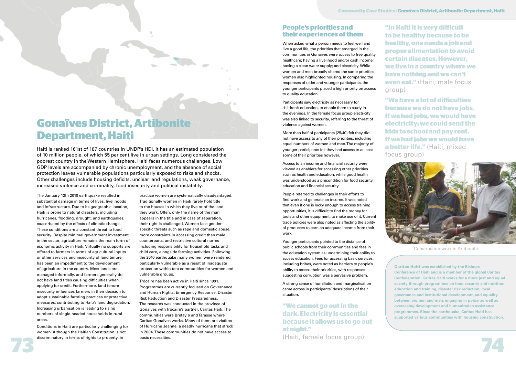# **Gonaïves District, Artibonite Department, Haiti**

Haiti is ranked 161st of 187 countries in UNDP's HDI. It has an estimated population of 10 million people, of which 55 per cent live in urban settings. Long considered the poorest country in the Western Hemisphere, Haiti faces numerous challenges. Low GDP levels are accompanied by chronic unemployment, and the absence of social protection leaves vulnerable populations particularly exposed to risks and shocks. Other challenges include housing deficits, unclear land regulations, weak governance, increased violence and criminality, food insecurity and political instability.

The January 12th 2010 earthquake resulted in substantial damage in terms of lives, livelihoods and infrastructure. Due to its geographic location, Haiti is prone to natural disasters, including hurricanes, flooding, drought, and earthquakes, exacerbated by the effects of climatic change. These conditions are a constant threat to food security. Despite minimal government investment in the sector, agriculture remains the main form of economic activity in Haiti. Virtually no supports are offered to farmers in terms of agricultural inputs or other services and insecurity of land tenure has been an impediment to the development of agriculture in the country. Most lands are managed informally, and farmers generally do not have land titles causing difficulties when applying for credit. Furthermore, land tenure insecurity influences farmers in their decision to adopt sustainable farming practices or protective measures, contributing to Haiti's land degradation. Increasing urbanisation is leading to rising numbers of single-headed households in rural areas.

Conditions in Haiti are particularly challenging for women. Although the Haitian Constitution is not discriminatory in terms of rights to property, in

practice women are systematically disadvantaged. Traditionally women in Haiti rarely hold title to the houses in which they live or of the land they work. Often, only the name of the man appears in the title and in case of separation, their right is challenged. Women face genderspecific threats such as rape and domestic abuse, more constraints in accessing credit than male counterparts, and restrictive cultural norms including responsibility for household tasks and child care, alongside farming activities. Following the 2010 earthquake many women were rendered particularly vulnerable as a result of inadequate protection within tent communities for women and vulnerable groups.

3000

Trócaire has been active in Haiti since 1991. Programmes are currently focused on Governance and Human Rights, Emergency Response, Disaster Risk Reduction and Disaster Preparedness. The research was conducted in the province of Gonaïves with Trócaire's partner, Caritas Haiti. The communities were Bretay 6 and Tarasse where Caritas Gonaïves works. Many of them are victims of Hurricane Jeanne, a deadly hurricane that struck in 2004. These communities do not have access to basic necessities.

**73 74** (Haiti, female focus group)

**"We have a lot of dificulties because we do not have jobs. If we had jobs, we would have electricity; we could send the kids to school and pay rent. If we had jobs we would have a better life."** (Haiti, mixed focus group)



Caritas Haiti **was established by the Bishops Conference of Haiti and is a member of the global Caritas Confederation. Caritas Haiti works for a more just and equal society through programmes on food security and nutrition, education and training, disaster risk reduction, local governance and institutional development, and equality between women and men; engaging in policy as well as overseeing development and humanitarian assistance programmes. Since the earthquake, Caritas Haiti has supported various communities with housing construction.** 



## **People's priorities and their experiences of them**

When asked what a person needs to feel well and live a good life, the priorities that emerged in the communities in Gonaïves were access to free quality healthcare; having a livelihood and/or cash income; having a clean water supply; and electricity. While women and men broadly shared the same priorities, women also highlighted housing. In comparing the responses of older and younger participants, the younger participants placed a high priority on access to quality education.

Participants saw electricity as necessary for children's education, to enable them to study in the evenings. In the female focus group electricity was also linked to security, referring to the threat of violence against women.

More than half of participants (25/40) felt they did not have access to any of their priorities, including equal numbers of women and men. The majority of younger participants felt they had access to at least some of their priorities however.

Access to an income and financial security were viewed as enablers for accessing other priorities such as health and education, while good health was understood as a precondition for food security, education and financial security.

People referred to challenges in their efforts to find work and generate an income. It was noted that even if one is lucky enough to access training opportunities, it is difficult to find the money for tools and other equipment, to make use of it. Current trade policies were also noted as affecting the ability of producers to earn an adequate income from their work.

Younger participants pointed to the distance of public schools from their communities and fees in the education system as undermining their ability to access education. Fees for accessing basic services, including bribes, were noted as barriers to people's ability to access their priorities, with responses suggesting corruption was a pervasive problem.

A strong sense of humiliation and marginalisation came across in participants' descriptions of their situation.

**"We cannot go out in the dark. Electricity is essential because it allows us to go out at night."** 

**"In Haiti it is very dificult to be healthy because to be healthy, one needs a job and proper alimentation to avoid certain diseases. However, we live in a country where we have nothing and we can't even eat."** (Haiti, male focus group)

Construction work in Artibonite.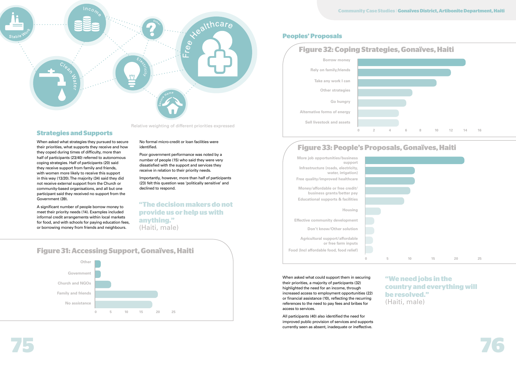

### **Community Case Studies** | **Gonaïves District, Artibonite Department, Haiti**

When asked what strategies they pursued to secure their priorities, what supports they receive and how they coped during times of difficulty, more than half of participants (23/40) referred to autonomous coping strategies. Half of participants (20) said they receive support from family and friends, with women more likely to receive this support in this way (13/20). The majority (34) said they did not receive external support from the Church or community-based organisations, and all but one participant said they received no support from the Government (39).

A significant number of people borrow money to meet their priority needs (14). Examples included informal credit arrangements within local markets for food, and with schools for paying education fees, or borrowing money from friends and neighbours.

#### No formal micro-credit or loan facilities were identified.

Poor government performance was noted by a number of people (15) who said they were very dissatisfied with the support and services they receive in relation to their priority needs.

Importantly, however, more than half of participants (23) felt this question was 'politically sensitive' and declined to respond.



# **Strategies and Supports**

# **Peoples' Proposals**

# **"The decision makers do not provide us or help us with anything."**  (Haiti, male)

When asked what could support them in securing their priorities, a majority of participants (32) highlighted the need for an income, through increased access to employment opportunities (22) or financial assistance (10), reflecting the recurring references to the need to pay fees and bribes for access to services.

All participants (40) also identified the need for improved public provision of services and supports currently seen as absent, inadequate or ineffective.



# **Figure 33: People's Proposals, Gonaïves, Haiti**



| $\circ$ | 5 | $10\,$ |
|---------|---|--------|





# **"We need jobs in the country and everything will be resolved."**  (Haiti, male)

Relative weighting of different priorities expressed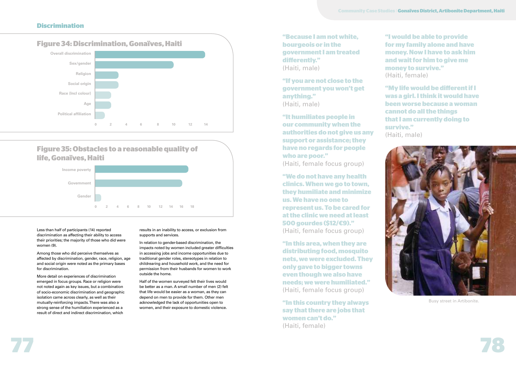

### **Discrimination**

Less than half of participants (14) reported discrimination as affecting their ability to access their priorities; the majority of those who did were women (9).

Among those who did perceive themselves as affected by discrimination, gender, race, religion, age and social origin were noted as the primary bases for discrimination.

More detail on experiences of discrimination emerged in focus groups. Race or religion were not noted again as key issues, but a combination of socio-economic discrimination and geographic isolation came across clearly, as well as their mutually-reinforcing impacts. There was also a strong sense of the humiliation experienced as a result of direct and indirect discrimination, which

results in an inability to access, or exclusion from supports and services.

In relation to gender-based discrimination, the impacts noted by women included greater difficulties in accessing jobs and income opportunities due to traditional gender roles, stereotypes in relation to childrearing and household work, and the need for permission from their husbands for women to work outside the home.

Half of the women surveyed felt their lives would be better as a man. A small number of men (2) felt that life would be easier as a woman, as they can depend on men to provide for them. Other men acknowledged the lack of opportunities open to women, and their exposure to domestic violence.

| "Because I am not white, |
|--------------------------|
| bourgeois or in the      |
| government I am treated  |
| differently."            |
| (Haiti, male)            |

**"If you are not close to the government you won't get anything."**  (Haiti, male)

**"It humiliates people in our community when the authorities do not give us any support or assistance; they have no regards for people who are poor."** 

(Haiti, female focus group)

**"We do not have any health clinics. When we go to town, they humiliate and minimize us. We have no one to represent us. To be cared for at the clinic we need at least 500 gourdes (\$12/€9)."**  (Haiti, female focus group)

**"In this area, when they are distributing food, mosquito nets, we were excluded. They only gave to bigger towns even though we also have needs; we were humiliated."** (Haiti, female focus group)

**"In this country they always say that there are jobs that women can't do."**  (Haiti, female)



**Figure 35: Obstacles to a reasonable quality of life, Gonaïves, Haiti**



**"I would be able to provide for my family alone and have money. Now I have to ask him and wait for him to give me money to survive."** (Haiti, female)

**"My life would be diferent if I was a girl. I think it would have been worse because a woman cannot do all the things that I am currently doing to survive."** (Haiti, male)



Busy street in Artibonite.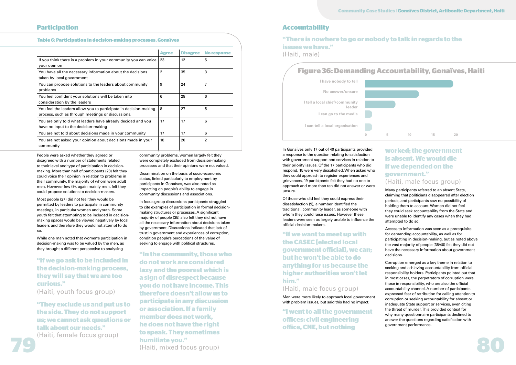## **Accountability**

People were asked whether they agreed or disagreed with a number of statements related to their level and type of participation in decisionmaking. More than half of participants (23) felt they could voice their opinion in relation to problems in their community, the majority of whom were adult men. However few (9), again mainly men, felt they could propose solutions to decision-makers.

Most people (27) did not feel they would be permitted by leaders to participate in community meetings, in particular women and youth. Some youth felt that attempting to be included in decisionmaking spaces would be viewed negatively by local leaders and therefore they would not attempt to do so.

While one man noted that women's participation in decision-making was to be valued by the men, as they brought a different perspective to analysing

community problems, women largely felt they were completely excluded from decision-making processes and that their opinions were not valued.

Discrimination on the basis of socio-economic status, linked particularly to employment by participants in Gonaïves, was also noted as impacting on people's ability to engage in community discussions and associations.

In focus group discussions participants struggled to cite examples of participation in formal decisionmaking structures or processes. A significant majority of people (35) also felt they did not have all the necessary information about decisions taken by government. Discussions indicated that lack of trust in government and experiences of corruption, condition people's perceptions of the value of seeking to engage with political structures.

In Gonaïves only 17 out of 40 participants provided a response to the question relating to satisfaction with government support and services in relation to their priority issues. Of the 17 participants who did respond, 15 were very dissatisfied. When asked who they could approach to register experiences and grievances, 19 participants felt they had no one to approach and more than ten did not answer or were unsure.

Of those who did feel they could express their dissatisfaction (9), a number identified the traditional, community leader, as someone with whom they could raise issues. However these leaders were seen as largely unable to influence the official decision-makers.

**"If we want to meet up with the CASEC [elected local government oficial], we can; but he won't be able to do anything for us because the higher authorities won't let him."**

## (Haiti, male focus group)

Men were more likely to approach local government with problem issues, but said this had no impact.

**"I went to all the government ofices: civil engineering ofice, CNE, but nothing** 

# **worked; the government is absent. We would die if we depended on the government."**  (Haiti, male focus group)

**79 Instituted Society Remains 1980 Institute you."** (Haiti, mixed focus group) **"In the community, those who do not work are considered lazy and the poorest which is a sign of disrespect because you do not have income. This therefore doesn't allow us to participate in any discussion or association. If a family member does not work, he does not have the right to speak. They sometimes humiliate you."** (Haiti, mixed focus group)

Many participants referred to an absent State, claiming that politicians disappeared after election periods, and participants saw no possibility of holding them to account. Women did not feel they could seek accountability from the State and were unable to identify any cases when they had attempted to do so.

Access to information was seen as a prerequisite for demanding accountability, as well as for participating in decision-making, but as noted above the vast majority of people (35/40) felt they did not



have the necessary information about government decisions. Corruption emerged as a key theme in relation to seeking and achieving accountability from official responsibility holders. Participants pointed out that in most cases, the perpetrators of corruption were those in responsibility, who are also the official accountability channel. A number of participants expressed fear of retribution for calling attention to corruption or seeking accountability for absent or inadequate State support or services, even citing the threat of murder. This provided context for why many questionnaire participants declined to answer the questions regarding satisfaction with government performance.

**"If we go ask to be included in the decision-making process, they will say that we are too curious."**

(Haiti, youth focus group)

**"They exclude us and put us to the side. They do not support us; we cannot ask questions or talk about our needs."**

(Haiti, female focus group)



**I tell a local chief/community leader I have nobody to tell I can go to the media I can tell a local organisation No answer/unsure**

# **Participation**

#### **Table 6: Participation in decision-making processes, Gonaïves**

|                                                                                                                       | <b>Agree</b> | <b>Disagree</b> | <b>No response</b> |
|-----------------------------------------------------------------------------------------------------------------------|--------------|-----------------|--------------------|
| If you think there is a problem in your community you can voice<br>your opinion                                       | 23           | 12              | 5                  |
| You have all the necessary information about the decisions<br>taken by local government                               | 2            | 35              | 3                  |
| You can propose solutions to the leaders about community<br>problems                                                  | 9            | 24              | 7                  |
| You feel confident your solutions will be taken into<br>consideration by the leaders                                  | 6            | 28              | 6                  |
| You feel the leaders allow you to participate in decision-making<br>process, such as through meetings or discussions. | 8            | 27              | 5                  |
| You are only told what leaders have already decided and you<br>have no input to the decision-making                   | 17           | 17              | 6                  |
| You are not told about decisions made in your community                                                               | 17           | 17              | 6                  |
| You are not asked your opinion about decisions made in your<br>community                                              | 18           | 20              | $\overline{2}$     |

## **"There is nowhere to go or nobody to talk in regards to the issues we have."** (Haiti, male)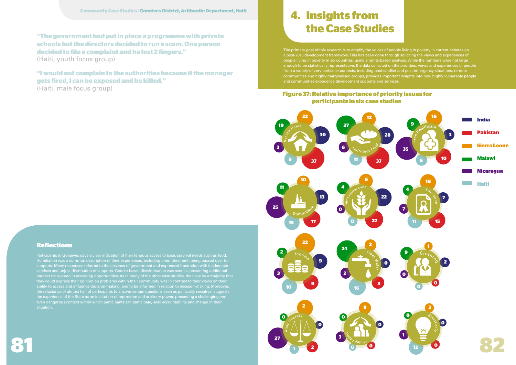supports. Many responses referred to the absence of government and expressed frustration with inadequate services and unjust distribution of supports. Gender-based discrimination was seen as presenting additional barriers for women in accessing opportunities. As in many of the other case studies, the view by a majority that ability to access and influence decision-making, and to be informed in relation to decision-making. Moreover, the reluctance of almost half of participants to answer certain questions seen as politically sensitive, suggests the experience of the State as an institution of repression and arbitrary power, presenting a challenging and even dangerous context within which participants can participate, seek accountability and change in their situation.



**"The government had put in place a programme with private schools but the directors decided to run a scam. One person decided to file a complaint and he lost 2 fingers."**  (Haiti, youth focus group)



**"I would not complain to the authorities because if the manager gets fired, I can be exposed and be killed."**  (Haiti, male focus group)

# **Reflections**

# **4. Insights from the Case Studies**

The primary goal of this research is to amplify the voices of people living in poverty in current debates on a post-2015 development framework. This has been done through soliciting the views and experiences of people living in poverty in six countries, using a rights-based analysis. While the numbers were not large enough to be statistically representative, the data collected on the priorities, views and experiences of people from a variety of very particular contexts, including post-conflict and post-emergency situations, remote communities and highly marginalised groups, provides important insights into how highly vulnerable people and communities experience development supports and services.

# **Figure 37: Relative importance of priority issues for participants in six case studies**

**Sierra Leone**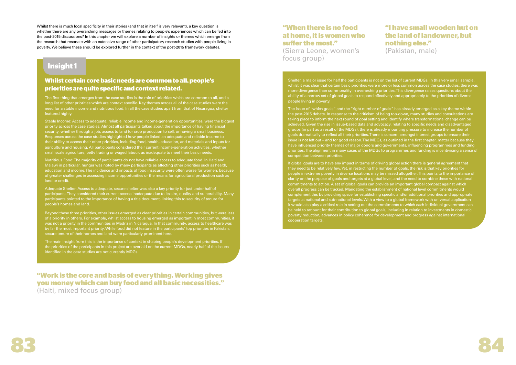

Whilst there is much local specificity in their stories (and that in itself is very relevant), a key question is whether there are any overarching messages or themes relating to people's experiences which can be fed into the post-2015 discussions? In this chapter we will explore a number of insights or themes which emerge from the research that resonate with an extensive range of other participatory research studies with people living in poverty. We believe these should be explored further in the context of the post-2015 framework debates.

The first thing that emerges from the case studies is the mix of priorities which are common to all, and a long list of other priorities which are context specific. Key themes across all of the case studies were the need for a stable income and nutritious food. In all the case studies apart from that of Nicaragua, shelter featured highly.

# **Insight 1**

## **Whilst certain core basic needs are common to all, people's priorities are quite specific and context related.**

Stable Income: Access to adequate, reliable income and income-generation opportunities, were the biggest priority across the case studies. Almost all participants talked about the importance of having financial security, whether through a job, access to land for crop production to sell, or having a small business. Responses across the case studies highlighted how people linked an adequate and reliable income to their ability to access their other priorities, including food, health, education, and materials and inputs for agriculture and housing. All participants considered their current income-generation activities, whether small scale agriculture, petty trading or waged labour, as inadequate to meet their basic needs.

# **"When there is no food at home, it is women who**  suffer the most."

Nutritious Food: The majority of participants do not have reliable access to adequate food. In Haiti and Malawi in particular, hunger was noted by many participants as affecting other priorities such as health, education and income. The incidence and impacts of food insecurity were often worse for women, because of greater challenges in accessing income opportunities or the means for agricultural production such as land or credit.

Adequate Shelter: Access to adequate, secure shelter was also a key priority for just under half of participants. They considered their current access inadequate due to its size, quality and vulnerability. Many participants pointed to the importance of having a title document, linking this to security of tenure for people's homes and land.

Beyond these three priorities, other issues emerged as clear priorities in certain communities, but were less of a priority in others. For example, whilst access to housing emerged as important in most communities, it was not a priority in the communities in Madriz in Nicaragua. In that community, access to healthcare was by far the most important priority. While food did not feature in the participants' top priorities in Pakistan, secure tenure of their homes and land were particularly prominent here.

The main insight from this is the importance of context in shaping people's development priorities. If the priorities of the participants in this project are overlaid on the current MDGs, nearly half of the issues identified in the case studies are not currently MDGs.

(Sierra Leone, women's focus group)

# **"I have small wooden hut on the land of landowner, but nothing else."**  (Pakistan, male)

Shelter, a major issue for half the participants is not on the list of current MDGs. In this very small sample, whilst it was clear that certain basic priorities were more or less common across the case studies, there was more divergence than commonality in overarching priorities. This divergence raises questions about the ability of a narrow set of global goals to respond effectively and appropriately to the priorities of diverse people living in poverty.

The issue of "which goals" and the "right number of goals" has already emerged as a key theme within the post-2015 debate. In response to the criticism of being top-down, many studies and consultations are taking place to inform the next round of goal setting and identify where transformational change can be achieved. Given the rise in issue-based data and advocacy, relating to specific needs and disadvantaged groups (in part as a result of the MDGs), there is already mounting pressure to increase the number of goals dramatically to reflect all their priorities. There is concern amongst interest groups to ensure their issue is not left out – and for good reason. The MDGs, as outlined in the first chapter, matter because they have influenced priority themes of major donors and governments, influencing programmes and funding priorities. The alignment in many cases of the MDGs to programmes and funding is incentivising a sense of competition between priorities.

If global goals are to have any impact in terms of driving global action there is general agreement that they need to be relatively few. Yet, in restricting the number of goals, the risk is that key priorities for people in extreme poverty in diverse locations may be missed altogether. This points to the importance of clarity on the purpose of goals and targets at a global level, and the need to combine these with national commitments to action. A set of global goals can provide an important global compact against which overall progress can be tracked. Mandating the establishment of national level commitments would complement this by providing space for establishing specific and/or additional priorities and appropriate targets at national and sub-national levels. With a view to a global framework with universal application it would also play a critical role in setting out the commitments to which each individual government can be held to account for their contribution to global goals, including in relation to investments in domestic poverty reduction, advances in policy coherence for development and progress against international cooperation targets.

**"Work is the core and basis of everything. Working gives you money which can buy food and all basic necessities."**  (Haiti, mixed focus group)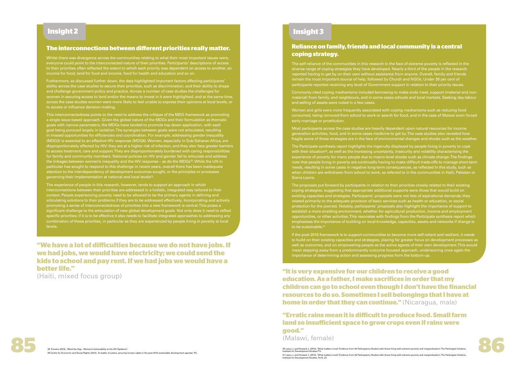# **Insight 2 Insight 3**

### **The interconnections between diferent priorities really matter.**

Whilst there was divergence across the communities relating to what their most important issues were, everyone could point to the interconnected nature of their priorities. Participants' descriptions of access to their priorities often reflected the extent to which each priority was dependent on access to another, an income for food, land for food and income, food for health and education and so on.

This interconnectedness points to the need to address the critique of the MDG framework as promoting a single issue-based approach. Given the global nature of the MDGs and their formulation as thematic goals with narrow parameters, the MDGs have tended to promote top-down application, with each goal being pursued largely in isolation. The synergies between goals were not articulated, resulting in missed opportunities for efficiencies and coordination. For example, addressing gender inequality (MDG3) is essential to an effective HIV response (MDG6). Women, especially in Sub-Saharan Africa, are disproportionately affected by HIV: they are at a higher risk of infection, and they also face greater barriers to access treatment, care and support. They are disproportionately burdened with caring responsibilities for family and community members. National policies on HIV and gender fail to articulate and address the linkages between women's inequality and the HIV response – as do the MDGs $^{28}$ . While the UN in particular has sought to respond to this challenge in recent years, overall there has been inadequate attention to the interdependency of development outcomes sought, or the principles or processes governing their implementation at national and local levels<sup>29</sup>.

Furthermore, as discussed further down, the data highlighted important factors affecting participants' ability across the case studies to secure their priorities, such as discrimination, and their ability to shape and challenge government policy and practice. Across a number of case studies the challenges for women in securing access to land and/or the means to invest in it were highlighted, and at the same time, across the case studies women were more likely to feel unable to express their opinions at local levels, or to access or influence decision-making.

> The proposals put forward by participants in relation to their priorities closely related to their existing coping strategies, suggesting that appropriate additional supports were those that would build on existing capacities and strategies. Participants' proposals were not lists of aspirational demands; they related primarily to the adequate provision of basic services such as health or education, or social protection for the poorest. Notably, participants' proposals also highlight the importance of support to establish a more enabling environment, whether for agricultural production, income and employment opportunities, or other activities. This resonates with findings from the Participate synthesis report which emphasises the importance of building on local knowledge, capacities, assets and networks if change is to be sustainable.<sup>31</sup>

The experience of people in this research, however, tends to support an approach in which interconnections between their priorities are addressed in a holistic, integrated way tailored to their context. People experiencing poverty need to be allowed to be the primary agents in defining and articulating solutions to their problems if they are to be addressed effectively. Incorporating and actively promoting a sense of interconnectedness of priorities into a new framework is central. This poses a significant challenge to the articulation of new global development goals. Not only does it need to reflect specific priorities; if it is to be effective it also needs to facilitate integrated approaches to addressing any combination of these priorities, in particular as they are experienced by people living in poverty at local levels.

> **"Erratic rains mean it is dificult to produce food. Small farm land so insuficient space to grow crops even if rains were good."**

(Malawi, female)

28 Trócaire (2012), "Mind the Gap – Women's Vulnerability to the HIV Epidemic.<br>29 Centre for Economic and Social Rights (2012), A matter of justice; securing human rights in the post 2015 sustainable development agenda. P. 30 Leavy J, and Howard J, (2013), 'What matters most? Evidence from 84 Participatory Studies with those living with extreme poverty and marginalisation'. The Participate Initiative, Institute for Development Studies.P11. 31 Leavy J, and Howard J, (2013), 'What matters most? Evidence from 84 Participatory Studies with those living with extreme poverty and marginalisation'.The Participate Initiative,<br>Institute for Development Studies. Ps15,



# **Reliance on family, friends and local community is a central coping strategy.**

The self-reliance of the communities in this research in the face of extreme poverty is reflected in the diverse range of coping strategies they have developed. Nearly a third of the people in the research reported having to get by on their own without assistance from anyone. Overall, family and friends remain the most important source of help, followed by Church and NGOs. Under 30 per cent of participants reported receiving any level of Government support in relation to their priority issues.

Commonly cited coping mechanisms included borrowing to make ends meet, support (material and nonmaterial) from family, and neighbours, and in some cases schools and local markets. Seeking day-labour and selling of assets were noted in a few cases.

Women and girls were more frequently associated with coping mechanisms such as reducing food consumed, being removed from school to work or search for food, and in the case of Malawi even forced early marriage or prostitution.

Most participants across the case studies are heavily dependent upon natural resources for income generation activities, food, and in some cases medicine to get by. The case studies also revealed how fragile some of these strategies are in the face of environmental changes and shocks such as the weather.

The Participate synthesis report highlights the ingenuity displayed by people living in poverty to cope with their situation<sup>30</sup>, as well as the increasing uncertainty, insecurity and volatility characterising the experience of poverty for many people due to macro-level shocks such as climate change. The findings note that people living in poverty are continually having to make difficult trade-offs to manage short-term needs, resulting in some cases in negative long-term consequences, as reflected in this study, such as when children are withdrawn from school to work, as referred to in the communities in Haiti, Pakistan or Sierra Leone.

If the post-2015 framework is to support communities to become more self-reliant and resilient, it needs to build on their existing capacities and strategies, placing far greater focus on development processes as well as outcomes, and on empowering people as the active agents of their own development. This would mean stepping away from a predominantly outcome focused approach, underscoring once again the importance of determining action and assessing progress from the bottom-up.

**"It is very expensive for our children to receive a good education. As a father, I make sacrifices in order that my children can go to school even though I don't have the financial resources to do so. Sometimes I sell belongings that I have at home in order that they can continue."** (Nicaragua, male)

**"We have a lot of dificulties because we do not have jobs. If we had jobs, we would have electricity; we could send the kids to school and pay rent. If we had jobs we would have a better life."** 

(Haiti, mixed focus group)

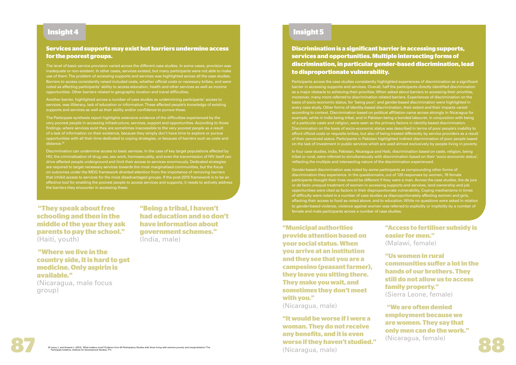# **Insight 4 Insight 5**

 **"They speak about free schooling and then in the middle of the year they ask parents to pay the school."** (Haiti, youth)

 **"Where we live in the country side, it is hard to get medicine. Only aspirin is available."** 

(Nicaragua, male focus group)

**"Being a tribal, I haven't had education and so don't have information about government schemes."** (India, male)

# **Services and supports may exist but barriers undermine access for the poorest groups.**

The level of basic service provision varied across the different case studies. In some cases, provision was inadequate or non-existent. In other cases, services existed, but many participants were not able to make use of them. The problem of accessing supports and services was highlighted across all the case studies. Barriers to access consistently raised included costs, whether official costs or necessary bribes, and were noted as affecting participants' ability to access education, health and other services as well as income opportunities. Other barriers related to geographic location and travel difficulties.

Another barrier, highlighted across a number of case studies as undermining participants' access to services, was illiteracy, lack of education or information. These affected people's knowledge of existing supports and services as well as their ability and/or confidence to pursue these.

The Participate synthesis report highlights extensive evidence of the difficulties experienced by the very poorest people in accessing infrastructure, services, support and opportunities. According to those findings, where services exist they are sometimes inaccessible to the very poorest people as a result of a lack of information on their existence, because they simply don't have time to explore or pursue opportunities with all their time dedicated to coping strategies, or because of barriers such as costs and distance.<sup>32</sup>

Discrimination can undermine access to basic services. In the case of key target populations affected by HIV, the criminalisation of drug use, sex work, homosexuality, and even the transmission of HIV itself can drive affected people underground and limit their access to services enormously. Dedicated strategies are required to target necessary services towards the most marginalised communities, but the focus on outcomes under the MDG framework diverted attention from the importance of removing barriers that inhibit access to services for the most disadvantaged groups. If the post-2015 framework is to be an effective tool for enabling the poorest people to access services and supports, it needs to actively address the barriers they encounter in accessing these.

**Discrimination is a significant barrier in accessing supports, services and opportunities. Multiple intersecting forms of discrimination, in particular gender-based discrimination, lead to disproportionate vulnerability.**

**87 88 "It would be worse if I were a woman. They do not receive any benefits, and it is even worse if they haven't studied."** 

Participants across the case studies consistently highlighted experiences of discrimination as a significant barrier in accessing supports and services. Overall, half the participants directly identified discrimination as a major obstacle to achieving their priorities. When asked about barriers to accessing their priorities, moreover, many more referred to discrimination-related barriers. Experiences of discrimination on the basis of socio-economic status, for 'being poor', and gender-based discrimination were highlighted in every case study. Other forms of identity-based discrimination, their extent and their impacts varied according to context. Discrimination based on political affiliation came across strongly in Nicaragua for example, while in India being tribal, and in Pakistan being a bonded labourer, in conjunction with being of a particular caste and religion, were seen as the primary factors in identity-based discrimination. Discrimination on the basis of socio-economic status was described in terms of poor people's inability to afford official costs or requisite bribes, but also of being treated differently by service providers as a result of their perceived status. Participants in Pakistan highlighted indirect discrimination of poor people based on the lack of investment in public services which are used almost exclusively by people living in poverty.

In four case studies, India, Pakistan, Nicaragua and Haiti, discrimination based on caste, religion, being tribal or rural, were referred to simultaneously with discrimination based on their 'socio-economic status', reflecting the multiple and intersecting nature of the discrimination experienced.

Gender-based discrimination was noted by some participants as compounding other forms of discrimination they experience. In the questionnaire, out of 120 responses by women, 76 female participants thought their lives would be different if they were a man. Across the case studies, the de jure or de facto unequal treatment of women in accessing supports and services, land ownership and job opportunities were cited as factors in their disproportionate vulnerability. Coping mechanisms in times of difficulty were noted in a number of case studies as disproportionately affecting women and girls, affecting their access to food as noted above, and to education. While no questions were asked in relation to gender-based violence, violence against women was referred to explicitly or implicitly by a number of female and male participants across a number of case studies.

**"Municipal authorities provide attention based on your social status. When you arrive at an institution and they see that you are a campesino (peasant farmer), they leave you sitting there. They make you wait, and sometimes they don't meet with you."**

(Nicaragua, male)

(Nicaragua, male)

# **"Access to fertiliser subsidy is easier for men."**  (Malawi, female)

**"Us women in rural communities sufer a lot in the hands of our brothers. They still do not allow us to access family property."**  (Sierra Leone, female)

**"We are often denied employment because we are women. They say that only men can do the work."**  (Nicaragua, female)

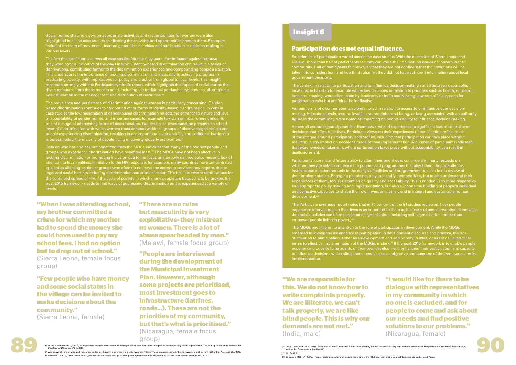The fact that participants across all case studies felt that they were discriminated against because they were poor is indicative of the ways in which identity-based discrimination can result in a series of deprivations, contributing further to the discrimination experienced and compounding people's situation. This underscores the importance of tackling discrimination and inequality to achieving progress in eradicating poverty, with implications for policy and practice from global to local levels. This insight resonates strongly with the Participate synthesis report, which highlights the impact of social norms that divert resources from those most in need, including the traditional patriarchal systems that discriminate against women in the management and distribution of resources.<sup>33</sup>

Social norms shaping views on appropriate activities and responsibilities for women were also highlighted in all the case studies as affecting the activities and opportunities open to them. Examples included freedom of movement, income-generation activities and participation in decision-making at various levels.

The prevalence and persistence of discrimination against women is particularly concerning. Genderbased discrimination continues to compound other forms of identity-based discrimination. In certain case studies the low recognition of gender-based discrimination reflects the entrenched nature and level of acceptability of gender norms, and in certain cases, for example Pakistan or India, where gender is one of a range of intersecting forms of discrimination. Gender-based discrimination presents an added layer of discrimination with which women must contend within all groups of disadvantaged people and people experiencing discrimination, resulting in disproportionate vulnerability and additional barriers to progress. Today, the majority of people living in poverty globally are women.<sup>34</sup>

Data on who has and has not benefitted from the MDGs indicates that many of the poorest people and groups who experience discrimination have benefited least.<sup>35</sup> The MDGs have not been effective in tackling discrimination or promoting inclusion due to the focus on narrowly defined outcomes and lack of attention to local realities. In relation to the HIV response, for example, many countries have concentrated epidemics affecting particular groups who often do not have the access to services they require, due to legal and social barriers including discrimination and criminalisation. This has had severe ramifications for the continued spread of HIV. If the cycle of poverty in which many people are trapped is to be broken, the post-2015 framework needs to find ways of addressing discrimination as it is experienced at a variety of levels.

> The Participate synthesis report notes that in 70 per cent of the 84 studies reviewed, how people experience interventions in their lives is as important to them as the focus of any intervention. It indicates that public policies can often perpetuate stigmatisation, including self-stigmatisation, rather than empower people living in poverty.<sup>37</sup>

**"When I was attending school, my brother committed a crime for which my mother had to spend the money she could have used to pay my school fees. I had no option but to drop out of school."**  (Sierra Leone, female focus

group)

**"Few people who have money and some social status in the village can be invited to make decisions about the community."** 

(Sierra Leone, female)

**"There are no rules but masculinity is very exploitative- they mistreat us women. There is a lot of abuse spearheaded by men."**  (Malawi, female focus group)

# **Insight 6**

### **Participation does not equal influence.**

Experiences of participation varied across the case studies. With the exception of Sierra Leone and Malawi, more than half of participants felt they can voice their opinion on issues of concern in their community. Half of participants felt however that they are not confident that their solutions will be taken into consideration, and two thirds also felt they did not have sufficient information about local government decisions.

The context in relation to participation and to influence decision-making varied between geographic locations; in Pakistan for example where key decisions in relation to priorities such as health, education, land and housing, were often taken by landlords, or India and Nicaragua where official spaces for participation exist but are felt to be ineffective.

Various forms of discrimination also were noted in relation to access to or influence over decisionmaking. Education levels, income level/economic status and being, or being associated with an authority figure in the community, were noted as impacting on people's ability to influence decision-making.

Across all countries participants felt disempowered and experienced a significant lack of control over decisions that affect their lives. Participant views on their experiences of participation reflect much of the critique around participatory approaches, including that participation can take place without resulting in any impact on decisions made or their implementation. A number of participants indicated that experiences of tokenism, where participation takes place without accountability, can result in disillusionment.

Participants' current and future ability to attain their priorities is contingent in many respects on whether they are able to influence the policies and programmes that affect them. Importantly this involves participation not only in the design of policies and programmes, but also in the review of their implementation. Engaging people not only to identify their priorities, but to also understand their experiences of them, focuses attention on quality and accessibility. This is conducive to more responsive and appropriate policy making and implementation, but also supports the building of people's individual and collective capacities to shape their own lives, an intrinsic end in integral and sustainable human development.<sup>36</sup>

The MDGs pay little or no attention to the role of participation in development. While the MDGs emerged following the ascendancy of participation in development discourse and practice, the lack of attention to participation, either as a development end and priority in itself, or as critical in practical terms to effective implementation of the MDGs, is stark.<sup>38</sup> If the post-2015 framework is to enable people experiencing poverty to be agents of their own development, enhancing their participation and capacity to influence decisions which affect them, needs to be an objective and outcome of the framework and its implementation.

**"People are interviewed during the development of the Municipal Investment Plan. However, although some projects are prioritised, most investment goes to infrastructure (latrines, roads…). These are not the priorities of my community, but that's what is prioritised."**  (Nicaragua, female focus



as Leavy J, and Howard J, (2013), What matters most? Evidence from 84 Participators funders form 84 Participator Studies with those living with extreme poverty and marginalisation. The Participate Initiative, Institute for 33 Leavy J, and Howard J, (2013), 'What matters most? Evidence from 84 Participatory Studies with those living with extreme poverty and marginalisation'. The Participate Initiative, Institute for<br>Development Studies.Ps13 a 34 Women Watch. Information and Resources on Gender Equality and Empowerment of Women. http://www.un.org/womenwatch/directory/women\_and\_poverty\_3001.html. Accessed 20/8/2013.

group)

**"I would like for there to be dialogue with representatives in my community in which no one is excluded, and for people to come and ask about our needs and find positive solutions to our problems."**  (Nicaragua, female)



36 Leavy J, and Howard J, (2013), 'What matters most? Evidence from 84 Participatory Studies with those living with extreme poverty and marginalisation'. The Participate Initiati

**"We are responsible for this. We do not know how to write complaints properly. We are illiterate, we can't talk properly, we are like blind people. This is why our demands are not met."**  (India, male)

Institute for Development Studies.P20.

37 Ibid.Ps 17, 22.

38 De Barra C (2004), 'PRSP as Theatre; backstage policy making and the future of the PRSP process'. CIDSE-Caritas Internationalis Background Paper.

35 Melamed C (2012), 'After 2015: Context, politics and processes for a post-2015 global agreement on development'. Overseas Development Institute. Ps 16-17.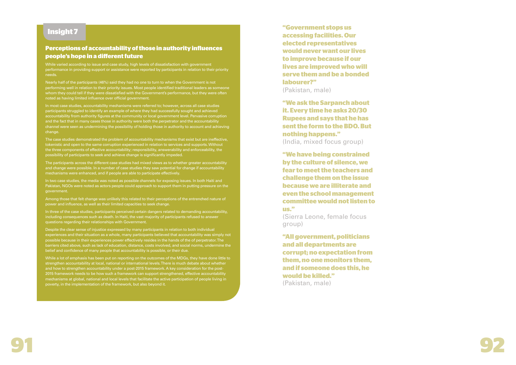

# **Insight 7**

# **Perceptions of accountability of those in authority influences people's hope in a diferent future**

While varied according to issue and case study, high levels of dissatisfaction with government performance in providing support or assistance were reported by participants in relation to their priority needs.

Nearly half of the participants (46%) said they had no one to turn to when the Government is not performing well in relation to their priority issues. Most people identified traditional leaders as someone whom they could tell if they were dissatisfied with the Government's performance, but they were often noted as having limited influence over official government.

In most case studies, accountability mechanisms were referred to; however, across all case studies participants struggled to identify an example of where they had successfully sought and achieved accountability from authority figures at the community or local government level. Pervasive corruption and the fact that in many cases those in authority were both the perpetrator and the accountability channel were seen as undermining the possibility of holding those in authority to account and achieving change.

The case studies demonstrated the problem of accountability mechanisms that exist but are ineffective, tokenistic and open to the same corruption experienced in relation to services and supports. Without the three components of effective accountability; responsibility, answerability and enforceability, the possibility of participants to seek and achieve change is significantly impeded.

The participants across the different case studies had mixed views as to whether greater accountability and change were possible. In a number of case studies they saw potential for change if accountability mechanisms were enhanced, and if people are able to participate effectively.

In two case studies, the media was noted as possible channels for exposing issues. In both Haiti and Pakistan, NGOs were noted as actors people could approach to support them in putting pressure on the government.

Among those that felt change was unlikely this related to their perceptions of the entrenched nature of power and influence, as well as their limited capacities to seek change.

In three of the case studies, participants perceived certain dangers related to demanding accountability, including consequences such as death. In Haiti, the vast majority of participants refused to answer questions regarding their relationships with Government.

Despite the clear sense of injustice expressed by many participants in relation to both individual experiences and their situation as a whole, many participants believed that accountability was simply not possible because in their experiences power effectively resides in the hands of the of perpetrator. The barriers cited above, such as lack of education, distance, costs involved, and social norms, undermine the belief and confidence of many people that accountability is possible, or their due.

While a lot of emphasis has been put on reporting on the outcomes of the MDGs, they have done little to strengthen accountability at local, national or international levels. There is much debate about whether and how to strengthen accountability under a post-2015 framework. A key consideration for the post-2015 framework needs to be how such a framework can support strengthened, effective accountability mechanisms at global, national and local levels that facilitate the active participation of people living in poverty, in the implementation of the framework, but also beyond it.

**"Government stops us accessing facilities. Our elected representatives would never want our lives to improve because if our lives are improved who will serve them and be a bonded labourer?"** 

(Pakistan, male)

**"We ask the Sarpanch about it. Every time he asks 20/30 Rupees and says that he has sent the form to the BDO. But nothing happens."**  (India, mixed focus group)

**"We have being constrained by the culture of silence, we fear to meet the teachers and challenge them on the issue because we are illiterate and even the school management committee would not listen to us."**

(Sierra Leone, female focus group)

**"All government, politicians and all departments are corrupt; no expectation from them, no one monitors them, and if someone does this, he would be killed."**  (Pakistan, male)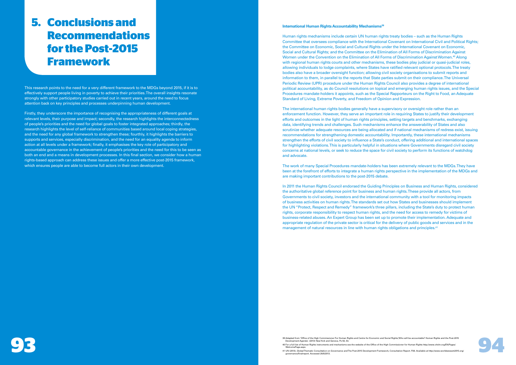#### **International Human Rights Accountability Mechanisms<sup>39</sup>**

Human rights mechanisms include certain UN human rights treaty bodies – such as the Human Rights Committee that oversees compliance with the International Covenant on International Civil and Political Rights; the Committee on Economic, Social and Cultural Rights under the International Covenant on Economic, Social and Cultural Rights; and the Committee on the Elimination of All Forms of Discrimination Against Women under the Convention on the Elimination of All Forms of Discrimination Against Women.<sup>40</sup> Along with regional human rights courts and other mechanisms, these bodies play judicial or quasi-judicial roles, allowing individuals to lodge complaints, where States have ratified relevant optional protocols. The treaty bodies also have a broader oversight function; allowing civil society organisations to submit reports and information to them, in parallel to the reports that State parties submit on their compliance. The Universal Periodic Review (UPR) procedure under the Human Rights Council also provides a degree of international political accountability, as do Council resolutions on topical and emerging human rights issues, and the Special Procedures mandate-holders it appoints, such as the Special Rapporteurs on the Right to Food, an Adequate Standard of Living, Extreme Poverty, and Freedom of Opinion and Expression.

In 2011 the Human Rights Council endorsed the Guiding Principles on Business and Human Rights, considered the authoritative global reference point for business and human rights. These provide all actors, from Governments to civil society, investors and the international community with a tool for monitoring impacts of business activities on human rights. The standards set out how States and businesses should implement the UN "Protect, Respect and Remedy" framework's three pillars, including the State's duty to protect human rights, corporate responsibility to respect human rights, and the need for access to remedy for victims of business-related abuses. An Expert Group has been set up to promote their implementation. Adequate and appropriate regulation of the private sector is critical for the delivery of public goods and services and in the management of natural resources in line with human rights obligations and principles.<sup>41</sup>

The international human rights bodies generally have a supervisory or oversight role rather than an enforcement function. However, they serve an important role in requiring States to justify their development efforts and outcomes in the light of human rights principles, setting targets and benchmarks, exchanging data, identifying trends and challenges. Such mechanisms enhance the answerability of States and also scrutinize whether adequate resources are being allocated and if national mechanisms of redress exist, issuing recommendations for strengthening domestic accountability. Importantly, these international mechanisms strengthen the efforts of civil society to influence a State's conduct, offering additional and international spaces for highlighting violations. This is particularly helpful in situations where Governments disregard civil society concerns at national levels, or seek to reduce the space for civil society to perform its functions of watchdog and advocate.

The work of many Special Procedures mandate-holders has been extremely relevant to the MDGs. They have been at the forefront of efforts to integrate a human rights perspective in the implementation of the MDGs and are making important contributions to the post-2015 debate.

39 Adapted from 'Office of the High Commissioner For Human Rights and Centre for Economic and Social Rights,'Who will be accountable? Human Rights and the Post-2015<br>40 For a full list of Human Rights instruments and mechan Development Agenda'. (2013) New York and Geneva. Ps 50, 53.

40 For a full list of Human Rights instruments and mechanisms see the website of the Office of the High Commissioner for Human Rights http://www.ohchr.org/EN/Pages/ mePage.aspx

# **5. Conclusions and Recommendations for the Post-2015 Framework**

This research points to the need for a very different framework to the MDGs beyond 2015, if it is to effectively support people living in poverty to achieve their priorities. The overall insights resonate strongly with other participatory studies carried out in recent years, around the need to focus attention back on key principles and processes underpinning human development.

Firstly, they underscore the importance of recognising the appropriateness of different goals at relevant levels, their purpose and impact; secondly, the research highlights the interconnectedness of people's priorities and the need for global goals to foster integrated approaches; thirdly, the research highlights the level of self-reliance of communities based around local coping strategies, and the need for any global framework to strengthen these; fourthly, it highlights the barriers to supports and services, especially discrimination, and the need for an equality agenda to inform action at all levels under a framework; finally, it emphasises the key role of participatory and accountable governance in the achievement of people's priorities and the need for this to be seen as both an end and a means in development processes. In this final section, we consider how a human rights-based approach can address these issues and offer a more effective post-2015 framework, which ensures people are able to become full actors in their own development.

> 41 UN (2013), Global Thematic Consultation on Governance and The Post-2015 Development Framework, Consultation Report. P26. Available at http://www.worldwewant2015.org/ governance/finalreport. Accessed 28/8/2013.

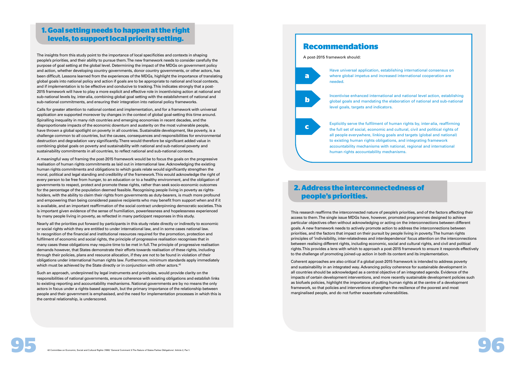Have universal application, establishing international consensus on



Incentivise enhanced international and national level action, establishing global goals and mandating the elaboration of national and sub-national



Explicitly serve the fulfilment of human rights by, inter-alia, reaffirming the full set of social, economic and cultural, civil and political rights of all people everywhere, linking goals and targets (global and national) to existing human rights obligations, and integrating framework accountability mechanisms with national, regional and international human rights accountability mechanisms.

# **1. Goal setting needs to happen at the right levels, to support local priority setting.**

# **2. Address the interconnectedness of people's priorities.**

The insights from this study point to the importance of local specificities and contexts in shaping people's priorities, and their ability to pursue them. The new framework needs to consider carefully the purpose of goal setting at the global level. Determining the impact of the MDGs on government policy and action, whether developing country governments, donor country governments, or other actors, has been difficult. Lessons learned from the experiences of the MDGs, highlight the importance of translating global goals into national policy and action if goals are to be appropriate to national and local contexts, and if implementation is to be effective and conducive to tracking. This indicates strongly that a post-2015 framework will have to play a more explicit and effective role in incentivising action at national and sub-national levels by, inter-alia, combining global goal setting with the establishment of national and sub-national commitments, and ensuring their integration into national policy frameworks.

Nearly all the priorities put forward by participants in this study relate directly or indirectly to economic or social rights which they are entitled to under international law, and in some cases national law. In recognition of the financial and institutional resources required for the promotion, protection and fulfilment of economic and social rights, the principle of progressive realisation recognises that in many cases these obligations may require time to be met in full. The principle of progressive realisation demands however, that States demonstrate their efforts towards realisation of these rights, including through their policies, plans and resource allocation, if they are not to be found in violation of their obligations under international human rights law. Furthermore, minimum standards apply immediately which must be achieved by the State directly or in conjunction with other actors.<sup>42</sup>

Calls for greater attention to national context and implementation, and for a framework with universal application are supported moreover by changes in the context of global goal-setting this time around. Spiralling inequality in many rich countries and emerging economies in recent decades, and the disproportionate impacts of the economic downturn and austerity on the most vulnerable people, have thrown a global spotlight on poverty in all countries. Sustainable development, like poverty, is a challenge common to all countries, but the causes, consequences and responsibilities for environmental destruction and degradation vary significantly. There would therefore be significant added value in combining global goals on poverty and sustainability with national and sub-national poverty and sustainability commitments in all countries, to reflect national and sub-national contexts.

A meaningful way of framing the post-2015 framework would be to focus the goals on the progressive realisation of human rights commitments as laid out in international law. Acknowledging the existing human rights commitments and obligations to which goals relate would significantly strengthen the moral, political and legal standing and credibility of the framework. This would acknowledge the right of every person to be free from hunger, to an education or to a healthy environment, and the obligation of governments to respect, protect and promote these rights, rather than seek socio-economic outcomes for the percentage of the population deemed feasible. Recognising people living in poverty as rightsholders, with the ability to claim their rights from governments as duty-bearers, is much more profound and empowering than being considered passive recipients who may benefit from support when and if it is available, and an important reaffirmation of the social contract underpinning democratic societies. This is important given evidence of the sense of humiliation, powerlessness and hopelessness experienced by many people living in poverty, as reflected in many participant responses in this study.

Such an approach, underpinned by legal instruments and principles, would provide clarity on the responsibilities of national governments, ensure coherence with existing obligations and establish links to existing reporting and accountability mechanisms. National governments are by no means the only actors in focus under a rights-based approach, but the primary importance of the relationship between people and their government is emphasised, and the need for implementation processes in which this is the central relationship, is underscored.

This research reaffirms the interconnected nature of people's priorities, and of the factors affecting their access to them. The single issue MDGs have, however, promoted programmes designed to achieve particular objectives often without acknowledging or acting on the interconnections between different goals. A new framework needs to actively promote action to address the interconnections between priorities, and the factors that impact on their pursuit by people living in poverty. The human rights principles of 'indivisibility, inter-relatedness and interdependence' focus attention on the interconnections between realising different rights, including economic, social and cultural rights, and civil and political rights. This provides a lens with which to approach a post-2015 framework to ensure it responds effectively to the challenge of promoting joined-up action in both its content and its implementation.

Coherent approaches are also critical if a global post-2015 framework is intended to address poverty and sustainability in an integrated way. Advancing policy coherence for sustainable development in all countries should be acknowledged as a central objective of an integrated agenda. Evidence of the impacts of certain development interventions, and more recently sustainable development policies such as biofuels policies, highlight the importance of putting human rights at the centre of a development framework, so that policies and interventions strengthen the resilience of the poorest and most marginalised people, and do not further exacerbate vulnerabilities.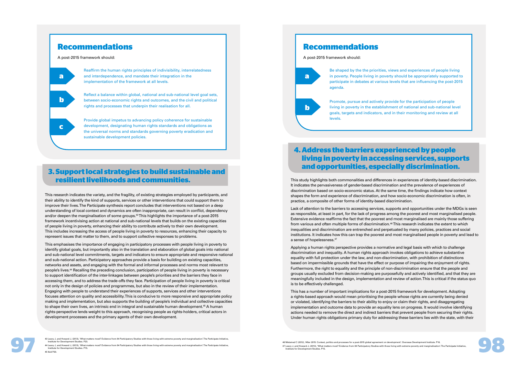# **Recommendations**

A post-2015 framework should:

**a**

**b**

**c**

Reaffirm the human rights principles of indivisibility, interrelatedness and interdependence, and mandate their integration in the implementation of the framework at all levels.

Reflect a balance within global, national and sub-national level goal sets, between socio-economic rights and outcomes, and the civil and political rights and processes that underpin their realisation for all.

Provide global impetus to advancing policy coherence for sustainable development, designating human rights standards and obligations as the universal norms and standards governing poverty eradication and sustainable development policies.

# **Recommendations**

A post-2015 framework should:

**a**

**b**

Be shaped by the the priorities, views and experiences of people living in poverty. People living in poverty should be appropriately supported to participate in debates at various levels that are influencing the post-2015 agenda.

Promote, pursue and actively provide for the participation of people living in poverty in the establishment of national and sub-national level goals, targets and indicators, and in their monitoring and review at all levels.

# **3. Support local strategies to build sustainable and resilient livelihoods and communities.**

# **4. Address the barriers experienced by people living in poverty in accessing services, supports and opportunities, especially discrimination.**

This research indicates the variety, and the fragility, of existing strategies employed by participants, and their ability to identify the kind of supports, services or other interventions that could support them to improve their lives. The Participate synthesis report concludes that interventions not based on a deep understanding of local context and dynamics are often inappropriate, can result in conflict, dependency and/or deepen the marginalisation of some groups.<sup>43</sup> This highlights the importance of a post-2015 framework incentivising action at national and sub-national levels that builds on the existing capacities of people living in poverty, enhancing their ability to contribute actively to their own development. This includes increasing the access of people living in poverty to resources, enhancing their capacity to represent issues that matter to them, and to support collective responses to problems.

This emphasises the importance of engaging in participatory processes with people living in poverty to identify global goals, but importantly also in the translation and elaboration of global goals into national and sub-national level commitments, targets and indicators to ensure appropriate and responsive national and sub-national action. Participatory approaches provide a basis for building on existing capacities, networks and assets, and engaging with the formal and informal processes and norms most relevant to people's lives.<sup>44</sup> Recalling the preceding conclusion, participation of people living in poverty is necessary to support identification of the inter-linkages between people's priorities and the barriers they face in accessing them, and to address the trade-offs they face. Participation of people living in poverty is critical not only in the design of policies and programmes, but also in the review of their implementation. Engaging with people to understand their experiences of supports, services and other interventions focuses attention on quality and accessibility. This is conducive to more responsive and appropriate policy making and implementation, but also supports the building of people's individual and collective capacities to shape their own lives, an intrinsic end in integral and sustainable human development.<sup>45</sup> A human rights-perspective lends weight to this approach, recognising people as rights-holders, critical actors in development processes and the primary agents of their own development.

This study highlights both commonalities and differences in experiences of identity-based discrimination. It indicates the pervasiveness of gender-based discrimination and the prevalence of experiences of discrimination based on socio-economic status. At the same time, the findings indicate how context shapes the form and experience of discrimination, and how socio-economic discrimination is often, in practice, a composite of other forms of identity-based discrimination.

Lack of attention to the barriers to accessing services, supports and opportunities under the MDGs is seen as responsible, at least in part, for the lack of progress among the poorest and most marginalised people. Extensive evidence reaffirms the fact that the poorest and most marginalised are mainly those suffering from various and often multiple forms of discrimination.<sup>46</sup> This research indicates the extent to which inequalities and discrimination are entrenched and perpetuated by many policies, practices and social institutions. It indicates how this can trap the poorest and most marginalised people in poverty and lead to a sense of hopelessness.<sup>47</sup>

Applying a human rights perspective provides a normative and legal basis with which to challenge discrimination and inequality. A human rights approach invokes obligations to achieve substantive equality with full protection under the law, and non-discrimination, with prohibition of distinctions based on impermissible grounds that have the effect or purpose of impairing the enjoyment of rights. Furthermore, the right to equality and the principle of non-discrimination ensure that the people and groups usually excluded from decision-making are purposefully and actively identified, and that they are meaningfully included in the design, implementation and review of action. This is critical if the status quo is to be effectively challenged.

This has a number of important implications for a post-2015 framework for development. Adopting a rights-based approach would mean prioritising the people whose rights are currently being denied or violated, identifying the barriers to their ability to enjoy or claim their rights, and disaggregating implementation and outcome data to provide an equality lens on progress. It would involve identifying actions needed to remove the direct and indirect barriers that prevent people from securing their rights. Under human rights obligations primary duty for addressing these barriers lies with the state, with their

46 Melamed C (2012), 'After 2015: Context, politics and processes for a post-2015 global agreement on development'. Overseas Development Institute. P16. 47 Leavy J, and Howard J, (2013), 'What matters most? Evidence from 84 Participatory Studies with those living with extreme poverty and marginalisation'. The Participate Initiative, Institute for Development Studies. P15.



<sup>43</sup> Leavy J, and Howard J, (2013), What matters most? Evidence from 84 Participatory Studies with those living with extreme poverty and marginalisation. The Participate Initiative,<br>Institute for Development Studies, P.23.<br>I 44 Leavy J, and Howard J, (2013), 'What matters most? Evidence from 84 Participatory Studies with those living with extreme poverty and marginalisation'. The Participate Initiative, Inment Studies. P15 45 Ibid P20.

<sup>43</sup> Leavy J, and Howard J, (2013), 'What matters most? Evidence from 84 Participatory Studies with those living with extreme poverty and marginalisation'. The Participate Initiative, Institute for Development Studies. P23.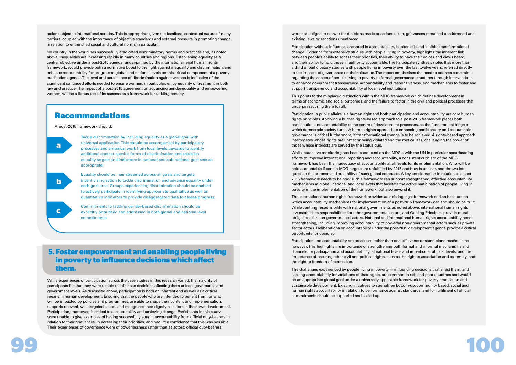

action subject to international scrutiny. This is appropriate given the localised, contextual nature of many barriers, coupled with the importance of objective standards and external pressure in promoting change, in relation to entrenched social and cultural norms in particular.

No country in the world has successfully eradicated discriminatory norms and practices and, as noted above, inequalities are increasing rapidly in many countries and regions. Establishing equality as a central objective under a post-2015 agenda, under-pinned by the international legal human rights framework, would provide both a normative boost to the fight against inequality and discrimination, and enhance accountability for progress at global and national levels on this critical component of a poverty eradication agenda. The level and persistence of discrimination against women is indicative of the significant continued efforts needed to ensure women, in particular, enjoy equality of treatment in both law and practice. The impact of a post-2015 agreement on advancing gender-equality and empowering women, will be a litmus test of its success as a framework for tackling poverty.

# **Recommendations**

A post-2015 framework should:

**a**

**b**

Tackle discrimination by including equality as a global goal with universal application. This should be accompanied by participatory processes and empirical work from local levels upwards to identify additional context-specific forms of discrimination and establish equality targets and indicators in national and sub-national goal sets as appropriate.

Equality should be mainstreamed across all goals and targets, incentivising action to tackle discrimination and advance equality under each goal area. Groups experiencing discrimination should be enabled to actively participate in identifying appropriate qualitative as well as quantitative indicators to provide disaggregated data to assess progress.

Commitments to tackling gender-based discrimination should be explicitly prioritised and addressed in both global and national level commitments.

# **5. Foster empowerment and enabling people living in poverty to influence decisions which afect them.**

While experiences of participation across the case studies in this research varied, the majority of participants felt that they were unable to influence decisions affecting them at local governance and government levels. As discussed above, participation is both an inherent end as well as a critical means in human development. Ensuring that the people who are intended to benefit from, or who will be impacted by policies and programmes, are able to shape their content and implementation, supports relevant, well-targeted action, and recognises their dignity as actors in their own development. Participation, moreover, is critical to accountability and achieving change. Participants in this study were unable to give examples of having successfully sought accountability from official duty-bearers in relation to their grievances, in accessing their priorities, and had little confidence that this was possible. Their experiences of governance were of powerlessness rather than as actors; official duty-bearers

were not obliged to answer for decisions made or actions taken, grievances remained unaddressed and existing laws or sanctions unenforced.

Participation without influence, anchored in accountability, is tokenistic and inhibits transformational change. Evidence from extensive studies with people living in poverty, highlights the inherent link between people's ability to access their priorities, their ability to have their voices and views heard, and their ability to hold those in authority accountable. The Participate synthesis notes that more than a third of participatory studies with people living in poverty over the last twelve years, referred directly to the impacts of governance on their situation. The report emphasises the need to address constraints regarding the access of people living in poverty to formal governance structures through interventions to enhance government transparency, accountability and responsiveness, and mechanisms to foster and support transparency and accountability of local level institutions.

This points to the misplaced distinction within the MDG framework which defines development in terms of economic and social outcomes, and the failure to factor in the civil and political processes that underpin securing them for all.

Participation in public affairs is a human right and both participation and accountability are core human rights principles. Applying a human rights-based approach to a post-2015 framework places both participation and accountability at the centre of development processes, as the fundamental hinge on which democratic society turns. A human rights-approach to enhancing participatory and accountable governance is critical furthermore, if transformational change is to be achieved. A rights-based approach interrogates whose rights are unmet or being violated and the root causes, challenging the power of those whose interests are served by the status quo.

Whilst extensive monitoring has been conducted on the MDGs, with the UN in particular spearheading efforts to improve international reporting and accountability, a consistent criticism of the MDG framework has been the inadequacy of accountability at all levels for its implementation. Who will be held accountable if certain MDG targets are unfulfilled by 2015 and how is unclear, and throws into question the purpose and credibility of such global compacts. A key consideration in relation to a post-2015 framework needs to be how such a framework can support strengthened, effective accountability mechanisms at global, national and local levels that facilitate the active participation of people living in poverty in the implementation of the framework, but also beyond it.

The international human rights framework provides an existing legal framework and architecture on which accountability mechanisms for implementation of a post-2015 framework can and should be built. While centring responsibility with national governments as noted above, international human rights law establishes responsibilities for other governmental actors, and Guiding Principles provide moral obligations for non-governmental actors. National and international human rights accountability needs strengthening, including improving accountability of powerful non-governmental actors such as private sector actors. Deliberations on accountability under the post-2015 development agenda provide a critical opportunity for doing so.

Participation and accountability are processes rather than one-off events or stand alone mechanisms however. This highlights the importance of strengthening both formal and informal mechanisms and channels for participation and accountability, at national levels and in particular at local levels, and the importance of securing other civil and political rights, such as the right to association and assembly, and the right to freedom of expression.

The challenges experienced by people living in poverty in influencing decisions that affect them, and seeking accountability for violations of their rights, are common to rich and poor countries and would be an appropriate global goal under a universally applicable framework for poverty eradication and sustainable development. Existing initiatives to strengthen bottom-up, community based, social and human rights accountability in relation to performance against standards, and for fulfilment of official commitments should be supported and scaled up.

**c**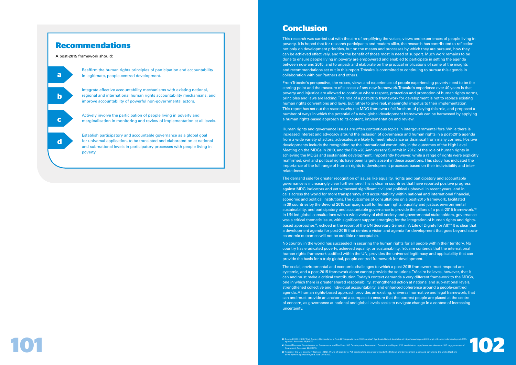# **Recommendations**

A post-2015 framework should:

**a b c d**

Reaffirm the human rights principles of participation and accountability in legitimate, people-centred development.

Integrate effective accountability mechanisms with existing national, regional and international human rights accountability mechanisms, and improve accountability of powerful non-governmental actors.

Actively involve the participation of people living in poverty and marginalisation in monitoring and review of implementation at all levels.

Establish participatory and accountable governance as a global goal for universal application, to be translated and elaborated on at national and sub-national levels in participatory processes with people living in poverty.

# **Conclusion**

This research was carried out with the aim of amplifying the voices, views and experiences of people living in poverty. It is hoped that for research participants and readers alike, the research has contributed to reflection not only on development priorities, but on the means and processes by which they are pursued, how they can be achieved effectively, and for the benefit of those most in need of support. Much work remains to be done to ensure people living in poverty are empowered and enabled to participate in setting the agenda between now and 2015, and to unpack and elaborate on the practical implications of some of the insights and recommendations set out in this report. Trócaire is committed to continuing to pursue this agenda in collaboration with our Partners and others.

From Trócaire's perspective, the voices, views and experiences of people experiencing poverty need to be the starting point and the measure of success of any new framework. Trócaire's experience over 40 years is that poverty and injustice are allowed to continue where respect, protection and promotion of human rights norms, principles and laws are lacking. The role of a post-2015 framework for development is not to replace existing human rights conventions and laws, but rather to give real, meaningful impetus to their implementation. This report has set out the reasons why the MDG framework fell far short of playing this role, and proposed a number of ways in which the potential of a new global development framework can be harnessed by applying a human rights-based approach to its content, implementation and review.

Human rights and governance issues are often contentious topics in intergovernmental fora. While there is increased interest and advocacy around the inclusion of governance and human rights in a post-2015 agenda from a wide variety of actors, advocates are likely to meet reluctance or dismissal from many corners. Positive developments include the recognition by the international community in the outcomes of the High Level Meeting on the MDGs in 2010, and the Rio +20 Anniversary Summit in 2012, of the role of human rights in achieving the MDGs and sustainable development. Importantly however, while a range of rights were explicitly reaffirmed, civil and political rights have been largely absent in these assertions. This study has indicated the importance of the full range of human rights to development processes based on their indivisibility and interrelatedness.

**48** Beyond 2015 (2013) 'Civil Society Demands for a Post-2015 Agenda from 39 Countries'. Synthesis Report. Available at http://www.beyond2015.org/civil-society-demands-post-2015-agenda. Accessed 28/8/2013.<br> **49 GlobalThem 49** Global Thematic Consultation on Governance and The Post-2015 Development Framework, Consultation Report. P26. Available at http://www.worldwewant2015.org/governance/ finalreport. Accessed 28/8/2013.

The demand side for greater recognition of issues like equality, rights and participatory and accountable governance is increasingly clear furthermore. This is clear in countries that have reported positive progress against MDG indicators and yet witnessed significant civil and political upheaval in recent years, and in calls across the world for more transparency and accountability within national and international financial, economic and political institutions. The outcomes of consultations on a post-2015 framework, facilitated in 39 countries by the Beyond 2015 campaign, call for human rights, equality and justice, environmental sustainability, and participatory and accountable governance to provide the pillars of a post-2015 framework.<sup>48</sup> In UN-led global consultations with a wide variety of civil society and governmental stakeholders, governance was a critical thematic issue, with significant support emerging for the integration of human rights and rightsbased approaches<sup>49</sup>, echoed in the report of the UN Secretary General, 'A Life of Dignity for All'.<sup>50</sup> It is clear that a development agenda for post-2015 that denies a vision and agenda for development that goes beyond socioeconomic outcomes will not be credible or acceptable.

No country in the world has succeeded in securing the human rights for all people within their territory. No country has eradicated poverty, achieved equality, or sustainability. Trócaire contends that the international human rights framework codified within the UN, provides the universal legitimacy and applicability that can provide the basis for a truly global, people-centred framework for development.

The social, environmental and economic challenges to which a post-2015 framework must respond are systemic, and a post-2015 framework alone cannot provide the solutions. Trócaire believes, however, that it can and must make a critical contribution. Today's context demands a very different framework to the MDGs, one in which there is greater shared responsibility, strengthened action at national and sub-national levels, strengthened collective and individual accountability, and enhanced coherence around a people-centred agenda. A human rights-based approach provides an existing, universal normative and legal framework, that can and must provide an anchor and a compass to ensure that the poorest people are placed at the centre of concern, as governance at national and global levels seeks to navigate change in a context of increasing uncertainty.

48 Beyond 2015 (2013) 'Civil Society Demands for a Post-2015 Agenda from 39 Countries'. Synthesis Report. Available at http://www.beyond2015.org/icivil-society-demands-post-2015<br>agenda. Accessed 28/8/2013.<br>finalreport. Acc nd 2015 (2013) 'Civil Society Demands for a Post-2015 Agenda from 39 Countries'. Synthesis Report. Available at http://www.beyond2015.org/civil-society-demands-p<br>nda. Accessed 28/8/2013.